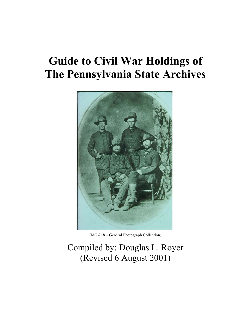# **Guide to Civil War Holdings of The Pennsylvania State Archives**



(MG-218 – General Photograph Collection)

# Compiled by: Douglas L. Royer (Revised 6 August 2001)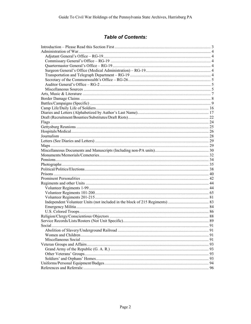# **Table of Contents:**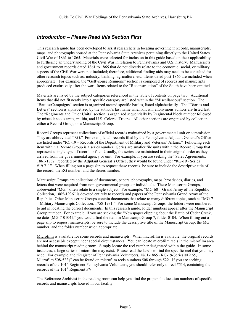# *Introduction – Please Read this Section First*

This research guide has been developed to assist researchers in locating government records, manuscripts, maps, and photographs housed at the Pennsylvania State Archives pertaining directly to the United States Civil War of 1861 to 1865. Materials were selected for inclusion in this guide based on their applicability to furthering an understanding of the Civil War in relation to Pennsylvania and U.S. history. Manuscripts and government records dated 1861 to 1865 that do not directly relate to the economic, social, or military aspects of the Civil War were not included; therefore, additional finding aids may need to be consulted for other research topics such as: industry, banking, agriculture, etc. Items dated post-1865 are included when appropriate. For example, the "Gettysburg Reunions" section is composed of records and manuscripts produced exclusively after the war. Items related to the "Reconstruction" of the South have been omitted.

Materials are listed by the subject categories referenced in the table of contents on page two. Additional items that did not fit neatly into a specific category are listed within the "Miscellaneous" section. The "Battles/Campaigns" section is organized around specific battles, listed alphabetically. The "Diaries and Letters" section is alphabetized by the author's last name when known; anonymous authors are listed last. The "Regiments and Other Units" section is organized sequentially by Regimental block number followed by miscellaneous units, militia, and U.S. Colored Troops. All other sections are organized by collection – either a Record Group, or a Manuscript Group.

Record Groups represent collections of official records maintained by a governmental unit or commission. They are abbreviated "RG." For example, all records filed by the Pennsylvania Adjutant General's Office are listed under "RG-19 – Records of the Department of Military and Veterans' Affairs." Following each item within a Record Group is a series number. Series are smaller file units within the Record Group that represent a single type of record or file. Usually, the series are maintained in their original order as they arrived from the governmental agency or unit. For example, if you are seeking the "Sales Agreements, 1861-1862" recorded by the Adjutant General's Office, they would be found under "RG-19 {Series #19.71}". When filling out a page slip to request these records, be sure to include the descriptive title of the record, the RG number, and the Series number.

Manuscript Groups are collections of documents, papers, photographs, maps, broadsides, diaries, and letters that were acquired from non-governmental groups or individuals. These Manuscript Groups, abbreviated "MG," often relate to a single subject. For example, "MG-60 – Grand Army of the Republic Collection, 1865-1936" is devoted entirely to records and papers of the Pennsylvania Grand Army of the Republic. Other Manuscript Groups contain documents that relate to many different topics, such as "MG-7 – Military Manuscripts Collection, 1758-1931." For some Manuscript Groups, the folders were numbered to aid in locating the correct documents. In this research guide, folder numbers appear after the Manuscript Group number. For example, if you are seeking the "Newspaper clipping about the Battle of Cedar Creek, no date {MG-7-0104}," you would find the item in Manuscript Group 7, folder 0104. When filling out a page slip to request manuscripts, be sure to include the descriptive title of the Manuscript Group, the MG number, and the folder number when appropriate.

Microfilm is available for some records and manuscripts. When microfilm is available, the original records are not accessible except under special circumstances. You can locate microfilm reels in the microfilm area behind the manuscript reading room. Simply locate the reel number designated within the guide. In some instances, a large series of microfilm may exist. Please read the labels to find the specific reel that you may need. For example, the "Register of Pennsylvania Volunteers, 1861-1865 {RG-19-Series #19.65, Microfilm 508-522}" can be found on microfilm reels numbers 508 through 522. If you are seeking records of the 101<sup>st</sup> Regiment Pennsylvania Volunteers, you should refer only to reel #514, containing the records of the 101<sup>st</sup> Regiment PV.

The Reference Archivist in the reading room can help you find the proper slot location numbers of specific records and manuscripts housed in our facility.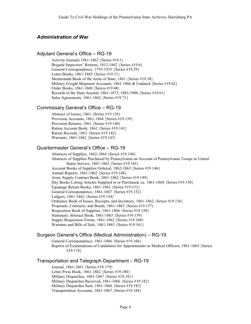# *Administration of War*

# Adjutant General's Office – RG-19

Activity Journals 1861-1863 {Series #19.1} Brigade Inspectors' Returns, 1812-1862 {Series #19.6} General Correspondence, 1793-1935 {Series #19.29} Letter Books, 1861-1865 {Series #19.31} Memoranda Book of the Arms of State, 1861 {Series #19.38} Military Freight Shipment Accounts, 1861-1866 & Undated {Series #19.42} Order Books, 1861-1868 {Series #19.48} Records of the State Arsenal, 1861-1873, 1883-1906 {Series #19.61} Sales Agreements, 1861-1862 {Series #19.71}

# Commissary General's Office – RG-19

Abstract of Issues, 1861 {Series #19.138} Provision Accounts, 1861-1864 {Series #19.139} Provision Returns, 1861 {Series #19.140} Ration Account Book, 1861 {Series #19.141} Ration Records, 1861 {Series #19.142} Warrants, 1861-1862 {Series #19.143}

# Quartermaster General's Office – RG-19

Abstracts of Supplies, 1862-1864 {Series #19.144} Abstracts of Supplies Purchased by Pennsylvania on Account of Pennsylvania Troops in United States Service, 1861-1862 {Series #19.145} Account Books of Supplies Ordered, 1862-1863 {Series #19.146} Annual Reports, 1861-1862 {Series #19.148} Army Supply Contract Book, 1861-1862 {Series #19.149} Day Books Listing Articles Supplied to or Purchased, ca. 1861-1864 {Series #19.150} Equipage Return Books, 1861-1862 {Series #19.151} General Correspondence, 1861-1867 {Series #19.152} Ledgers, 1861-1862 {Series #19.154} Ordnance Book of Issues, Receipts, and Inventory, 1861-1862 {Series #19.156} Proposals, Contracts, and Bonds, 1861-1865 {Series #19.157} Requisition Book of Supplies, 1861-1866 {Series #19.158} Stationary Abstract Book, 1861-1865 {Series #19.159} Supply Requisition Forms, 1861-1862 {Series #19.160} Warrants and Bills of Sale, 1861-1863 {Series #19.161}

# Surgeon General's Office (Medical Administration) – RG-19

General Correspondence, 1861-1866 {Series #19.166} Reports of Examinations of Candidates for Appointments as Medical Officers, 1861-1865 {Series #19.174}

# Transportation and Telegraph Department – RG-19

Journal, 1861-1863 {Series #19.179} Letter Press Book, 1861-1862 {Series #19.180} Military Dispatches, 1861-1867 {Series #19.181} Military Dispatches Received, 1861-1866 {Series #19.182} Military Dispatches Sent, 1861-1866 {Series #19.183} Transportation Accounts, 1861-1867 {Series #19.184}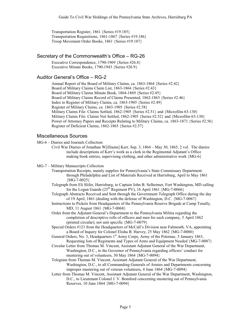Transportation Register, 1861 {Series #19.185} Transportation Requisitions, 1861-1867 {Series #19.186} Troop Movement Order Books, 1861 {Series #19.187}

# Secretary of the Commonwealth's Office – RG-26

Executive Correspondence, 1790-1969 {Series #26.8} Executive Minute Books, 1790-1943 {Series #26.9}

# Auditor General's Office – RG-2

Annual Report of the Board of Military Claims, ca. 1863-1864 {Series #2.42} Board of Military Claims Claim List, 1863-1864 {Series #2.43} Board of Military Claims Minute Book, 1864-1869 {Series #2.45} Board of Military Claims Record of Claims Presented, 1862-1863 {Series #2.46} Index to Register of Military Claims, ca. 1863-1905 {Series #2.49} Register of Military Claims, ca. 1863-1905 {Series #2.58} Military Claims File: Claims Settled, 1862-1905 {Series #2.51} and {Microfilm 63-130} Military Claims File: Claims Not Settled, 1862-1905 {Series #2.52} and {Microfilm 63-130} Power of Attorney Papers and Receipts Relating to Military Claims, ca. 1863-1871 {Series #2.56} Register of Deficient Claims, 1862-1865 {Series #2.57}

# Miscellaneous Sources

MG-6 – Diaries and Journals Collection

Civil War Diaries of Jonathan W[illiams] Kerr, Sep. 3, 1864 – May 30, 1865, 2 vol. The diaries include descriptions of Kerr's work as a clerk in the Regimental Adjutant's Office making book entries, supervising clothing, and other administrative work {MG-6}

MG-7 – Military Manuscripts Collection

- Transportation Receipts, mainly supplies for Pennsylvania's State Commissary Department through Philadelphia and List of Materials Received at Harrisburg, April to May 1861  ${MG-7-0025}$
- Telegraph from Eli Slifer, Harrisburg, to Captain John B. Selheimer, Fort Washington, MD calling for the Logan Guards  $(25^{th}$  Regiment PV), 16 April 1861 {MG-7-0066}
- Telegraph Abstracts Received and Sent through the Government Telegraph Office during the day of 19 April, 1861 (dealing with the defense of Washington, D.C. {MG-7-0067}
- Instructions to Pickets from Headquarters of the Pennsylvania Reserve Brigade at Camp Tenally, MD, 11 August 1861 {MG-7-0068}
- Order from the Adjutant General's Department to the Pennsylvania Militia regarding the completion of descriptive rolls of officers and men for each company, 5 April 1862 (printed circular); not unit specific {MG-7-0079}
- Special Orders #121 from the Headquarters of McCall's Division near Falmouth, VA, appointing a Board of Inquiry for Colonel Elisha B. Harvey, 25 May 1862 {MG-7-0080}

General Orders, No. 3, Headquarters 1<sup>st</sup> Army Corps, Army of the Potomac, 5 January 1863, Requesting lists of Regiments and Types of Arms and Equipment Needed {MG-7-0087}

- Circular Letter from Thomas M. Vincent, Assistant Adjutant General of the War Department, Washington, D.C., to the Governor of Pennsylvania regarding officers' conduct for mustering out of volunteers, 30 May 1864 {MG-7-0094}
- Telegram from Thomas M. Vincent, Assistant Adjutant General of the War Department, Washington, D.C., to all Commanding Generals of Armies and Departments concerning improper mustering out of veteran volunteers, 4 June 1864 {MG-7-0094}
- Letter from Thomas M. Vincent, Assistant Adjutant General of the War Department, Washington, D.C., to Lieutenant Colonel J. V. Bomford concerning mustering out of Pennsylvania Reserves, 10 June 1864 {MG-7-0094}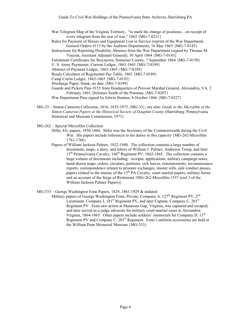- War Telegram Map of the Virginia Territory, "to mark the change of positions…on receipt of every telegram from the seat of war,"  $1862 \{MG - 7 - 0231\}$
- Rules for Payment of Horses and Equipment Lost in Service (reprint of the War Department, General Orders #113 by the Auditors Department), 16 May 1863 {MG-7-0143}
- Instructions for Reporting Disability Absence from the War Department (signed by Thomas M. Vincent, Assistant Adjutant General), 30 April 1864 {MG-7-0143}
- Enlistment Certificates for Stoystown, Somerset County, 7 September 1864 {MG-7-0150}
- U. S. Army Paymaster, Current Ledger, 1863-1865 {MG-7-0189}
- Abstract of Payment Ledger, 1863-1865 {MG-7-0189}
- Ready Calculator of Regimental Pay Table, 1863 {MG-7-0189}
- Camp Curtin Ledger, 1863-1865 {MG-7-0192}
- Discharge Paper, blank, no date {MG-7-0199}
- Guards and Pickets Pass #155 from Headquarters of Provost Marshal General, Alexandria, VA, 2 February 1865, Defenses South of the Potomac {MG-7-0207}
- War Department Pass signed by Edwin Stanton, 8 October 1866 {MG-7-0227}
- MG-33 Simon Cameron Collection, 1816, 1835-1875 {MG-33}; see also: *Guide to the Microfilm of the Simon Cameron Papers at the Historical Society of Dauphin County* (Harrisburg: Pennsylvania Historical and Museum Commission, 1971)
- MG-262 Special Microfilm Collection
	- Slifer, Eli, papers, 1850-1866. Slifer was the Secretary of the Commonwealth during the Civil War. His papers include references to his duties in this capacity {MG-262-Microfilm 1761-1766}
	- Papers of William Jackson Palmer, 1822-1948. The collection contains a large number of documents, maps, a diary, and letters of William J. Palmer, Anderson Troop, and later 15<sup>th</sup> Pennsylvania Cavalry, 160<sup>th</sup> Regiment PV, 1862-1865. The collection contains a large volume of documents including: receipts, applications, military campaign notes, hand-drawn maps, orders, circulars, petitions, sick leaves, reinstatements, reconnaissance reports, correspondence related to prisoner exchanges, muster rolls, safe conduct passes, papers related to the mutiny of the  $15<sup>th</sup> PA$  Cavalry, court martial papers, military forms and an account of the Siege of Richmond {MG-262-Microfilm 1557 (reel 3 of the William Jackson Palmer Papers)}
- MG-333 George Washington Fenn Papers, 1829, 1861-1929 & undated
	- Military papers of George Washington Fenn, Private, Company A, 127<sup>th</sup> Regiment PV, 2<sup>nd</sup> Lieutenant, Company I, 181<sup>st</sup> Regiment PV, and later Captain, Company C, 201<sup>st</sup> Regiment PV. Fenn saw action at Manassas Gap, Virginia, was captured and escaped, and later served as a judge advocate for military court-martial cases at Alexandria Virginia, 1864-1865. Other papers include soldiers' memorials for Company D, 11<sup>th</sup> Regiment PV and Company C,  $201<sup>st</sup>$  Regiment. Fenn's uniform accessories are held at the William Penn Memorial Museum {MG-333}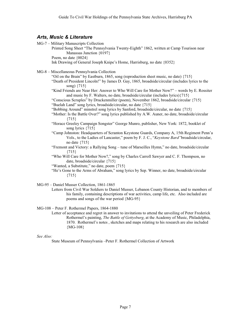# *Arts, Music & Literature*

MG-7 – Military Manuscripts Collection Printed Song Sheet "The Pennsylvania Twenty-Eighth" 1862, written at Camp Tourison near Manassas Junction {0197} Poem, no date  ${0024}$ Ink Drawing of General Joseph Knipe's Home, Harrisburg, no date {0352} MG-8 – Miscellaneous Pennsylvania Collection "Oil on the Brain" by Eastburn, 1865, song (reproduction sheet music, no date) {715} "Death of President Lincoln!" by James D. Gay, 1865, broadside/circular (includes lyrics to the song) {715} "Kind Friends are Near Her: Answer to Who Will Care for Mother Now?" – words by E. Rossiter and music by F. Walters, no date, broadside/circular (includes lyrics){715} "Conscious Scruples" by Druckenmiller (poem), November 1862, broadside/circular {715} "Buelah Land" song lyrics, broadside/circular, no date {715} "Bobbing Around" minstrel song lyrics by Sanford, broadside/circular, no date {715} "Mother: Is the Battle Over?" song lyrics published by A.W. Auner, no date, broadside/circular {715} "Horace Greeley Campaign Songster" George Munro, publisher, New York: 1872, booklet of song lyrics  $\{715\}$ "Camp Johnston: Headquarters of Scranton Keystone Guards, Company A, 15th Regiment Penn'a Vols., to the Ladies of Lancaster," poem by F. J. C., "*Keystone Bard"*broadside/circular, no date {715} "Fremont and Victory: a Rallying Song – tune of Marseilles Hymn," no date, broadside/circular {715} "Who Will Care for Mother Now?," song by Charles Carroll Sawyer and C. F. Thompson, no date, broadside/circular {715} "Wanted, a Substitute," no date, poem {715} "He's Gone to the Arms of Abraham," song lyrics by Sep. Winner, no date, broadside/circular {715} MG-95 – Daniel Musser Collection, 1861-1865

Letters from Civil War Soldiers to Daniel Musser, Lebanon County Historian, and to members of his family, containing descriptions of war activities, camp life, etc. Also included are poems and songs of the war period {MG-95}

MG-108 – Peter F. Rothermel Papers, 1864-1880

Letter of acceptance and regret in answer to invitations to attend the unveiling of Peter Frederick Rothermel's painting, *The Battle of Gettysburg*, at the Academy of Music, Philadelphia, 1870. Rothermel's notes , sketches and maps relating to his research are also included {MG-108}

#### *See Also:*

State Museum of Pennsylvania –Peter F. Rothermel Collection of Artwork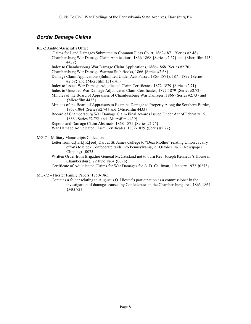# *Border Damage Claims*

RG-2 Auditor-General's Office Claims for Land Damages Submitted to Common Pleas Court, 1862-1871 {Series #2.48} Chambersburg War Damage Claim Applications, 1866-1868 {Series #2.67} and {Microfilm 4434- 4439} Index to Chambersburg War Damage Claim Applications, 1886-1868 {Series #2.70} Chambersburg War Damage Warrant Stub Books, 1866 {Series #2.68} Damage Claim Applications (Submitted Under Acts Passed 1863-1871), 1871-1879 {Series #2.69} and {Microfilm 131-141} Index to Issued War Damage Adjudicated Claim Certificates, 1872-1879 {Series #2.71} Index to Unissued War Damage Adjudicated Claim Certificates, 1872-1879 {Series #2.72} Minutes of the Board of Appraisers of Chambersburg War Damages, 1866 {Series #2.73} and {Microfilm 4433} Minutes of the Board of Appraisers to Examine Damage to Property Along the Southern Border, 1863-1864 {Series #2.74} and {Microfilm 4433} Record of Chambersburg War Damage Claim Final Awards Issued Under Act of February 15, 1866 {Series #2.75} and {Microfilm 4439} Reports and Damage Claim Abstracts, 1868-1871 {Series #2.76} War Damage Adjudicated Claim Certificates, 1872-1879 {Series #2.77} MG-7 – Military Manuscripts Collection Letter from C.[lark] R.[eed] Dart at St. James College to "Dear Mother" relating Union cavalry efforts to block Confederate raids into Pennsylvania, 21 October 1862 (Newspaper

Clipping)  $\{0075\}$ Written Order from Brigadier General McCausland not to burn Rev. Joseph Kennedy's House in Chambersburg, 29 June 1864 {0096}

Certificate of Adjudicated Claims for War Damages for A. D. Caufman, 1 January 1972 {0273}

MG-72 – Hiester Family Papers, 1750-1865

Contains a folder relating to Augustus O. Hiester's participation as a commissioner in the investigation of damages caused by Confederates in the Chambersburg area, 1863-1864 {MG-72}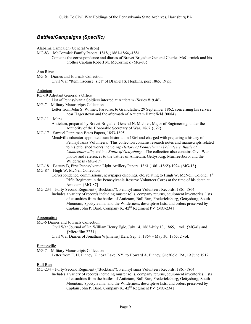# *Battles/Campaigns (Specific)*

Alabama Campaign (General Wilson)

- MG-83 McCormick Family Papers, 1818, (1861-1864)-1881
	- Contains the correspondence and diaries of Brevet Brigadier General Charles McCormick and his brother Captain Robert M. McCormick {MG-83}

## Ann River

MG-6 – Diaries and Journals Collection

Civil War "Reminiscense [sic]" of D[aniel] S. Hopkins, post 1865, 19 pp.

## Antietam

RG-19 Adjutant General's Office

List of Pennsylvania Soldiers interred at Antietam {Series #19.46}

MG-7 – Military Manuscripts Collection

Letter from John S. Witmer, Paradise, to Grandfather, 29 September 1862, concerning his service near Hagerstown and the aftermath of Antietam Battlefield {0084}

## $MG-11 - Maps$

Antietam, prepared by Brevet Brigadier General N. Michler, Major of Engineering, under the Authority of the Honorable Secretary of War, 1867 {679}

- MG-17 Samuel Penniman Bates Papers, 1853-1895
	- Meadville educator appointed state historian in 1864 and charged with preparing a history of Pennsylvania Volunteers. This collection contains research notes and manuscripts related to his published works including: *History of Pennsylvania Volunteers, Battle of Chancellorsville,* and his *Battle of Gettysburg.* The collection also contains Civil War photos and references to the battles of Antietam, Gettysburg, Murfreesboro, and the Wilderness {MG-17}
- MG-18 Battery B, First Pennsylvania Light Artillery Papers, 1861 (1861-1865)-1924 {MG-18}

MG-87 – Hugh W. McNeil Collection

- Correspondence, commissions, newspaper clippings, etc. relating to Hugh W. McNeil, Colonel, 1st Rifle Regiment in the Pennsylvania Reserve Volunteer Corps at the time of his death at Antietam {MG-87}
- MG-234 Forty-Second Regiment ("Bucktails"), Pennsylvania Volunteers Records, 1861-1864 Includes a variety of records including muster rolls, company returns, equipment inventories, lists of casualties from the battles of Antietam, Bull Run, Fredericksburg, Gettysburg, South Mountain, Spotsylvania, and the Wilderness, descriptive lists, and orders preserved by Captain John P. Bard, Company K,  $42<sup>nd</sup>$  Regiment PV {MG-234}

#### Appomattox

- MG-6 Diaries and Journals Collection
	- Civil War Journal of Dr. William Henry Egle, July 14, 1863-July 13, 1865, 1 vol. {MG-6} and {Microfilm 2231}
	- Civil War Diaries of Jonathan W[illiams] Kerr, Sep. 3, 1864 May 30, 1865, 2 vol.

#### Bentonville

MG-7 – Military Manuscripts Collection

Letter from E. H. Pinney, Kinoza Lake, NY, to Howard A. Pinney, Sheffield, PA, 19 June 1912

#### Bull Run

MG-234 – Forty-Second Regiment ("Bucktails"), Pennsylvania Volunteers Records, 1861-1864 Includes a variety of records including muster rolls, company returns, equipment inventories, lists of casualties from the battles of Antietam, Bull Run, Fredericksburg, Gettysburg, South Mountain, Spotsylvania, and the Wilderness, descriptive lists, and orders preserved by Captain John P. Bard, Company K,  $42<sup>nd</sup>$  Regiment PV {MG-234}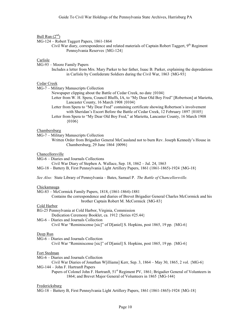# Bull Run  $(2<sup>nd</sup>)$

MG-124 – Robert Taggert Papers, 1861-1864

Civil War diary, correspondence and related materials of Captain Robert Taggert, 9<sup>th</sup> Regiment Pennsylvania Reserves {MG-124}

#### Carlisle

MG-93 – Moore Family Papers

Includes a letter from Mrs. Mary Parker to her father, Isaac B. Parker, explaining the depredations in Carlisle by Confederate Soldiers during the Civil War, 1863 {MG-93}

## Cedar Creek

MG-7 – Military Manuscripts Collection

Newspaper clipping about the Battle of Cedar Creek, no date {0104}

- Letter from W. H. Spera, Council Bluffs, IA, to "My Dear Old Boy Fred" [Robertson] at Marietta, Lancaster County, 16 March 1908 {0104}
- Letter from Spera to "My Dear Fred" containing certificate showing Robertson's involvement with Sheridan's Escort Before the Battle of Cedar Creek, 12 February 1897 {0105}
- Letter from Spera to "My Dear Old Boy Fred," at Marietta, Lancaster County, 16 March 1908 {0106}

#### Chambersburg

- MG-7 Military Manuscripts Collection
	- Written Order from Brigadier General McCausland not to burn Rev. Joseph Kennedy's House in Chambersburg, 29 June 1864 {0096}

#### Chancellorsville

MG-6 – Diaries and Journals Collections

Civil War Diary of Stephen A. Wallace, Sep. 18, 1862 – Jul. 24, 1863

- MG-18 Battery B, First Pennsylvania Light Artillery Papers, 1861 (1861-1865)-1924 {MG-18}
- *See Also:* State Library of Pennsylvania Bates, Samuel P. *The Battle of Chancellorsville.*

#### Chickamauga

- MG-83 McCormick Family Papers, 1818, (1861-1864)-1881
	- Contains the correspondence and diaries of Brevet Brigadier General Charles McCormick and his brother Captain Robert M. McCormick {MG-83}

#### Cold Harbor

RG-25 Pennsylvania at Cold Harbor, Virginia, Commission

Dedication Ceremony Booklet, ca. 1912 {Series #25.44}

MG-6 – Diaries and Journals Collection

```
Civil War "Reminiscense [sic]" of D[aniel] S. Hopkins, post 1865, 19 pp. {MG-6}
```
## Deep Run

- MG-6 Diaries and Journals Collection
	- Civil War "Reminiscense [sic]" of D[aniel] S. Hopkins, post 1865, 19 pp. {MG-6}

#### Fort Stedman

MG-6 – Diaries and Journals Collection

Civil War Diaries of Jonathan W[illiams] Kerr, Sep. 3,  $1864 - May 30$ ,  $1865$ , 2 vol.  ${MG-6}$ 

#### MG-144 – John F. Hartranft Papers

Papers of Colonel John F. Hartranft,  $51<sup>st</sup>$  Regiment PV, 1861; Brigadier General of Volunteers in 1864; and Brevet Major General of Volunteers in 1865 {MG-144}

#### Fredericksburg

MG-18 – Battery B, First Pennsylvania Light Artillery Papers, 1861 (1861-1865)-1924 {MG-18}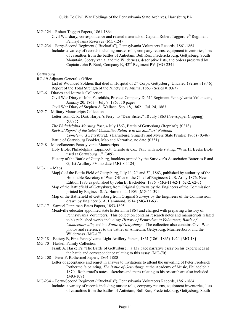MG-124 – Robert Taggert Papers, 1861-1864

- Civil War diary, correspondence and related materials of Captain Robert Taggert, 9<sup>th</sup> Regiment Pennsylvania Reserves {MG-124}
- MG-234 Forty-Second Regiment ("Bucktails"), Pennsylvania Volunteers Records, 1861-1864
	- Includes a variety of records including muster rolls, company returns, equipment inventories, lists of casualties from the battles of Antietam, Bull Run, Fredericksburg, Gettysburg, South Mountain, Spotsylvania, and the Wilderness, descriptive lists, and orders preserved by Captain John P. Bard, Company K,  $42<sup>nd</sup>$  Regiment PV {MG-234}

# **Gettysburg**

RG-19 Adjutant General's Office

List of Wounded Soldiers that died in Hospital of  $2^{nd}$  Corps, Gettysburg, Undated {Series #19.46} Report of the Total Strength of the Ninety Day Militia, 1863 {Series #19.67}

- MG-6 Diaries and Journals Collection
	- Civil War Diary of John Fairchilds, Private, Company D, 61<sup>st</sup> Regiment Pennsylvania Volunteers, January 20, 1863 – July 7, 1863, 10 pages

Civil War Diary of Stephen A. Wallace, Sep. 18, 1862 – Jul. 24, 1863

MG-7 – Military Manuscripts Collection

Letter from C. R. Dart, Harper's Ferry, to "Dear Sister," 18 July 1863 (Newspaper Clipping)  ${0075}$ 

*The Philadelphia Morning Post*, 4 July 1863, Battle of Gettysburg (Reprint?) {0218}

*Revised Report of the Select Committee Relative to the Soldiers' National*

*Cemetery*…(Gettysburg). (Harrisburg, Singerly and Myers State Printer: 1865) {0346} Battle of Gettysburg Booklet, Map and Narrative, no date {0351}

MG-8 – Miscellaneous Pennsylvania Manuscripts

Holy Bible, Philadelphia: Lippincott, Granfo & Co., 1855 with note stating: "Wm. H. Beeks Bible used at Gettysburg…" {309}

History of the Battle of Gettysburg, booklets printed by the Survivor's Association Batteries F and G, 1st Artillery PV, no date {MG-8-1124}

 $MG-11 - Maps$ 

- Map[s] of the Battle Field of Gettysburg, July  $1^{st}$ ,  $2^{nd}$  and  $3^{rd}$ , 1863, published by authority of the Honorable Secretary of War, Office of the Chief of Engineers U. S. Army 1876, New Edition 1883 as published by John B. Bachelder, 1876 {MG-11-62-1, 62-2, 62-3}
- Map of the Battlefield of Gettysburg from Original Surveys by the Engineers of the Commission, printed by Engineer S. A. Hammond, 1903 {MG-11-39}
- Map of the Battlefield of Gettysburg from Original Surveys by the Engineers of the Commission, drawn by Engineer S. A. Hammond, 1914 {MG-11-63}
- MG-17 Samuel Penniman Bates Papers, 1853-1895

Meadville educator appointed state historian in 1864 and charged with preparing a history of Pennsylvania Volunteers. This collection contains research notes and manuscripts related to his published works including: *History of Pennsylvania Volunteers, Battle of Chancellorsville,* and his *Battle of Gettysburg.* The collection also contains Civil War photos and references to the battles of Antietam, Gettysburg, Murfreesboro, and the Wilderness {MG-17}

- MG-18 Battery B, First Pennsylvania Light Artillery Papers, 1861 (1861-1865)-1924 {MG-18}
- MG-70 Haskell Family Collection
	- Frank A. Haskell's "The Battle of Gettysburg;" a 138 page narrative essay on his experiences at the battle and correspondence relating to this essay {MG-70}
- MG-108 Peter F. Rothermel Papers, 1864-1880
	- Letter of acceptance and regret in answer to invitations to attend the unveiling of Peter Frederick Rothermel's painting, *The Battle of Gettysburg*, at the Academy of Music, Philadelphia, 1870. Rothermel's notes , sketches and maps relating to his research are also included {MG-108}

MG-234 – Forty-Second Regiment ("Bucktails"), Pennsylvania Volunteers Records, 1861-1864

Includes a variety of records including muster rolls, company returns, equipment inventories, lists of casualties from the battles of Antietam, Bull Run, Fredericksburg, Gettysburg, South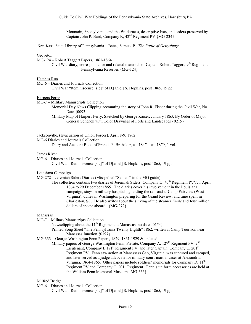Mountain, Spotsylvania, and the Wilderness, descriptive lists, and orders preserved by Captain John P. Bard, Company K, 42nd Regiment PV {MG-234}

 *See Also:* State Library of Pennsylvania – Bates, Samuel P. *The Battle of Gettysburg.*

#### Groveton

MG-124 – Robert Taggert Papers, 1861-1864

Civil War diary, correspondence and related materials of Captain Robert Taggert, 9<sup>th</sup> Regiment Pennsylvania Reserves {MG-124}

#### Hatches Run

MG-6 – Diaries and Journals Collection

Civil War "Reminiscense [sic]" of D.[aniel] S. Hopkins, post 1865, 19 pp.

#### Harpers Ferry

MG-7 – Military Manuscripts Collection

Memorial Day News Clipping accounting the story of John R. Fisher during the Civil War, No Date {0093}

Military Map of Harpers Ferry, Sketched by George Kaiser, January 1863, By Order of Major General Schenck with Color Drawings of Forts and Landscapes {0215}

#### Jacksonville, (Evacuation of Union Forces), April 8-9, 1862

MG-6 Diaries and Journals Collection

Diary and Account Book of Francis F. Brubaker, ca. 1847 – ca. 1879, 1 vol.

#### James River

MG-6 – Diaries and Journals Collection

Civil War "Reminiscense [sic]" of D[aniel] S. Hopkins, post 1865, 19 pp.

Louisiana Campaign

MG-272 – Jeremiah Siders Diaries (Misspelled "Seiders" in the MG guide)

The collection contains two diaries of Jeremiah Siders, Company H, 47<sup>th</sup> Regiment PVV, 1 April 1864 to 29 December 1865. The diaries cover his involvement in the Louisiana campaign, stays in military hospitals, guarding the railroad at Camp Fairview (West Virginia), duties in Washington preparing for the Grand Review, and time spent in Charleston, SC. He also writes about the sinking of the steamer *Emile* and four million dollars of specie aboard. {MG-272}

#### Manassas

MG-7 – Military Manuscripts Collection

Newsclipping about the 11<sup>th</sup> Regiment at Manassas, no date  $\{0154\}$ 

Printed Song Sheet "The Pennsylvania Twenty-Eighth" 1862, written at Camp Tourison near Manassas Junction {0197}

MG-333 – George Washington Fenn Papers, 1829, 1861-1929 & undated

Military papers of George Washington Fenn, Private, Company A,  $127<sup>th</sup>$  Regiment PV,  $2<sup>nd</sup>$ Lieutenant, Company I,  $181<sup>st</sup>$  Regiment PV, and later Captain, Company C,  $201<sup>st</sup>$ Regiment PV. Fenn saw action at Manassass Gap, Virginia, was captured and escaped, and later served as a judge advocate for military court-martial cases at Alexandria Virginia, 1864-1865. Other papers include soldiers' memorials for Company D, 11<sup>th</sup> Regiment PV and Company C,  $201<sup>st</sup>$  Regiment. Fenn's uniform accessories are held at the William Penn Memorial Museum {MG-333}

## Milfred Bridge

MG-6 – Diaries and Journals Collection

Civil War "Reminiscense [sic]" of D[aniel] S. Hopkins, post 1865, 19 pp.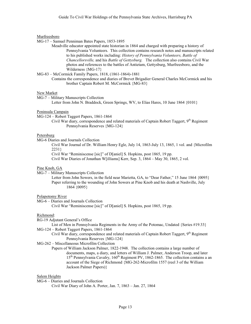## Murfreesboro

- MG-17 Samuel Penniman Bates Papers, 1853-1895
	- Meadville educator appointed state historian in 1864 and charged with preparing a history of Pennsylvania Volunteers. This collection contains research notes and manuscripts related to his published works including: *History of Pennsylvania Volunteers, Battle of Chancellorsville,* and his *Battle of Gettysburg.* The collection also contains Civil War photos and references to the battles of Antietam, Gettysburg, Murfreesboro, and the Wilderness {MG-17}
- MG-83 McCormick Family Papers, 1818, (1861-1864)-1881
	- Contains the correspondence and diaries of Brevet Brigadier General Charles McCormick and his brother Captain Robert M. McCormick {MG-83}

## New Market

MG-7 – Military Manuscripts Collection

Letter from John N. Braddock, Green Springs, WV, to Elias Hares, 10 June 1864 {0101}

## Peninsula Campain

- MG-124 Robert Taggert Papers, 1861-1864
	- Civil War diary, correspondence and related materials of Captain Robert Taggert, 9<sup>th</sup> Regiment Pennsylvania Reserves {MG-124}

# Petersburg

MG-6 Diaries and Journals Collection

Civil War Journal of Dr. William Henry Egle, July 14, 1863-July 13, 1865, 1 vol. and {Microfilm 2231}

Civil War "Reminiscense [sic]" of D[aniel] S. Hopkins, post 1865, 19 pp.

Civil War Diaries of Jonathan W[illiams] Kerr, Sep. 3, 1864 – May 30, 1865, 2 vol.

## Pine Knob, GA

MG-7 – Military Manuscripts Collection

Letter from John Sowers, in the field near Marietta, GA, to "Dear Father," 15 June 1864 {0095} Paper referring to the wounding of John Sowers at Pine Knob and his death at Nashville, July 1864 {0095}

## Polapotomy River

MG-6 – Diaries and Journals Collection

Civil War "Reminiscense [sic]" of D[aniel] S. Hopkins, post 1865, 19 pp.

## Richmond:

RG-19 Adjutant General's Office

List of Men in Pennsylvania Regiments in the Army of the Potomac, Undated {Series #19.33} MG-124 – Robert Taggert Papers, 1861-1864

Civil War diary, correspondence and related materials of Captain Robert Taggert, 9<sup>th</sup> Regiment Pennsylvania Reserves {MG-124}

MG-262 – Miscellaneous Microfilm Collection

Papers of William Jackson Palmer, 1822-1948. The collection contains a large number of documents, maps, a diary, and letters of William J. Palmer, Anderson Troop, and later 15<sup>th</sup> Pennsylvania Cavalry, 160<sup>th</sup> Regiment PV, 1862-1865. The collection contains a an account of the Siege of Richmond {MG-262-Microfilm 1557 (reel 3 of the William Jackson Palmer Papers)}

## Salem Heights

MG-6 – Diaries and Journals Collection Civil War Diary of John A. Porter, Jan. 7, 1863 – Jan. 27, 1864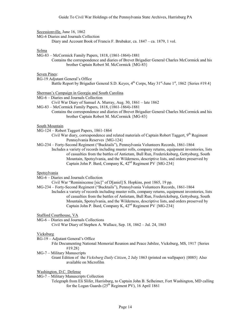Secessionville, June 16, 1862

MG-6 Diaries and Journals Collection

Diary and Account Book of Francis F. Brubaker, ca. 1847 – ca. 1879, 1 vol.

#### Selma

MG-83 – McCormick Family Papers, 1818, (1861-1864)-1881

Contains the correspondence and diaries of Brevet Brigadier General Charles McCormick and his brother Captain Robert M. McCormick {MG-83}

## Seven Pines:

RG-19 Adjutant General's Office

Battle Report by Brigadier General S.D. Keyes,  $4^{th}$  Corps, May 31<sup>st</sup>-June 1<sup>st</sup>, 1862 {Series #19.4}

Sherman's Campaign in Georgia and South Carolina

MG-6 – Diaries and Journals Collection

Civil War Diary of Samuel A. Murray, Aug. 30, 1861 – late 1862

- MG-83 McCormick Family Papers, 1818, (1861-1864)-1881
	- Contains the correspondence and diaries of Brevet Brigadier General Charles McCormick and his brother Captain Robert M. McCormick {MG-83}

#### South Mountain

- MG-124 Robert Taggert Papers, 1861-1864
	- Civil War diary, correspondence and related materials of Captain Robert Taggert, 9<sup>th</sup> Regiment Pennsylvania Reserves {MG-124}
- MG-234 Forty-Second Regiment ("Bucktails"), Pennsylvania Volunteers Records, 1861-1864
	- Includes a variety of records including muster rolls, company returns, equipment inventories, lists of casualties from the battles of Antietam, Bull Run, Fredericksburg, Gettysburg, South Mountain, Spotsylvania, and the Wilderness, descriptive lists, and orders preserved by Captain John P. Bard, Company K,  $42<sup>nd</sup>$  Regiment PV  ${MG-234}$

#### Spotsylvania

MG-6 – Diaries and Journals Collection

- Civil War "Reminiscense [sic]" of D[aniel] S. Hopkins, post 1865, 19 pp.
- MG-234 Forty-Second Regiment ("Bucktails"), Pennsylvania Volunteers Records, 1861-1864 Includes a variety of records including muster rolls, company returns, equipment inventories, lists of casualties from the battles of Antietam, Bull Run, Fredericksburg, Gettysburg, South Mountain, Spotsylvania, and the Wilderness, descriptive lists, and orders preserved by Captain John P. Bard, Company K,  $42<sup>nd</sup>$  Regiment PV {MG-234}

Stafford Courthouse, VA

MG-6 – Diaries and Journals Collections Civil War Diary of Stephen A. Wallace, Sep. 18, 1862 – Jul. 24, 1863

#### Vicksburg

RG-19 – Adjutant General's Office

File Documenting National Memorial Reunion and Peace Jubilee, Vicksburg, MS, 1917 {Series #19.28}

MG-7 – Military Manuscripts

Grant Edition of the *Vicksburg Daily Citizen*, 2 July 1863 (printed on wallpaper) {0085} Also available on Microfilm

# Washington, D.C. Defense

MG-7 – Military Manuscripts Collection

Telegraph from Eli Slifer, Harrisburg, to Captain John B. Selheimer, Fort Washington, MD calling for the Logan Guards ( $25<sup>th</sup>$  Regiment PV), 16 April 1861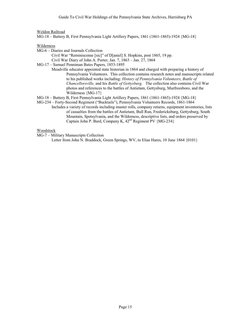Weldon Railroad

MG-18 – Battery B, First Pennsylvania Light Artillery Papers, 1861 (1861-1865)-1924 {MG-18}

Wilderness

- MG-6 Diaries and Journals Collection
	- Civil War "Reminiscense [sic]" of D[aniel] S. Hopkins, post 1865, 19 pp.
	- Civil War Diary of John A. Porter, Jan. 7, 1863 Jan. 27, 1864
- MG-17 Samuel Penniman Bates Papers, 1853-1895
	- Meadville educator appointed state historian in 1864 and charged with preparing a history of Pennsylvania Volunteers. This collection contains research notes and manuscripts related to his published works including: *History of Pennsylvania Volunteers, Battle of Chancellorsville,* and his *Battle of Gettysburg.* The collection also contains Civil War photos and references to the battles of Antietam, Gettysburg, Murfreesboro, and the Wilderness {MG-17}
- MG-18 Battery B, First Pennsylvania Light Artillery Papers, 1861 (1861-1865)-1924 {MG-18}
- MG-234 Forty-Second Regiment ("Bucktails"), Pennsylvania Volunteers Records, 1861-1864 Includes a variety of records including muster rolls, company returns, equipment inventories, lists of casualties from the battles of Antietam, Bull Run, Fredericksburg, Gettysburg, South Mountain, Spotsylvania, and the Wilderness, descriptive lists, and orders preserved by Captain John P. Bard, Company K,  $42<sup>nd</sup>$  Regiment PV {MG-234}

Woodstock

MG-7 – Military Manuscripts Collection

Letter from John N. Braddock, Green Springs, WV, to Elias Hares, 10 June 1864 {0101}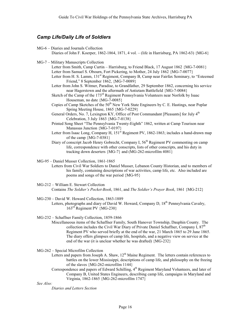# *Camp Life/Daily Life of Soldiers*

- MG-6 Diaries and Journals Collection Diaries of John F. Koerper, 1862-1864, 1871, 4 vol. – (life in Harrisburg, PA 1862-63) {MG-6}
- MG-7 Military Manuscripts Collection

Letter from Smith, Camp Curtin – Harrisburg, to Friend Black, 17 August 1862 {MG-7-0081} Letter from Samuel S. Obourn, Fort Pickering, to Mother, 24 July 1862 {MG-7-0077}

- Letter from H. S. Lamm, 131<sup>st</sup> Regiment, Company B, Camp near Fairfax Seminary, to "Esteemed" Friend," 8 September 1862, {MG-7-0089}
- Letter from John S. Witmer, Paradise, to Grandfather, 29 September 1862, concerning his service near Hagerstown and the aftermath of Antietam Battlefield {MG-7-0084}
- Sketch of the Camp of the 173<sup>rd</sup> Regiment Pennsylvania Volunteers near Norfolk by Isaac Houseman, no date {MG-7-0085}
- Copies of Camp Sketches of the 50<sup>th</sup> New York State Engineers by C. E. Hastings, near Poplar Spring Meeting House, 1865 {MG-7-0229}
- General Orders, No. 7, Lexington KY, Office of Post Commandant [Pleasants] for July 4<sup>th</sup> Celebration, 3 July 1863 {MG-7-0138}
- Printed Song Sheet "The Pennsylvania Twenty-Eighth" 1862, written at Camp Tourison near Manassas Junction {MG-7-0197}
- Letter from Isaac Long, Company H,  $151<sup>st</sup>$  Regiment PV, 1862-1863; includes a hand-drawn map of the camp {MG-7-0381}
- Diary of conscript Jacob Henry Gobrecht, Company I,  $56<sup>th</sup>$  Regiment PV commenting on camp life, correspondence with other conscripts, lists of other conscripts, and his duty in tracking down deserters {MG-7} and (MG-262-microfilm 4081}

MG-95 – Daniel Musser Collection, 1861-1865

- Letters from Civil War Soldiers to Daniel Musser, Lebanon County Historian, and to members of his family, containing descriptions of war activities, camp life, etc. Also included are poems and songs of the war period {MG-95}
- MG-212 William E. Stewart Collection

Contains *The Soldier's Pocket-Book*, 1861, and *The Soldier's Prayer Book*, 1861 {MG-212}

MG-230 – David W. Howard Collection, 1863-1889

Letters, photographs and diary of David W. Howard, Company D, 18<sup>th</sup> Pennsylvania Cavalry,  $163^{\text{rd}}$  Regiment PV {MG-230}

MG-232 – Schaffner Family Collection, 1859-1866

Miscellaneous items of the Schaffner Family, South Hanover Township, Dauphin County. The collection includes the Civil War Diary of Private Daniel Schaffner, Company I,  $87<sup>th</sup>$ Regiment PV who served briefly at the end of the war, 21 March 1865 to 29 June 1865. The diary offers glimpses of camp life, hospitals, and a negative view on service at the end of the war (it is unclear whether he was drafted) {MG-232}

MG-262 – Special Microfilm Collection

- Letters and papers from Joseph A. Shaw, 12<sup>th</sup> Maine Regiment. The letters contain references to battles on the lower Mississippi, descriptions of camp life, and philosophy on the freeing of the slaves {MG-262-microfilm 1144}
- Correspondence and papers of Edward Schilling,  $4<sup>th</sup>$  Regiment Maryland Volunteers, and later of Company B, United States Engineers, describing camp life, campaigns in Maryland and Virginia, 1862-1865 {MG-262-microfilm 1747}

*See Also:*

*Diaries and Letters Section*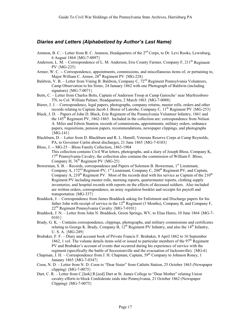# *Diaries and Letters (Alphabetized by Author's Last Name)*

- Ammon, B. C. Letter from B. C. Ammon, Headquarters of the  $2<sup>nd</sup>$  Corps, to Dr. Levi Rooks, Lewisburg, 6 August 1864 {MG-7-0097}
- Anderson, L. M. Correspondence of L. M. Anderson, Erie County Farmer, Company F, 211<sup>th</sup> Regiment PV {MG-225}
- Armor, W. C. -- Correspondence, appointments, commissions, and miscellaneous items of, or pertaining to, Major William C. Armor,  $28<sup>th</sup>$  Regiment PV  ${MG-228}$
- Baldwin, V. B. Letter from Vining B. Baldwin, Company C,  $72<sup>nd</sup>$  Regiment Pennsylvania Volunteers, Camp Observation to his Sister, 24 January 1862 with one Photograph of Baldwin (including signature) {MG-7-0071}
- Betts, C. Letter from Charles Betts, Captain of Anderson Troop at Camp Garesche' near Murfreesboro TN, to Col. William Palmer, Headquarters, 2 March 1863 {MG-7-0088}
- Bierer, J. J. Correspondence, legal papers, photographs, company returns, muster rolls, orders and other records relating to Captain Jacob J. Bierer of Latrobe, Company C,  $11<sup>th</sup>$  Regiment PV {MG-253}
- Black, J. D. Papers of John D. Black, Erie Regiment of the Pennsylvania Volunteer Infantry, 1861 and the  $145<sup>th</sup>$  Regiment PV, 1862-1865. Included in the collection are: correspondence from Nelson A. Miles and Edwin Stanton, records of commissions, appointments, military orders, ordnance papers, requisitions, pension papers, recommendations, newspaper clippings, and photographs {MG-141}
- Blackburn, D. Letter from D. Blackburn and R. L. Hamill, Veterans Reserve Corps at Camp Reynolds, PA, to Governor Curtin about discharges, 21 June 1865 {MG-7-0103}
- Bloss, J. -- MG-25 Bloss Family Collection, 1863-1904 This collection contains Civil War letters, photographs, and a diary of Joseph Bloss, Company K,  $17<sup>th</sup>$  Pennsylvania Cavalry; the collection also contains the commission of William F. Bloss, Company H,  $76<sup>th</sup>$  Regiment PV  ${MG-25}$
- Bowerman, S. B. Records, correspondence and Papers of Solomon B. Bowerman,  $1<sup>st</sup>$  Lieutenant, Company A, 172<sup>nd</sup> Regiment PV, 1<sup>st</sup> Lieutenant, Company C, 200<sup>th</sup> Regiment PV, and Captain, Company A,  $210^{th}$  Regiment PV. Most of the records deal with his service as Captain of the  $210^{th}$ Regiment PV including muster rolls, morning reports, quartermaster reports, clothing supply inventories, and hospital records with reports on the effects of deceased soldiers. Also included are written orders, correspondence, an army regulation booklet and receipts for payroll and transportation {MG-337}
- Braddock, J. Correspondence from James Braddock asking for Enlistment and Discharge papers for his father John with receipt of service in the  $12<sup>th</sup>$  Regiment (3 Months), Company B, and Company F,  $22<sup>nd</sup>$  Regiment Pennsylvania Cavalry {MG-7-0101}
- Braddock, J. N. Letter from John N. Braddock, Green Springs, WV, to Elias Hares, 10 June 1864 {MG-7- 0101}
- Brady, G. K. Contains correspondence, clippings, photographs, and military commissions and certificates relating to George K. Brady, Company B,  $12<sup>th</sup>$  Regiment PV Infantry, and also the  $14<sup>th</sup>$  Infantry, U. S. A. {MG-249}
- Brubaker, F. F. Diary and account book of Private Francis F. Brubaker, 8 April 1862 to 16 September 1862, 1 vol. The volume details items sold or issued to particular members of the  $97<sup>th</sup>$  Regiment PV and Brubaker's account of events that occurred during his experience of service with the regiment (specifically the battle of Secessionville and the evacuation of Jacksonville). {MG-6}
- Chapman, J. H. Correspondence from J. H. Chapman, Captain,  $59<sup>th</sup>$  Company to Johnson Roney, 1 January 1865 {MG-7-0347}
- Coon, N. D. Letter from N. D. Coon to "Dear Sister" from Catletts Station, 25 October 1863 (Newspaper clipping) {MG-7-0075}
- Dart, C. R. Letter from C.[lark] R.[eed] Dart at St. James College to "Dear Mother" relating Union cavalry efforts to block Confederate raids into Pennsylvania, 21 October 1862 (Newspaper Clipping) {MG-7-0075}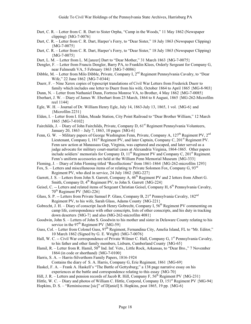- Dart, C. R. Letter from C. R. Dart to Sister Orpha, "Camp in the Woods," 11 May 1862 (Newspaper clipping) {MG-7-0076}
- Dart, C. R. Letter from C. R. Dart, Harper's Ferry, to "Dear Sister," 18 July 1863 (Newspaper Clipping)  ${MG-7-0075}$
- Dart, C. R. Letter from C. R. Dart, Harper's Ferry, to "Dear Sister," 18 July 1863 (Newspaper Clipping)  ${MG-7-0075}$
- Dart, L. M. Letter from L. M.[anzer] Dart to "Dear Mother," 31 March 1863 {MG-7-0075}
- Dengler, F. Letter from Francis Dengler, Barry PA, to Franklin Klees, Orderly Sergeant for Company G, near Falmouth VA, 5 February 1863 {MG-7-0086}
- Dibble, M. Letter from Milo Dibble, Private, Company I, 2<sup>nd</sup> Regiment Pennsylvania Cavalry, to "Dear" Wife," 22 June 1862 {MG-7-0344}
- Duerr, F. Nine Xerox copies of typescript translations of Civil War Letters from Frederick Duerr to family which includes one letter to Duerr from his wife, October 1864 to April 1865 {MG-8-903}
- Dunn, N. Letter from Nathaniel Dunn, Fortress Monroe VA, to Brother, 4 May 1862 {MG-7-0085}
- Eberhart, J. W. Diary of James W. Eberhart from 23 March, 1864 to 8 August, 1865 {MG-262-Microfilm reel 1144}
- Egle, W. H. Journal of Dr. William Henry Egle, July 14, 1863-July 13, 1865, 1 vol. {MG-6} and {Microfilm 2231}
- Elden, I. Letter from I. Elden, Meade Station, City Point Railroad to "Dear Brother William," 12 March 1865 {MG-7-0102}
- Fairchilds, J. Diary of John Fairchilds, Private, Company D, 61<sup>st</sup> Regiment Pennsylvania Volunteers, January 20, 1863 – July 7, 1863, 10 pages {MG-6}
- Fenn, G. W. Military papers of George Washington Fenn, Private, Company A,  $127<sup>th</sup>$  Regiment PV,  $2<sup>nd</sup>$ Lieutenant, Company I, 181<sup>st</sup> Regiment PV, and later Captain, Company C, 201<sup>st</sup> Regiment PV. Fenn saw action at Manassass Gap, Virginia, was captured and escaped, and later served as a judge advocate for military court-martial cases at Alexandria Virginia, 1864-1865. Other papers include soldiers' memorials for Company D,  $11<sup>th</sup>$  Regiment PV and Company C,  $201<sup>st</sup>$  Regiment. Fenn's uniform accessories are held at the William Penn Memorial Museum {MG-333}
- Fleming, J. Diary of John Fleming titled "Recollections" from 1861-1864 {MG-262-microfilm 1293}
- Fox, S. Letters and miscellaneous items of or relating to Private Solomon Fox, Company G,  $93<sup>rd</sup>$ Regiment PV, who died in service, 24 July 1862 {MG-227}
- Garrett, J. S. Letters from John S. Garrett, Company A,  $46<sup>th</sup>$  Regiment PV and 2 letters from Albert G. Smith, Company D,  $4^{\text{th}}$  Regiment PV, to John S. Garrett {MG-224}
- Geisel, C. -- Letters and related items of Sergeant Christian Geisel, Company H,  $6<sup>th</sup>$  Pennsylvania Cavalry,  $70^{th}$  Regiment PV  ${MG-226}$
- Glass, S. P. -- Letters from Private Samuel P. Glass, Company B, 21<sup>st</sup> Pennsylvania Cavalry, 182<sup>nd</sup> Regiment PV, to his wife, Sarah Glass, Adams County {MG-221}
- Gobrecht, J. H. Diary of conscript Jacob Henry Gobrecht, Company I, 56<sup>th</sup> Regiment PV commenting on camp life, correspondence with other conscripts, lists of other conscripts, and his duty in tracking down deserters {MG-7} and also (MG-262-microfilm 4081}
- Goodwin, John S. Letters of John S. Goodwin to his mother and sister in Delaware County relating to his service in the  $97<sup>th</sup>$  Regiment PV {MG-59}
- Guss, Col. Letter from Colonel Guss,  $97<sup>th</sup>$  Regiment, Fernandina City, Amelia Island, FL to "Mr. Editor," 10 March 1862 (Signed by G. E. Wright) {MG-7-0076}
- Hall, W. C. -- Civil War correspondence of Private Wilmer C. Hall, Company G, 1<sup>st</sup> Pennsylvania Cavalry, to his father and other family members, Lisburn, Cumberland County {MG-65}
- Hamil, R. Letter from R. Hamil,  $50<sup>th</sup>$  Ind. Inf. Vets., Little Rock, Arkansas, to "Dear Bro.," 7 November 1864 (in code or shorthand) {MG-7-0100}
- Harris, S. A. -- Harris-Silverthorn Family Papers, 1816-1924
- Contains the diary of S. A. Harris, Company G, Erie Regiment, 1861 {MG-69}
- Haskel, F. A. Frank A. Haskell's "The Battle of Gettysburg;" a 138 page narrative essay on his experiences at the battle and correspondence relating to this essay {MG-70}
- Hill, J. R. Letters and pension records of Jacob R. Hill, Company F,  $56<sup>th</sup>$  Regiment PV {MG-231}
- Hittle, W. C. Diary and photos of William C. Hittle, Corporal, Company D, 151<sup>st</sup> Regiment PV {MG-94}
- Hopkins, D. S. "Reminiscense [sic]" of D[aniel] S. Hopkins, post 1865, 19 pp. {MG-6}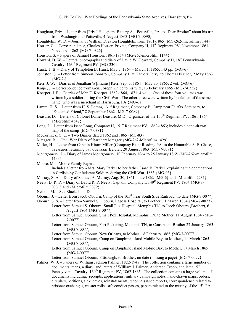- Hougham, Priv. Letter from [Priv.] Hougham, Battery A Pottsville, PA, to "Dear Brother" about his trip from Washington to Pottsville, 4 August 1863 {MG-7-0090}
- Houghtelin, W. D. Journal of William Drayton Houghtelin from 1861-1865 {MG-262-microfilm 1144}
- Houser, C. Correspondence, Charles Houser, Private, Company H, 11<sup>th</sup> Regiment PV, November 1861-November 1862 {MG-7-0326}
- Houston, S. Papers of Samuel Houston, 1861-1864 {MG-262-microfilm 1144}
- Howard, D. W. Letters, photographs and diary of David W. Howard, Company D, 18<sup>th</sup> Pennsylvania Cavalry, 163rd Regiment PV {MG-230}
- Hurst, T. B. Diary of Templeton B. Hurst, May 5, 1864 March 1, 1865, 143 pp. {MG-6}
- Johnston, S. Letter from Simeon Johnston, Company B at Harpers Ferry, to Thomas Fischer, 2 May 1863  ${MG-7-}$
- Kerr, J. W. Diaries of Jonathan W[illiams] Kerr, Sep. 3, 1864 May 30, 1865, 2 vol. {MG-6}
- Knipe, J. Correspondence from Gen. Joseph Knipe to his wife, 13 February 1865  ${MG-7-0352}$
- Koerper, J. F. Diaries of John F. Koerper, 1862-1864, 1871, 4 vol. One of these four volumes was written by a soldier during the Civil War. The other three were written by his father, of the same name, who was a merchant in Harrisburg, PA {MG-6}
- Lamm, H. S. Letter from H. S. Lamm, 131<sup>st</sup> Regiment, Company B. Camp near Fairfax Seminary, to "Esteemed Friend," 8 September 1862 {MG-7-0089}
- Leasure, D. Letters of Colonel Daniel Leasure, M.D., Organizer of the 100<sup>th</sup> Regiment PV, 1861-1864 {Microfilm 4547}
- Long, I. Letter from Isaac Long, Company H, 151<sup>st</sup> Regiment PV, 1862-1863; includes a hand-drawn map of the camp {MG-7-0381}
- McCormick, C. C. Two Diaries dated 1862 and 1865 {MG-83}
- Metzger, B. Civil War Diary of Barnhart Metzger {MG-262-Microfilm 1429}
- Miller, H. Letter from Captain Hiram Miller (Company E), at Reading PA, to the Honorable S. P. Chase, Treasurer, returning pay due Isaac Beidler, 20 August 1863 {MG-7-0091}
- Montgomery, J. Diary of James Montgomery, 10 February 1864 to 25 January 1865 {MG-262-microfilm 1144}
- Moore, M. Moore Family Papers

Includes a letter from Mrs. Mary Parker to her father, Isaac B. Parker, explaining the depredations in Carlisle by Confederate Soldiers during the Civil War, 1863 {MG-93}

- Murray, S. A. Diary of Samuel A. Murray, Aug. 30, 1861 late 1862 {MG-6} and {Microfilm 2231}
- Neely, D. R. P. Diary of David R. P. Neely, Captain, Company I, 149<sup>th</sup> Regiment PV, 1864 {MG-7-
- 0331} and {Microfilm 3879}
- Nelson, M. See Black, John D.
- Obourn, J. Letter from Jacob Obourn, Camp of the 105<sup>th</sup> near South Side Railroad, no date  ${MG-7-0077}$
- Obourn, S. S. Letter from Samuel S. Obourn, Pagosa Hospital, to Brother, 31 March 1864 {MG-7-0077} Letter from Samuel S. Obourn, Small Pox Hospital, Memphis TN, to Jacob Obourn (Brother), 6 August 1864 {MG-7-0077}
	- Letter from Samuel Obourn, Small Pox Hospital, Memphis TN, to Mother, 11 August 1864 {MG-7-0077}
	- Letter from Samuel Obourn, Fort Pickering, Memphis TN, to Cousin and Brother 27 January 1863 {MG-7-0077}
	- Letter from Samuel Obourn, New Orleans, to Mother, 18 February 1865 {MG-7-0077}
	- Letter from Samuel Obourn, Camp on Dauphine Island Mobile Bay, to Mother , 11 March 1865  ${MG-7-0077}$
	- Letter from Samuel Obourn, Camp on Dauphine Island Mobile Bay, to Mother, 17 March 1865  ${MG-7-0077}$

Letter from Samuel Obourn, Pittsburgh, to Brother, no date (missing a page) {MG-7-0077}

Palmer, W. J. – Papers of William Jackson Palmer, 1822-1948. The collection contains a large number of documents, maps, a diary, and letters of William J. Palmer, Anderson Troop, and later 15<sup>th</sup> Pennsylvania Cavalry,  $160^{th}$  Regiment PV, 1862-1865. The collection contains a large volume of documents including: receipts, applications, military campaign notes, hand-drawn maps, orders, circulars, petitions, sick leaves, reinstatements, reconnaissance reports, correspondence related to prisoner exchanges, muster rolls, safe conduct passes, papers related to the mutiny of the  $15<sup>th</sup> PA$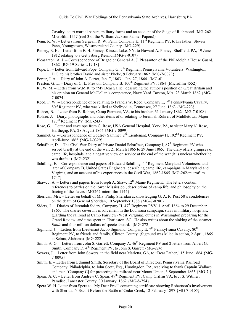Cavalry, court martial papers, military forms and an account of the Siege of Richmond {MG-262- Microfilm 1557 (reel 3 of the William Jackson Palmer Papers)}

- Penn, R. W. Letters from Sergeant R. W. Penn, Company K,  $11<sup>th</sup>$  Regiment PV, to his father, Steven Penn, Youngstown, Westmoreland County {MG-229}
- Pinney, E. H. Letter from E. H. Pinney, Kinoza Lake, NY, to Howard A. Pinney, Sheffield, PA, 19 June 1912 relating to a Gettysburg Reunion{MG-7-0107}
- Pleasanton, A. J. Correspondence of Brigadier General A. J. Pleasanton of the Philadelphia House Guard, 1862 {RG-19-Series #19.18}
- Pope, E. Letter from Edward Pope, Company G,  $5<sup>th</sup>$  Regiment Pennsylvania Volunteers, Washington, D.C. to his brother David and sister Phebe, 9 February 1862 {MG-7-0073}
- Porter, J. A. Diary of John A. Porter, Jan. 7, 1863 Jan. 27, 1864 {MG-6}
- Preston, G. L. Diary of G. L. Preston, Company B,  $100<sup>th</sup>$  Regiment PV, 1864 {Microfilm 4552}
- R., W. M. Letter from W.M.R. to "My Dear Sallie" describing the author's position on Great Britain and his opinion on General McClellan's competence, Navy Yard, Boston, MA, 23 March 1862 {MG-7-0074}
- Reed, F. W. Correspondence of or relating to Francis W. Reed, Company L,  $7<sup>th</sup>$  Pennsylvania Cavalry,  $80<sup>th</sup>$  Regiment PV, who was killed at Shelbyville, Tennessee, 27 June, 1863 {MG-223}
- Rohrer, B. Letter from B. Rohrer, Camp Pierpont, VA, to his brother, 31 January 1862 {MG-7-0108}
- Rohrer, J. Diary, photographs and other items of or relating to Jeremiah Rohrer, of Middletown, Major  $127<sup>th</sup>$  Regiment PV {MG-243}
- Rose, G. Letter and envelope from G. Rose, USA General Hospital, York, PA, to sister Mary N. Rose, Harthegig, PA, 28 August 1864 {MG-7-0099}
- Sammet, G. Correspondence of Godfrey Sammet, 2<sup>nd</sup> Lieutenant, Company H, 192<sup>nd</sup> Regiment PV, April-June 1865 {MG-7-0329}
- Schaffner, D. The Civil War Diary of Private Daniel Schaffner, Company I, 87<sup>th</sup> Regiment PV who served briefly at the end of the war, 21 March 1865 to 29 June 1865. The diary offers glimpses of camp life, hospitals, and a negative view on service at the end of the war (it is unclear whether he was drafted) {MG-232}
- Schilling, E. Correspondence and papers of Edward Schilling,  $4<sup>th</sup>$  Regiment Maryland Volunteers, and later of Company B, United States Engineers, describing camp life, campaigns in Maryland and Virginia, and an account of his experiences in the Civil War, 1862-1865 {MG-262-microfilm 1747}
- Shaw, J. A. Letters and papers from Joseph A. Shaw,  $12<sup>th</sup>$  Maine Regiment. The letters contain references to battles on the lower Mississippi, descriptions of camp life, and philosophy on the freeing of the slaves {MG262-microfilm 1144}
- Sheridan, Mrs. Letter on behalf of Mrs. Philip Sheridan acknowledging G. A. R. Post 58's condolences on the death of General Sheridan, 10 September 1888 {MG-7-0280}
- Siders, J. Diaries of Jeremiah Siders, Company H,  $47<sup>th</sup>$  Regiment PVV, 1 April 1864 to 29 December 1865. The diaries cover his involvement in the Louisiana campaign, stays in military hospitals, guarding the railroad at Camp Fairview (West Virginia), duties in Washington preparing for the Grand Review, and time spent in Charleston, SC. He also writes about the sinking of the steamer *Emile* and four million dollars of specie aboard. {MG-272}
- Sigmund, J. Letters from Lieutenant Jacob Sigmund, Company E,  $7<sup>th</sup>$  Pennsylvania Cavalry,  $80<sup>th</sup>$ Regiment PV, to friends and family, Clinton County (Sigmund was killed in action, 2 April, 1865 at Selma, Alabama) {MG-222}
- Smith, A. G. Letters from John S. Garrett, Company A,  $46<sup>th</sup>$  Regiment PV and 2 letters from Albert G. Smith, Company D,  $4^{th}$  Regiment PV, to John S. Garrett {MG-224}
- Sowers, J. Letter from John Sowers, in the field near Marietta, GA, to "Dear Father," 15 June 1864 {MG-7-0095}
- Smith, E. Letter from Edmund Smith, Secretary of the Board of Directors, Pennsylvania Railroad Company, Philadelphia, to John Scott, Esq., Huntingdon, PA, resolving to thank Captain Wallace and men [Company C] for protecting the railroad near Mount Union, 3 September 1863 {MG-7-}
- Spear, A. C. Letter from Andrew C. Spear,  $49<sup>th</sup>$  Regiment PV, Camp Griffin VA, to J. S. Witmer, Paradise, Lancaster County, 30 January, 1862 {MG-8-754}
- Spera W. H. Letter from Spera to "My Dear Fred" containing certificate showing Robertson's involvement with Sheridan's Escort Before the Battle of Cedar Creek, 12 February 1897 {MG-7-0105}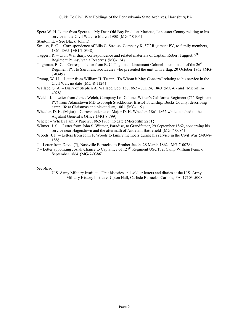- Spera W. H. Letter from Spera to "My Dear Old Boy Fred," at Marietta, Lancaster County relating to his service in the Civil War, 16 March 1908 {MG-7-0106}
- Stanton, E. See Black, John D.
- Strauss, E. C. Correspondence of Ellis C. Strouss, Company K,  $57<sup>th</sup>$  Regiment PV, to family members, 1861-1865 {MG-7-0348}
- Taggert, R. Civil War diary, correspondence and related materials of Captain Robert Taggert,  $9<sup>th</sup>$ Regiment Pennsylvania Reserves {MG-124}
- Tilghman, B. C. Correspondence from B. C. Tilghman, Lieutenant Colonel in command of the  $26<sup>th</sup>$ Regiment PV, to San Francisco Ladies who presented the unit with a flag, 20 October 1862 {MG-7-0349}
- Trump, W. H. Letter from William H. Trump "To Whom it May Concern" relating to his service in the Civil War, no date {MG-8-1124}
- Wallace, S. A. Diary of Stephen A. Wallace, Sep. 18, 1862 Jul. 24, 1863 {MG-6} and {Microfilm 4028}
- Welch, J. Letter from James Welch, Company I of Colonel Wistar's California Regiment  $(71<sup>st</sup>$  Regiment PV) from Adamstown MD to Joseph Stackhouse, Bristol Township, Bucks County, describing camp life at Christmas and picket duty, 1861 {MG-119}
- Wheeler, D. H. (Major) Correspondence of Major D. H. Wheeler, 1861-1862 while attached to the Adjutant General's Office {MG-8-799}
- Wheler Wheler Family Papers, 1862-1865, no date {Microfilm 2231}
- Witmer, J. S. Letter from John S. Witmer, Paradise, to Grandfather, 29 September 1862, concerning his service near Hagerstown and the aftermath of Antietam Battlefield {MG-7-0084}
- Woods, J. F. Letters from John F. Woods to family members during his service in the Civil War {MG-8- 188}
- ? Letter from David (?), Nashville Barracks, to Brother Jacob, 28 March 1862 {MG-7-0078}
- ? Letter appointing Josiah Chance to Captaincy of 127<sup>th</sup> Regiment USCT, at Camp William Penn, 6 September 1864 {MG-7-0386}

#### *See Also:*

U.S. Army Military Institute. Unit histories and soldier letters and diaries at the U.S. Army Military History Institute, Upton Hall, Carlisle Barracks, Carlisle, PA 17103-5008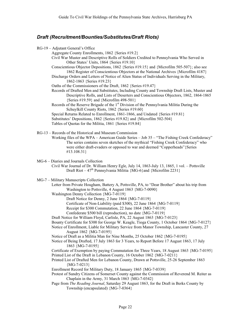# *Draft (Recruitment/Bounties/Substitutes/Draft Riots)*

| RG-19 - Adjutant General's Office                                                                                                                                                                                                                                                                   |
|-----------------------------------------------------------------------------------------------------------------------------------------------------------------------------------------------------------------------------------------------------------------------------------------------------|
| Aggregate County Enrollments, 1862 {Series #19.2}                                                                                                                                                                                                                                                   |
| Civil War Muster and Descriptive Rolls of Soldiers Credited to Pennsylvania Who Served in<br>Other States' Units, 1864 {Series #19.10}                                                                                                                                                              |
| Conscientious Objector Depositions, 1862 {Series #19.15} and {Microfilm 505-507}; also see<br>1862 Register of Conscientious Objectors at the National Archives {Microfilm 4187}                                                                                                                    |
| Discharge Orders and Letters of Notice of Alien Status of Individuals Serving in the Military,<br>1862-1863 {Series #19.23}                                                                                                                                                                         |
| Oaths of the Commissioners of the Draft, 1862 {Series #19.47}<br>Records of Drafted Men and Substitutes, Including County and Township Draft Lists, Muster and<br>Descriptive Rolls, and Lists of Deserters and Conscientious Objectors, 1862, 1864-1865<br>{Series #19.59} and {Microfilm 498-501} |
| Records of the Reserve Brigade of the 1 <sup>st</sup> Division of the Pennsylvania Militia During the                                                                                                                                                                                               |
| Schuylkill County Riots, 1862 {Series #19.60}                                                                                                                                                                                                                                                       |
| Special Returns Related to Enrollment, 1861-1866, and Undated {Series #19.81}<br>Substitutes' Depositions, 1862 {Series #19.82} and {Microfilm 502-504}<br>Tables of Quotas for the Militia, 1861 {Series #19.84}                                                                                   |
| RG-13 – Records of the Historical and Museum Commission                                                                                                                                                                                                                                             |
| Working files of the WPA - American Guide Series - Job 35 - "The Fishing Creek Confederacy"<br>The series contains seven sketches of the mythical "Fishing Creek Confederacy" who<br>were either draft-evaders or opposed to war and deemed "Copperheads" {Series<br>#13.108.31}                    |
|                                                                                                                                                                                                                                                                                                     |
| MG-6 - Diaries and Journals Collection<br>Civil War Journal of Dr. William Henry Egle, July 14, 1863-July 13, 1865, 1 vol. - Pottsville<br>Draft Riot – $47^{\text{th}}$ Pennsylvania Militia {MG-6} and {Microfilm 2231}                                                                           |
| MG-7 - Military Manuscripts Collection                                                                                                                                                                                                                                                              |
| Letter from Private Hougham, Battery A, Pottsville, PA, to "Dear Brother" about his trip from<br>Washington to Pottsville, 4 August 1863 {MG-7-0090}                                                                                                                                                |
| Washington Denny Collection {MG-7-0119}                                                                                                                                                                                                                                                             |
| Draft Notice for Denny, 2 June 1864 {MG-7-0119}<br>Certificate of Non-Liability (paid \$300), 22 June 1864 {MG-7-0119}                                                                                                                                                                              |
| Receipt for \$300 Commutation, 22 June 1864 {MG-7-0119}                                                                                                                                                                                                                                             |
| Confederate \$500 bill (reproduction), no date {MG-7-0119}                                                                                                                                                                                                                                          |
| Draft Notice for William Floyd, Carlisle, PA, 22 August 1863 {MG-7-0123}                                                                                                                                                                                                                            |
| Bounty Certificate for \$300 for George W. Keagle, Tioga County, 1 October 1864 {MG-7-0127}                                                                                                                                                                                                         |
| Notice of Enrollment, Liable for Military Service from Manor Township, Lancaster County, 27<br>August 1862 {MG-7-0195}                                                                                                                                                                              |
| Notice of Draft as a Militia Man for Nine Months, 25 October 1862 {MG-7-0195}                                                                                                                                                                                                                       |
| Notice of Being Drafted, 17 July 1863 for 3 Years, to Report Before 17 August 1863, 17 July<br>1863 {MG-7-0195}                                                                                                                                                                                     |
| Certificate of Exemption by paying Commutation for Three Years, 18 August 1863 {MG-7-0195}                                                                                                                                                                                                          |
| Printed List of the Draft in Lebanon County, 16 October 1862 {MG-7-0211}<br>Printed List of Drafted Men for Lebanon County, Drawn at Pottsville, 25-26 September 1863<br>${MG-7-0213}$                                                                                                              |
| Enrollment Record for Military Duty, 18 January 1865 {MG-7-0339}                                                                                                                                                                                                                                    |
| Protest of Sundry Citizens of Somerset County against the Commission of Reverend M. Reiter as<br>Chaplain in the Army, 31 March 1863 {MG-7-0342}                                                                                                                                                    |
| Page from The Reading Journal, Saturday 29 August 1863, for the Draft in Berks County by<br>Township (encapsulated) {MG-7-0364}                                                                                                                                                                     |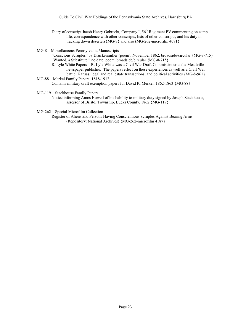Diary of conscript Jacob Henry Gobrecht, Company I,  $56<sup>th</sup>$  Regiment PV commenting on camp life, correspondence with other conscripts, lists of other conscripts, and his duty in tracking down deserters{MG-7} and also (MG-262-microfilm 4081}

MG-8 – Miscellaneous Pennsylvania Manuscripts

"Conscious Scruples" by Druckenmiller (poem), November 1862, broadside/circular {MG-8-715} "Wanted, a Substitute," no date, poem, broadside/circular {MG-8-715}

R. Lyle White Papers – R. Lyle White was a Civil War Draft Commissioner and a Meadville newspaper publisher. The papers reflect on these experiences as well as a Civil War battle, Kansas, legal and real estate transactions, and political activities {MG-8-961} MG-88 – Merkel Family Papers, 1818-1912

Contains military draft exemption papers for David R. Merkel, 1862-1863 {MG-88}

MG-119 – Stackhouse Family Papers

Notice informing Amos Howell of his liability to military duty signed by Joseph Stackhouse, assessor of Bristol Township, Bucks County, 1862 {MG-119}

MG-262 – Special Microfilm Collection

Register of Aliens and Persons Having Conscientious Scruples Against Bearing Arms (Repository: National Archives) {MG-262-microfilm 4187}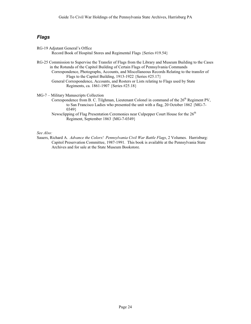# *Flags*

| RG-19 Adjutant General's Office                                     |  |
|---------------------------------------------------------------------|--|
| Record Book of Hospital Stores and Regimental Flags {Series #19.54} |  |

RG-25 Commission to Supervise the Transfer of Flags from the Library and Museum Building to the Cases in the Rotunda of the Capitol Building of Certain Flags of Pennsylvania Commands Correspondence, Photographs, Accounts, and Miscellaneous Records Relating to the transfer of Flags to the Capitol Building, 1913-1922 {Series #25.17}

General Correspondence, Accounts, and Rosters or Lists relating to Flags used by State Regiments, ca. 1861-1907 {Series #25.18}

MG-7 – Military Manuscripts Collection

Correspondence from B. C. Tilghman, Lieutenant Colonel in command of the  $26<sup>th</sup>$  Regiment PV, to San Francisco Ladies who presented the unit with a flag, 20 October 1862 {MG-7- 0349}

Newsclipping of Flag Presentation Ceremonies near Culpepper Court House for the 26<sup>th</sup> Regiment, September 1863 {MG-7-0349}

*See Also:*

Sauers, Richard A. *Advance the Colors! Pennsylvania Civil War Battle Flags*, 2 Volumes. Harrisburg: Capitol Preservation Committee, 1987-1991. This book is available at the Pennsylvania State Archives and for sale at the State Museum Bookstore.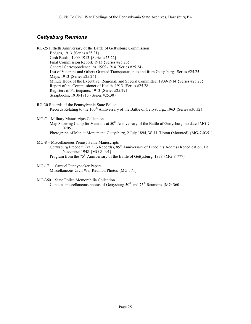# *Gettysburg Reunions*

- RG-25 Fiftieth Anniversary of the Battle of Gettysburg Commission Badges, 1913 {Series #25.21} Cash Books, 1909-1913 {Series #25.22} Final Commission Report, 1913 {Series #25.23} General Correspondence, ca. 1909-1914 {Series #25.24} List of Veterans and Others Granted Transportation to and from Gettysburg {Series #25.25} Maps, 1913 {Series #25.26} Minute Book of the Executive, Regional, and Special Committee, 1909-1914 {Series #25.27} Report of the Commissioner of Health, 1913 {Series #25.28} Registers of Participants, 1913 {Series #25.29} Scrapbooks, 1910-1915 {Series #25.30}
- RG-30 Records of the Pennsylvania State Police Records Relating to the 100<sup>th</sup> Anniversary of the Battle of Gettysburg,, 1963 {Series #30.32}
- MG-7 Military Manuscripts Collection Map Showing Camp for Veterans at  $50<sup>th</sup>$  Anniversary of the Battle of Gettysburg, no date {MG-7-0205} Photograph of Men at Monument, Gettysburg, 2 July 1894, W. H. Tipton (Mounted) {MG-7-0351}
- MG-8 Miscellaneous Pennsylvania Manuscripts Gettysburg Freedom Train (3 Records), 85<sup>th</sup> Anniversary of Lincoln's Address Rededication, 19 November 1948 {MG-8-091} Program from the  $75<sup>th</sup>$  Anniversary of the Battle of Gettysburg, 1938 {MG-8-777}
- MG-171 Samuel Pennypacker Papers Miscellaneous Civil War Reunion Photos {MG-171}
- MG-360 State Police Memorabilia Collection Contains miscellaneous photos of Gettysburg  $50<sup>th</sup>$  and  $75<sup>th</sup>$  Reunions {MG-360}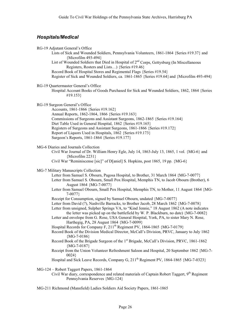# *Hospitals/Medical*

|  |  | RG-19 Adjutant General's Office |  |
|--|--|---------------------------------|--|
|--|--|---------------------------------|--|

Lists of Sick and Wounded Soldiers, Pennsylvania Volunteers, 1861-1864 {Series #19.37} and {Microfilm 493-494}

List of Wounded Soldiers that Died in Hospital of  $2<sup>nd</sup>$  Corps, Gettysburg (In Miscellaneous Registers, Rosters and Lists…) {Series #19.46}

Record Book of Hospital Stores and Regimental Flags {Series #19.54}

- Register of Sick and Wounded Soldiers, ca. 1861-1865 {Series #19.64}and {Microfilm 493-494}
- RG-19 Quartermaster General's Office

Hospital Account Books of Goods Purchased for Sick and Wounded Soldiers, 1862, 1864 {Series #19.153}

RG-19 Surgeon General's Office

- Accounts, 1861-1866 {Series #19.162} Annual Reports, 1862-1864, 1866 {Series #19.163} Commissions of Surgeons and Assistant Surgeons, 1862-1865 {Series #19.164} Diet Table Used in General Hospital, 1862 {Series #19.165} Registers of Surgeons and Assistant Surgeons, 1861-1866 {Series #19.172} Report of Liquors Used in Hospitals, 1862 {Series #19.173} Surgeon's Reports, 1861-1864 {Series #19.177}
- MG-6 Diaries and Journals Collection
	- Civil War Journal of Dr. William Henry Egle, July 14, 1863-July 13, 1865, 1 vol. {MG-6} and {Microfilm 2231}

Civil War "Reminiscense [sic]" of D[aniel] S. Hopkins, post 1865, 19 pp. {MG-6}

#### MG-7 Military Manuscripts Collection

- Letter from Samuel S. Obourn, Pagosa Hospital, to Brother, 31 March 1864 {MG-7-0077}
- Letter from Samuel S. Obourn, Small Pox Hospital, Memphis TN, to Jacob Obourn (Brother), 6 August 1864 {MG-7-0077}
- Letter from Samuel Obourn, Small Pox Hospital, Memphis TN, to Mother, 11 August 1864 {MG-7-0077}
- Receipt for Consumption, signed by Samuel Obourn, undated {MG-7-0077}
- Letter from David (?), Nashville Barracks, to Brother Jacob, 28 March 1862 {MG-7-0078}
- Letter from unsigned, Sulpher Springs VA, to "Kind Jennie," 18 August 1862 (A note indicates the letter was picked up on the battlefield by W. P. Blackburn, no date) {MG-7-0082}
- Letter and envelope from G. Rose, USA General Hospital, York, PA, to sister Mary N. Rose, Harthegig, PA, 28 August 1864 {MG-7-0099}
- Hospital Records for Company F, 211<sup>th</sup> Regiment PV, 1864-1865 {MG-7-0179}
- Record Book of the Division Medical Director, McCall's Division, PRVC, January to July 1862  ${MG-7-0186}$
- Record Book of the Brigade Surgeon of the 1<sup>st</sup> Brigade, McCall's Division, PRVC, 1861-1862 {MG-7-0187}
- Receipt from the Union Volunteer Refreshment Saloon and Hospital, 20 September 1862 {MG-7- 0024}
- Hospital and Sick Leave Records, Company G,  $211^{th}$  Regiment PV, 1864-1865 {MG-7-0323}

MG-124 – Robert Taggert Papers, 1861-1864

- Civil War diary, correspondence and related materials of Captain Robert Taggert, 9<sup>th</sup> Regiment Pennsylvania Reserves {MG-124}
- MG-211 Richmond (Mansfield) Ladies Soldiers Aid Society Papers, 1861-1865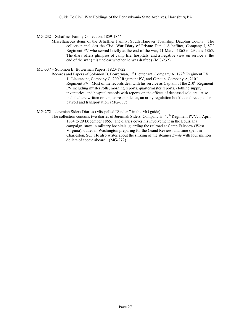MG-232 – Schaffner Family Collection, 1859-1866

Miscellaneous items of the Schaffner Family, South Hanover Township, Dauphin County. The collection includes the Civil War Diary of Private Daniel Schaffner, Company I,  $87<sup>th</sup>$ Regiment PV who served briefly at the end of the war, 21 March 1865 to 29 June 1865. The diary offers glimpses of camp life, hospitals, and a negative view on service at the end of the war (it is unclear whether he was drafted) {MG-232}

MG-337 – Solomon B. Bowerman Papers, 1823-1922

Records and Papers of Solomon B. Bowerman, 1<sup>st</sup> Lieutenant, Company A, 172<sup>nd</sup> Regiment PV,  $1<sup>st</sup>$  Lieutenant, Company C, 200<sup>th</sup> Regiment PV, and Captain, Company A, 210<sup>th</sup> Regiment PV. Most of the records deal with his service as Captain of the  $210<sup>th</sup>$  Regiment PV including muster rolls, morning reports, quartermaster reports, clothing supply inventories, and hospital records with reports on the effects of deceased soldiers. Also included are written orders, correspondence, an army regulation booklet and receipts for payroll and transportation {MG-337}

MG-272 – Jeremiah Siders Diaries (Misspelled "Seiders" in the MG guide)

The collection contains two diaries of Jeremiah Siders, Company H,  $47<sup>th</sup>$  Regiment PVV, 1 April 1864 to 29 December 1865. The diaries cover his involvement in the Louisiana campaign, stays in military hospitals, guarding the railroad at Camp Fairview (West Virginia), duties in Washington preparing for the Grand Review, and time spent in Charleston, SC. He also writes about the sinking of the steamer *Emile* with four million dollars of specie aboard. {MG-272}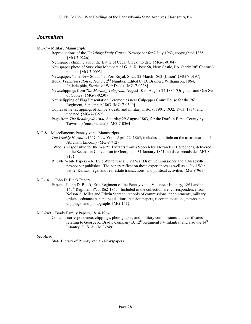# *Journalism*

MG-7 – Military Manuscripts

- Reproductions of the *Vicksburg Daily Citizen*, Newspaper for 2 July 1963, copyrighted 1885  ${MG-7-0226}$
- Newspaper clipping about the Battle of Cedar Creek, no date {MG-7-0104}
- Newspaper photo of Surviving Members of G. A. R. Post 58, New Castle, PA, (early 20<sup>th</sup> Century) no date {MG-7-0093}
- Newspaper, "The New South," at Port Royal, S. C., 22 March 1862 (Union) {MG-7-0197}
- Book, *Volunteers Roll of Honor*, 2<sup>nd</sup> Number, Edited by D. Brainerd Williamson, 1864, Philadelphia, Stories of War Deeds {MG-7-0228}
- Newsclippings from *The Morning Telegram*, August 10 to August 24 1884 (Originals and One Set of Copies) {MG-7-0230}
- Newsclipping of Flag Presentation Ceremonies near Culpepper Court House for the 26<sup>th</sup> Regiment, September 1863 {MG-7-0349}
- Copies of newsclippings of Knipe's death and military history, 1901, 1932, 1963, 1974, and undated {MG-7-0352}
- Page from *The Reading Journal*, Saturday 29 August 1863, for the Draft in Berks County by Township (encapsulated) {MG-7-0364}

MG-8 – Miscellaneous Pennsylvania Manuscripts

*The Weekly Herald* #1447, New York: April 22, 1865; includes an article on the assassination of Abraham Lincoln) {MG-8-712}

- "Who is Responsible for the War?" Extracts from a Speech by Alexander H. Stephens, delivered to the Secession Convention in Georgia on 31 January 1861, no date, broadside {MG-8- 715}
- R. Lyle White Papers R. Lyle White was a Civil War Draft Commissioner and a Meadville newspaper publisher. The papers reflect on these experiences as well as a Civil War battle, Kansas, legal and real estate transactions, and political activities {MG-8-961}
- MG-141 John D. Black Papers
	- Papers of John D. Black, Erie Regiment of the Pennsylvania Volunteer Infantry, 1861 and the 145th Regiment PV, 1862-1865. Included in the collection are: correspondence from Nelson A. Miles and Edwin Stanton, records of commissions, appointments, military orders, ordnance papers, requisitions, pension papers, recommendations, newspaper clippings, and photographs {MG-141}

MG-249 – Brady Family Papers, 1814-1964

Contains correspondence, clippings, photographs, and military commissions and certificates relating to George K. Brady, Company B,  $12<sup>th</sup>$  Regiment PV Infantry, and also the  $14<sup>th</sup>$ Infantry, U. S. A. {MG-249}

## *See Also:*

State Library of Pennsylvania - Newspapers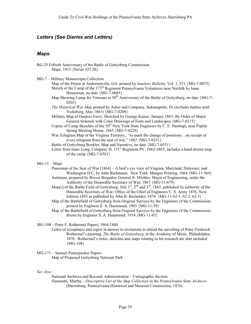# *Letters (See Diaries and Letters)*

# *Maps*

- RG-25 Fiftieth Anniversary of the Battle of Gettysburg Commission Maps, 1913 {Series #25.26}
- MG-7 Military Manuscripts Collection

Map of the Prison at Andersonville, GA, printed by *Sanitary Bulletin*, Vol. 1, #21 {MG-7-0075} Sketch of the Camp of the 173<sup>rd</sup> Regiment Pennsylvania Volunteers near Norfolk by Isaac Houseman, no date {MG-7-0085}

Map Showing Camp for Veterans at  $50<sup>th</sup>$  Anniversary of the Battle of Gettysburg, no date {MG-7-0205}

- *The Historical War Map* printed by Asher and Company, Indianapolis, IN (includes battles until Vicksburg, May 1863) {MG-7-0208}
- Military Map of Harpers Ferry, Sketched by George Kaiser, January 1863, By Order of Major General Schenck with Color Drawings of Forts and Landscapes {MG-7-0215}
- Copies of Camp Sketches of the 50<sup>th</sup> New York State Engineers by C. E. Hastings, near Poplar Spring Meeting House, 1865 {MG-7-0229}
- War Telegram Map of the Virginia Territory, "to mark the change of positions…on receipt of every telegram from the seat of war,"  $1862 \{MG - 7 - 0231\}$

Battle of Gettysburg Booklet, Map and Narrative, no date {MG-7-0351}

- Letter from Isaac Long, Company H,  $151<sup>st</sup>$  Regiment PV, 1862-1863; includes a hand-drawn map of the camp  ${MG-7-0381}$
- $MG-11 Maps$ 
	- Panorama of the Seat of War [1864] A bird's eye view of Virginia, Maryland, Delaware, and Washington D.C. by John Bachmann. New York: Mangus Printing, 1864 {MG-11-564} Antietam, prepared by Brevet Brigadier General N. Michler, Major of Engineering, under the
	- Authority of the Honorable Secretary of War, 1867 {MG-11-679}
	- Map[s] of the Battle Field of Gettysburg, July  $1^{st}$ ,  $2^{nd}$  and  $3^{rd}$ , 1863, published by authority of the Honorable Secretary of War, Office of the Chief of Engineers U. S. Army 1876, New Edition 1883 as published by John B. Bachelder, 1876 {MG-11-62-1, 62-2, 62-3}
	- Map of the Battlefield of Gettysburg from Original Surveys by the Engineers of the Commission, printed by Engineer S. A. Hammond, 1903 {MG-11-39}
	- Map of the Battlefield of Gettysburg from Original Surveys by the Engineers of the Commission, drawn by Engineer S. A. Hammond, 1914 {MG-11-63}

## MG-108 – Peter F. Rothermel Papers, 1864-1880

- Letter of acceptance and regret in answer to invitations to attend the unveiling of Peter Frederick Rothermel's painting, *The Battle of Gettysburg*, at the Academy of Music, Philadelphia, 1870. Rothermel's notes, sketches and maps relating to his research are also included {MG-108}
- MG-171 Samuel Pennypacker Papers Map of Proposed Gettysburg National Park

#### *See Also:*

National Archives and Records Administration – Cartographic Section Simonetti, Martha – *Descriptive List of the Map Collection in the Pennsylvania State Archives* (Harrisburg: Pennsylvania Historical and Museum Commission, 1976)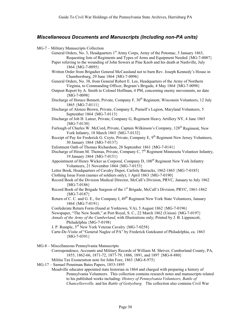# *Miscellaneous Documents and Manuscripts (Including non-PA units)*

MG-7 – Military Manuscripts Collection

General Orders, No. 3, Headquarters  $1<sup>st</sup>$  Army Corps, Army of the Potomac, 5 January 1863, Requesting lists of Regiments and Types of Arms and Equipment Needed {MG-7-0087}

Paper referring to the wounding of John Sowers at Pine Knob and his death at Nashville, July 1864 {MG-7-0095}

Written Order from Brigadier General McCausland not to burn Rev. Joseph Kennedy's House in Chambersburg, 29 June 1864 {MG-7-0096}

General Orders, No. 38, from General Robert E. Lee, Headquarters of the Army of Northern Virginia, to Commanding Officer, Begram's Brigade, 4 May 1864 {MG-7-0098}

Outpost Report by A. Smith to Colonel Hoffman, 4 PM, concerning enemy movements, no date {MG-7-0098}

Discharge of Horace Bennett, Private, Company F, 30<sup>th</sup> Regiment, Wisconsin Volunteers, 12 July 1865 {MG-7-0111}

Discharge of Alonzo Brown, Private, Company E, Purnell's Legion, Maryland Volunteers, 5 September 1864 {MG-7-0113}

Discharge of Job H. Lateer, Private, Company G, Regiment Heavy Artillery NY, 4 June 1865 {MG-7-0130}

Furlough of Charles W. McCord, Private, Captain Wilkinson's Company, 128<sup>th</sup> Regiment, New York Infantry, 18 March 1865 {MG-7-0132}

Receipt of Pay for Frederick G. Coyte, Private, Company E, 9<sup>th</sup> Regiment New Jersey Volunteers, 30 January 1864 {MG-7-0137}

Enlistment Oath of Thomas Richardson, 28 September 1861 {MG-7-0141}

Discharge of Hiram M. Thomas, Private, Company C,  $7<sup>th</sup>$  Regiment Minnesota Volunteer Infantry, 19 January 1864 {MG-7-0151}

Appointment of Henry Wicker as Corporal, Company D, 100<sup>th</sup> Regiment New York Infantry Volunteers, 21 November 1864 {MG-7-0153}

Letter Book, Headquarters of Cavalry Depot, Carlisle Barracks, 1862-1865 {MG-7-0185}

Clothing Issue Form (names of soldiers only), 1 April 1863 {MG-7-0190}

Record Book of the Division Medical Director, McCall's Division, PRVC, January to July 1862 {MG-7-0186}

Record Book of the Brigade Surgeon of the  $1<sup>st</sup>$  Brigade, McCall's Division, PRVC, 1861-1862  ${MG-7-0187}$ 

Return of C. C. and G. E., for Company I,  $49^{th}$  Regiment New York State Volunteers, January 1864 {MG-7-0191}

Confederate Return Form (found at Yorktown, VA), 5 August 1862 {MG-7-0196}

Newspaper, "The New South," at Port Royal, S. C., 22 March 1862 (Union) {MG-7-0197}

*Annals of the Army of the Cumberland*, with Illustrations only; Printed by J. B. Lippencott, Philadelphia {MG-7-0198}

J. P. Rumple, 3rd New York Veteran Cavalry {MG-7-0258}

Carte-De-Visite of "General Naglee of PA" by Frederick Gutekunst of Philadelphia, ca. 1863 {MG-7-0391}

MG-8 – Miscellaneous Pennsylvania Manuscripts

Correspondence, Accounts and Military Records of William M. Shriver, Cumberland County, PA, 1855, 1862-66, 1871-72, 1877-79, 1886, 1891, and 1897 {MG-8-880}

Militia Tax Exoneration note for John Fore, 1863 {MG-8-975}

MG-17 – Samuel Penniman Bates Papers, 1853-1895

Meadville educator appointed state historian in 1864 and charged with preparing a history of Pennsylvania Volunteers. This collection contains research notes and manuscripts related to his published works including: *History of Pennsylvania Volunteers, Battle of Chancellorsville,* and his *Battle of Gettysburg.* The collection also contains Civil War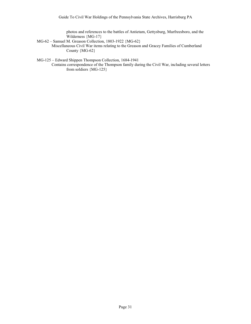photos and references to the battles of Antietam, Gettysburg, Murfreesboro, and the Wilderness {MG-17}

- MG-62 Samuel M. Greason Collection, 1803-1922 {MG-62}
	- Miscellaneous Civil War items relating to the Greason and Gracey Families of Cumberland County {MG-62}

MG-125 – Edward Shippen Thompson Collection, 1684-1941

Contains correspondence of the Thompson family during the Civil War, including several letters from soldiers {MG-125}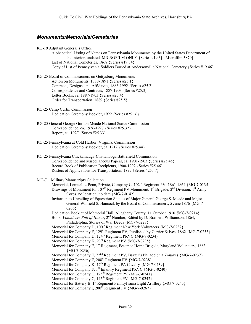# *Monuments/Memorials/Cemeteries*

RG-19 Adjutant General's Office

Alphabetical Listing of Names on Pennsylvania Monuments by the United States Department of the Interior, undated, MICROFILM ONLY {Series #19.3} {Microfilm 3870} List of National Cemeteries, 1868 {Series #19.34} Copy of List of Pennsylvania Soldiers Buried at Andersonville National Cemetery {Series #19.46}

- RG-25 Board of Commissioners on Gettysburg Monuments Action on Monuments, 1888-1891 {Series #25.1} Contracts, Designs, and Affidavits, 1886-1992 {Series #25.2} Correspondence and Contracts, 1887-1903 {Series #25.3} Letter Books, ca. 1887-1903 {Series #25.4} Order for Transportation, 1889 {Series #25.5}
- RG-25 Camp Curtin Commission Dedication Ceremony Booklet, 1922 {Series #25.16}
- RG-25 General George Gordon Meade National Statue Commission Correspondence, ca. 1926-1927 {Series #25.32} Report, ca. 1927 {Series #25.33}
- RG-25 Pennsylvania at Cold Harbor, Virginia, Commission Dedication Ceremony Booklet, ca. 1912 {Series #25.44}
- RG-25 Pennsylvania Chickamauga-Chattanooga Battlefield Commission Correspondence and Miscellaneous Papers, ca. 1901-1903 {Series #25.45} Record Book of Publication Recipients, 1900-1902 {Series #25.46} Rosters of Applications for Transportation, 1897 {Series #25.47}

#### MG-7 – Military Manuscripts Collection

Memorial, Lemuel L. Penn, Private, Company C, 102<sup>nd</sup> Regiment PV, 1861-1864 {MG-7-0135} Drawings of Monument for  $107<sup>th</sup>$  Regiment PV Monument,  $1<sup>st</sup>$  Brigade,  $2<sup>nd</sup>$  Division,  $1<sup>st</sup>$  Army Corps, no location, no date {MG-7-0142}

Invitation to Unveiling of Equestrian Statues of Major General George S. Meade and Major General Winfield S. Hancock by the Board of Commissioners, 5 June 1876 {MG-7- 0206}

Dedication Booklet of Memorial Hall, Allegheny County, 11 October 1910 {MG-7-0214}

- Book, *Volunteers Roll of Honor*, 2<sup>nd</sup> Number, Edited by D. Brainerd Williamson, 1864, Philadelphia, Stories of War Deeds {MG-7-0228}
- Memorial for Company D,  $100^{th}$  Regiment New York Volunteers  ${MG-7-0232}$
- Memorial for Company F, 129<sup>th</sup> Regiment PV, Published by Currier & Ives, 1862 {MG-7-0233}
- Memorial for Company D, 124<sup>th</sup> Regiment PRVC {MG-7-0234}
- Memorial for Company K,  $93^{rd}$  Regiment PV {MG-7-0235}
- Memorial for Company E, 1<sup>st</sup> Regiment, Potomac Home Brigade, Maryland Volunteers, 1863  ${MG-7-0236}$
- Memorial for Company E,  $72<sup>nd</sup>$  Regiment PV, Baxter's Philadelphia Zouaves {MG-7-0237}
- Memorial for Company F,  $208<sup>th</sup>$  Regiment PV  ${MG-7-0238}$
- Memorial for Company K,  $17<sup>th</sup>$  Regiment PA Cavalry {MG-7-0239}
- Memorial for Company F,  $1<sup>st</sup>$  Infantry Regiment PRVC {MG-7-0240}
- Memorial for Company C,  $125^{th}$  Regiment PV  ${MG-7-0241}$
- Memorial for Company C,  $145^{th}$  Regiment PV  ${MG-7-0242}$
- Memorial for Battery B, 1<sup>st</sup> Regiment Pennsylvania Light Artillery {MG-7-0243}
- Memorial for Company I,  $200<sup>th</sup>$  Regiment PV  ${MG-7-0267}$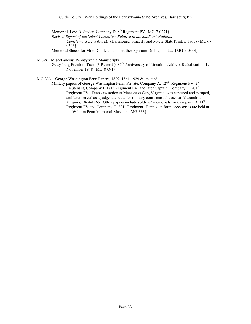Memorial, Levi B. Stader, Company D, 8th Regiment PV {MG-7-0271}

*Revised Report of the Select Committee Relative to the Soldiers' National*

*Cemetery*…(Gettysburg). (Harrisburg, Singerly and Myers State Printer: 1865) {MG-7- 0346}

Memorial Sheets for Milo Dibble and his brother Ephraim Dibble, no date {MG-7-0344}

MG-8 – Miscellaneous Pennsylvania Manuscripts

Gettysburg Freedom Train (3 Records),  $85<sup>th</sup>$  Anniversary of Lincoln's Address Rededication, 19 November 1948 {MG-8-091}

MG-333 – George Washington Fenn Papers, 1829, 1861-1929 & undated

Military papers of George Washington Fenn, Private, Company A,  $127<sup>th</sup>$  Regiment PV,  $2<sup>nd</sup>$ Lieutenant, Company I,  $181<sup>st</sup>$  Regiment PV, and later Captain, Company C,  $201<sup>st</sup>$ Regiment PV. Fenn saw action at Manassass Gap, Virginia, was captured and escaped, and later served as a judge advocate for military court-martial cases at Alexandria Virginia, 1864-1865. Other papers include soldiers' memorials for Company D, 11<sup>th</sup> Regiment PV and Company C, 201<sup>st</sup> Regiment. Fenn's uniform accessories are held at the William Penn Memorial Museum {MG-333}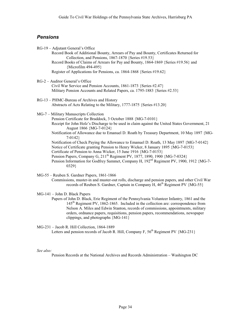# *Pensions*

| RG-19 - Adjutant General's Office           |                                                                                                                                               |
|---------------------------------------------|-----------------------------------------------------------------------------------------------------------------------------------------------|
|                                             | Record Book of Additional Bounty, Arrears of Pay and Bounty, Certificates Returned for<br>Collection, and Pensions, 1867-1870 {Series #19.53} |
| {Microfilm 494-495}                         | Record Books of Claims of Arrears for Pay and Bounty, 1864-1869 {Series #19.56} and                                                           |
|                                             | Register of Applications for Pensions, ca. 1864-1868 {Series #19.62}                                                                          |
| RG-2 - Auditor General's Office             |                                                                                                                                               |
|                                             | Civil War Service and Pension Accounts, 1861-1873 {Series #2.47}                                                                              |
|                                             | Military Pension Accounts and Related Papers, ca. 1795-1883 {Series #2.53}                                                                    |
| RG-13 - PHMC-Bureau of Archives and History |                                                                                                                                               |
|                                             | Abstracts of Acts Relating to the Military, 1777-1875 {Series #13.20}                                                                         |
| MG-7 - Military Manuscripts Collection      |                                                                                                                                               |
|                                             | Pension Certificate for Braddock, 3 October 1888 {MG-7-0101}                                                                                  |
|                                             | Receipt for John Holz's Discharge to be used in claim against the United States Government, 21<br>August 1866 {MG-7-0124}                     |
| $7-0142$                                    | Notification of Allowance due to Emanuel D. Roath by Treasury Department, 10 May 1897 {MG-                                                    |
|                                             | Notification of Check Paying the Allowance to Emanuel D. Roath, 13 May 1897 {MG-7-0142}                                                       |
|                                             | Notice of Certificate granting Pension to Henry Wicker, 8 January 1895 {MG-7-0153}                                                            |
|                                             | Certificate of Pension to Anna Wicker, 15 June 1916 {MG-7-0153}                                                                               |
|                                             | Pension Papers, Company G, 211 <sup>th</sup> Regiment PV, 1877, 1890, 1900 {MG-7-0324}                                                        |
| 0329                                        | Pension Information for Godfrey Sammet, Company H, 192 <sup>nd</sup> Regiment PV, 1900, 1912 {MG-7-                                           |
|                                             |                                                                                                                                               |

MG-55 – Reuben S. Gardner Papers, 1861-1866 Commissions, muster-in and muster-out rolls, discharge and pension papers, and other Civil War records of Reuben S. Gardner, Captain in Company H,  $46<sup>th</sup>$  Regiment PV  ${MG-55}$ 

## MG-141 – John D. Black Papers Papers of John D. Black, Erie Regiment of the Pennsylvania Volunteer Infantry, 1861 and the 145th Regiment PV, 1862-1865. Included in the collection are: correspondence from Nelson A. Miles and Edwin Stanton, records of commissions, appointments, military orders, ordnance papers, requisitions, pension papers, recommendations, newspaper clippings, and photographs {MG-141}

MG-231 – Jacob R. Hill Collection, 1864-1889 Letters and pension records of Jacob R. Hill, Company F, 56<sup>th</sup> Regiment PV {MG-231}

*See also:*

Pension Records at the National Archives and Records Administration – Washington DC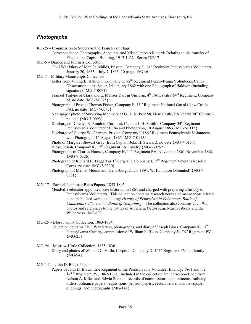# *Photographs*

- RG-25 Commission to Supervise the Transfer of Flags
	- Correspondence, Photographs, Accounts, and Miscellaneous Records Relating to the transfer of Flags to the Capitol Building, 1913-1922 {Series #25.17}
- MG-6 Diaries and Journals Collection
	- Civil War Diary of John Fairchilds, Private, Company D, 61<sup>st</sup> Regiment Pennsylvania Volunteers, January 20, 1863 – July 7, 1863, 10 pages {MG-6}
- MG-7 Military Manuscripts Collection
	- Letter from Vining B. Baldwin, Company C, 72<sup>nd</sup> Regiment Pennsylvania Volunteers, Camp Observation to his Sister, 24 January 1862 with one Photograph of Baldwin (including signature) {MG-7-0071}
		- Framed Tintype of Clark and L. Manzer Dart in Uniform, 4<sup>th</sup> PA Cavalry/64<sup>th</sup> Regiment, Company M, no date {MG-7-0075}
		- Photograph of Private Thomas Fisher, Company E, 15<sup>th</sup> Regiment National Guard (New Castle, PA), no date {MG-7-0093}
		- Newspaper photo of Surviving Members of G. A. R. Post 58, New Castle, PA, (early 20<sup>th</sup> Century) no date {MG-7-0093}

Discharge of Charles E. Amidon, Corporal, Captain J. H. Smith's Company 34<sup>th</sup> Regiment Pennsylvania Volunteer Militia and Photograph, 10 August 1863 {MG-7-0115}

- Discharge of George W. Charters, Private, Company I, 186<sup>th</sup> Regiment Pennsylvania Volunteers with Photograph, 15 August 1865 {MG-7-0115}
- Photo of Margaret Stewart Gray (from Captain John H. Stewart), no date {MG-7-0157}
- Bloss, Josiah, Company K, 17<sup>th</sup> Regiment PA Cavalry {MG-7-0252}
- Photographs of Charles Houser, Company H, 11<sup>th</sup> Regiment PV, November 1861-November 1862  ${MG-7-0326}$
- Photograph of Richard F. Taggart as  $1<sup>st</sup>$  Sergeant, Company E,  $3<sup>rd</sup>$  Regiment Veterans Reserve Corps, no date {MG-7-0330}
- Photograph of Men at Monument, Gettysburg, 2 July 1894, W. H. Tipton (Mounted) {MG-7- 0351}

MG-17 – Samuel Penniman Bates Papers, 1853-1895

Meadville educator appointed state historian in 1864 and charged with preparing a history of Pennsylvania Volunteers. This collection contains research notes and manuscripts related to his published works including: *History of Pennsylvania Volunteers, Battle of Chancellorsville,* and his *Battle of Gettysburg.* The collection also contains Civil War photos and references to the battles of Antietam, Gettysburg, Murfreesboro, and the Wilderness {MG-17}

MG-25 – Bloss Family Collection, 1863-1904

- Collection contains Civil War letters, photographs, and diary of Joseph Bloss, Company K,  $17<sup>th</sup>$ Pennsylvania Cavalry; commission of William F. Bloss, Company H, 76<sup>th</sup> Regiment PV  ${MG-25}$
- MG-94 Morrow-Hittle Collection, 1835-1836
	- Diary and photos of William C. Hittle, Corporal, Company D, 151<sup>st</sup> Regiment PV and family {MG-94}

## MG-141 – John D. Black Papers

Papers of John D. Black, Erie Regiment of the Pennsylvania Volunteer Infantry, 1861 and the 145th Regiment PV, 1862-1865. Included in the collection are: correspondence from Nelson A. Miles and Edwin Stanton, records of commissions, appointments, military orders, ordnance papers, requisitions, pension papers, recommendations, newspaper clippings, and photographs {MG-141}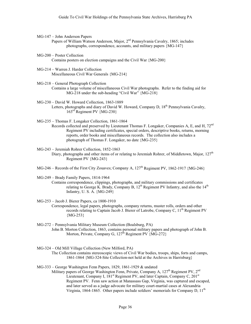MG-147 – John Anderson Papers

Papers of William Watson Anderson, Major,  $2<sup>nd</sup>$  Pennsylvania Cavalry, 1865; includes photographs, correspondence, accounts, and military papers {MG-147}

- MG-200 Poster Collection Contains posters on election campaigns and the Civil War {MG-200}
- MG-214 Warren J. Harder Collection Miscellaneous Civil War Generals {MG-214}
- MG-218 General Photograph Collection Contains a large volume of miscellaneous Civil War photographs. Refer to the finding aid for MG-218 under the sub-heading "Civil War" {MG-218}
- MG-230 David W. Howard Collection, 1863-1889 Letters, photographs and diary of David W. Howard, Company D,  $18<sup>th</sup>$  Pennsylvania Cavalry. 163rd Regiment PV {MG-230}
- MG-235 Thomas F. Longaker Collection, 1861-1864 Records collected and preserved by Lieutenant Thomas F. Longaker, Companies A, E, and H, 72<sup>nd</sup> Regiment PV including certificates, special orders, descriptive books, returns, morning reports, order books and miscellaneous records. The collection also includes a photograph of Thomas F. Longaker, no date {MG-235}
- MG-243 Jeremiah Rohrer Collection, 1852-1863 Diary, photographs and other items of or relating to Jeremiah Rohrer, of Middletown, Major,  $127<sup>th</sup>$ Regiment PV {MG-243}
- MG-246 Records of the First City Zouaves; Company A,  $127<sup>th</sup>$  Regiment PV, 1862-1917 {MG-246}

MG-249 – Brady Family Papers, 1814-1964 Contains correspondence, clippings, photographs, and military commissions and certificates relating to George K. Brady, Company B,  $12^{th}$  Regiment PV Infantry, and also the  $14^{th}$ Infantry, U. S. A. {MG-249}

- MG-253 Jacob J. Bierer Papers, ca 1800-1910 Correspondence, legal papers, photographs, company returns, muster rolls, orders and other records relating to Captain Jacob J. Bierer of Latrobe, Company C, 11<sup>th</sup> Regiment PV  ${MG-253}$
- MG-272 Pennsylvania Military Museum Collection (Boalsburg, PA) John B. Morton Collection, 1863, contains personal military papers and photograph of John B. Morton, Private, Company G,  $127<sup>th</sup>$  Regiment PV  $\{\widehat{MG}-272\}$
- MG-324 Old Mill Village Collection (New Milford, PA) The Collection contains stereoscopic views of Civil War bodies, troops, ships, forts and camps, 1861-1864 {MG-324-Site Collection-not held at the Archives in Harrisburg}
- MG-333 George Washington Fenn Papers, 1829, 1861-1929 & undated Military papers of George Washington Fenn, Private, Company A,  $127<sup>th</sup>$  Regiment PV,  $2<sup>nd</sup>$ Lieutenant, Company I,  $181<sup>st</sup>$  Regiment PV, and later Captain, Company C,  $201<sup>st</sup>$ Regiment PV. Fenn saw action at Manassass Gap, Virginia, was captured and escaped, and later served as a judge advocate for military court-martial cases at Alexandria Virginia, 1864-1865. Other papers include soldiers' memorials for Company D, 11<sup>th</sup>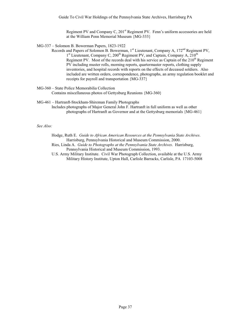Regiment PV and Company C, 201<sup>st</sup> Regiment PV. Fenn's uniform accessories are held at the William Penn Memorial Museum {MG-333}

- MG-337 Solomon B. Bowerman Papers, 1823-1922
	- Records and Papers of Solomon B. Bowerman,  $1^{st}$  Lieutenant, Company A,  $172^{nd}$  Regiment PV, 1st Lieutenant, Company C, 200<sup>th</sup> Regiment PV, and Captain, Company A, 210<sup>th</sup> Regiment PV. Most of the records deal with his service as Captain of the  $210<sup>th</sup>$  Regiment PV including muster rolls, morning reports, quartermaster reports, clothing supply inventories, and hospital records with reports on the effects of deceased soldiers. Also included are written orders, correspondence, photographs, an army regulation booklet and receipts for payroll and transportation {MG-337}

### MG-360 – State Police Memorabilia Collection

Contains miscellaneous photos of Gettysburg Reunions {MG-360}

### MG-461 – Hartranft-Stockham-Shireman Family Photographs

Includes photographs of Major General John F. Hartranft in full uniform as well as other photographs of Hartranft as Governor and at the Gettysburg memorials {MG-461}

# *See Also:*

Hodge, Ruth E. *Guide to African American Resources at the Pennsylvania State Archives*. Harrisburg, Pennsylvania Historical and Museum Commission, 2000.

Ries, Linda A. *Guide to Photographs at the Pennsylvania State Archives*. Harrisburg, Pennsylvania Historical and Museum Commission, 1993.

U.S. Army Military Institute. Civil War Photograph Collection, available at the U.S. Army Military History Institute, Upton Hall, Carlisle Barracks, Carlisle, PA 17103-5008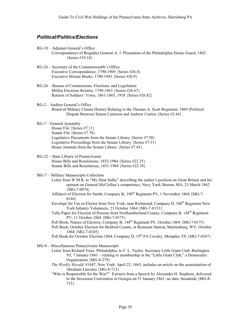# *Political/Politics/Elections*

- RG-19 Adjutant General's Office
	- Correspondence of Brigadier General A. J. Pleasanton of the Philadelphia House Guard, 1862 {Series #19.18}
- RG-26 Secretary of the Commonwealth's Office Executive Correspondence, 1790-1969 {Series #26.8} Executive Minute Books, 1790-1943 {Series #26.9}
- RG-26 Bureau of Commissions, Elections, and Legislation Militia Elections Returns, 1790-1863 {Series #26.67} Returns of Soldiers' Votes, 1861-1865, 1918 {Series #26.82}
- RG-2 Auditor General's Office Board of Military Claims History Relating to the Thomas A. Scott Regiment, 1869 (Political Dispute Between Simon Cameron and Andrew Curtin) {Series #2.44}
- RG-7 General Assembly House File {Series #7.11} Senate File {Series #7.78} Legislative Documents from the Senate Library {Series #7.50} Legislative Proceedings from the Senate Library {Series #7.51} House Journals from the Senate Library {Series #7.45}

# RG-22 – State Library of Pennsylvania House Bills and Resolutions, 1852-1984 {Series #22.35} Senate Bills and Resolutions, 1851-1984 {Series #22.38}

- MG-7 Military Manuscripts Collection
	- Letter from W.M.R. to "My Dear Sallie" describing the author's position on Great Britain and his opinion on General McClellan's competence, Navy Yard, Boston, MA, 23 March 1862  ${MG-7-0074}$ 
		- Affidavit of Election for Smith, Company K, 190<sup>th</sup> Regiment PV, 1 November 1864 {MG-7-0144}
		- Envelope for Use as Elector from New York, near Richmond, Company D, 100<sup>th</sup> Regiment New York Infantry Volunteers, 21 October 1864 {MG-7-0153}
		- Tally Paper for Election of Persons from Northumberland County, Company B, 148<sup>th</sup> Regiment PV, 11 October 1864 {MG-7-0175}
		- Poll Book, Names of Electors, Company B, 148<sup>th</sup> Regiment PV, October 1864 {MG-7-0175}
		- Poll Book, October Election for Bedford County, at Remount Station, Martinsburg, WV, October 1864 {MG-7-0345}
		- Poll Book for October Election 1864, Company D, 19<sup>th</sup> PA Cavalry, Memphis TN {MG-7-0367}
- MG-8 Miscellaneous Pennsylvania Manuscripts
	- Letter from Richard Vaux, Philadelphia, to F. L. Taylor, Secretary Little Giant Club, Burlington NJ, 7 January 1861 – relating to membership in the "Little Giant Club," a Democratic Organization {MG-8-279}
	- *The Weekly Herald* #1447, New York: April 22, 1865; includes an article on the assassination of Abraham Lincoln) {MG-8-712}
	- "Who is Responsible for the War?" Extracts from a Speech by Alexander H. Stephens, delivered to the Secession Convention in Georgia on 31 January 1861, no date, broadside {MG-8- 715}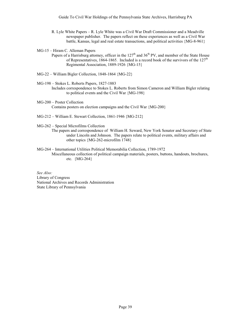- R. Lyle White Papers R. Lyle White was a Civil War Draft Commissioner and a Meadville newspaper publisher. The papers reflect on these experiences as well as a Civil War battle, Kansas, legal and real estate transactions, and political activities {MG-8-961}
- MG-15 Hiram C. Alleman Papers
	- Papers of a Harrisburg attorney, officer in the 127<sup>th</sup> and 36<sup>th</sup> PV, and member of the State House of Representatives, 1864-1865. Included is a record book of the survivors of the  $127<sup>th</sup>$ Regimental Association, 1889-1926 {MG-15}
- MG-22 William Bigler Collection, 1848-1864 {MG-22}
- MG-198 Stokes L. Roberts Papers, 1827-1883
	- Includes correspondence to Stokes L. Roberts from Simon Cameron and William Bigler relating to political events and the Civil War {MG-198}
- MG-200 Poster Collection Contains posters on election campaigns and the Civil War {MG-200}
- MG-212 William E. Stewart Collection, 1861-1946 {MG-212}

MG-262 – Special Microfilms Collection

- The papers and correspondence of William H. Seward, New York Senator and Secretary of State under Lincoln and Johnson. The papers relate to political events, military affairs and other topics {MG-262-microfilm 1748}
- MG-264 International Utilities Political Memorabilia Collection, 1789-1972 Miscellaneous collection of political campaign materials, posters, buttons, handouts, brochures, etc. {MG-264}

*See Also:* Library of Congress National Archives and Records Administration State Library of Pennsylvania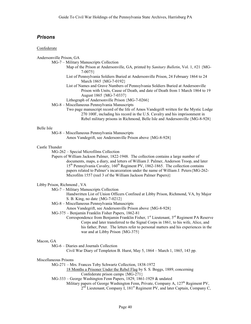# *Prisons*

#### Confederate

Andersonville Prison, GA

- MG-7 Military Manuscripts Collection
	- Map of the Prison at Andersonville, GA, printed by *Sanitary Bulletin*, Vol. 1, #21 {MG-7-0075}
	- List of Pennsylvania Soldiers Buried at Andersonville Prison, 24 February 1864 to 24 March 1865 {MG-7-0192}
	- List of Names and Grave Numbers of Pennsylvania Soldiers Buried at Andersonville Prison with Units, Cause of Death, and date of Death from 1 March 1864 to 19 August 1865 {MG-7-0337}
	- Lithograph of Andersonville Prison {MG-7-0266}
- MG-8 Miscellaneous Pennsylvania Manuscripts
	- Two page manuscript record of the life of Amos Vandegrift written for the Mystic Lodge 270 100F, including his record in the U.S. Cavalry and his imprisonment in Rebel military prisons in Richmond, Belle Isle and Andersonville {MG-8-928}

#### Belle Isle

MG-8 – Miscellaneous Pennsylvania Manuscripts

Amos Vandegrift, see Andersonville Prison above {MG-8-928}

#### Castle Thunder

MG-262 – Special Microfilms Collection

Papers of William Jackson Palmer, 1822-1948. The collection contains a large number of documents, maps, a diary, and letters of William J. Palmer, Anderson Troop, and later 15<sup>th</sup> Pennsylvania Cavalry, 160<sup>th</sup> Regiment PV, 1862-1865. The collection contains papers related to Palmer's incarceration under the name of William J. Peters{MG-262- Microfilm 1557 (reel 3 of the William Jackson Palmer Papers)}

### Libby Prison, Richmond , VA

- MG-7 Military Manuscripts Collection
	- Handwritten List of Union Officers Confined at Libby Prison, Richmond, VA, by Major S. B. King, no date {MG-7-0212}
- MG-8 Miscellaneous Pennsylvania Manuscripts
	- Amos Vandegrift, see Andersonville Prison above {MG-8-928}
- MG-375 Benjamin Franklin Fisher Papers, 1862-81
	- Correspondence from Benjamin Franklin Fisher,  $1<sup>st</sup>$  Lieutenant,  $3<sup>rd</sup>$  Regiment PA Reserve Corps and later transferred to the Signal Corps in 1861, to his wife, Alice, and his father, Peter. The letters refer to personal matters and his experiences in the war and at Libby Prison {MG-375}

#### Macon, GA

MG-6 – Diaries and Journals Collection

Civil War Diary of Templeton B. Hurst, May 5, 1864 – March 1, 1865, 143 pp.

#### Miscellaneous Prisons

MG-271 – Mrs. Frances Toby Schwartz Collection, 1838-1972

18 Months a Prisoner Under the Rebel Flag by S. S. Boggs, 1889, concerning

- Confederate prison camps {MG-271}
- MG-333 George Washington Fenn Papers, 1829, 1861-1929 & undated
	- Military papers of George Washington Fenn, Private, Company A, 127<sup>th</sup> Regiment PV,

 $2<sup>nd</sup>$  Lieutenant, Company I, 181<sup>st</sup> Regiment PV, and later Captain, Company C,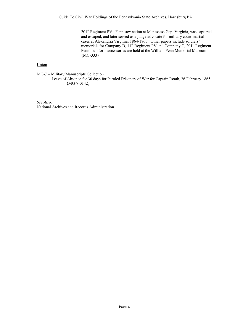201st Regiment PV. Fenn saw action at Manassass Gap, Virginia, was captured and escaped, and later served as a judge advocate for military court-martial cases at Alexandria Virginia, 1864-1865. Other papers include soldiers' memorials for Company D, 11<sup>th</sup> Regiment PV and Company C, 201<sup>st</sup> Regiment. Fenn's uniform accessories are held at the William Penn Memorial Museum {MG-333}

# Union

MG-7 – Military Manuscripts Collection Leave of Absence for 30 days for Paroled Prisoners of War for Captain Roath, 26 February 1865  ${MG-7-0142}$ 

*See Also:* National Archives and Records Administration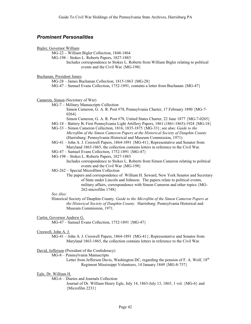# *Prominent Personalities*

#### Bigler, Governor William

MG-22 – William Bigler Collection, 1848-1864

MG-198 – Stokes L. Roberts Papers, 1827-1883

Includes correspondence to Stokes L. Roberts from William Bigler relating to political events and the Civil War {MG-198}

Buchanan, President James

MG-28 – James Buchanan Collection, 1815-1863 {MG-28}

MG-47 – Samuel Evans Collection, 1752-1891, contains a letter from Buchanan {MG-47}

Cameron, Simon (Secretary of War)

- MG-7 Military Manuscripts Collection
	- Simon Cameron, G. A. R. Post #78, Pennsylvania Charter, 17 February 1890 {MG-7- 0264}
	- Simon Cameron, G. A. R. Post #78, United States Charter, 22 June 1877 {MG-7-0265}
- MG-18 Battery B, First Pennsylvania Light Artillery Papers, 1861 (1861-1865)-1924 {MG-18}
- MG-33 Simon Cameron Collection, 1816, 1835-1875 {MG-33}; see also: *Guide to the Microfilm of the Simon Cameron Papers at the Historical Society of Dauphin County* (Harrisburg: Pennsylvania Historical and Museum Commission, 1971)
- MG-41 John A. J. Creswell Papers, 1864-1891 {MG-41}; Representative and Senator from Maryland 1863-1865, the collection contains letters in reference to the Civil War.
- MG-47 Samuel Evans Collection, 1752-1891 {MG-47}
- MG-198 Stokes L. Roberts Papers, 1827-1883
	- Includes correspondence to Stokes L. Roberts from Simon Cameron relating to political events and the Civil War {MG-198}

MG-262 – Special Microfilms Collection

The papers and correspondence of William H. Seward, New York Senator and Secretary of State under Lincoln and Johnson. The papers relate to political events, military affairs, correspondence with Simon Cameron and other topics {MG-262-microfilm 1748}

# *See Also:*

Historical Society of Dauphin County. *Guide to the Microfilm of the Simon Cameron Papers at the Historical Society of Dauphin County.* Harrisburg: Pennsylvania Historical and Museum Commission, 1971.

# Curtin, Governor Andrew G.

MG-47 – Samuel Evans Collection, 1752-1891 {MG-47}

#### Creswell, John A. J.

MG-41 – John A. J. Creswell Papers, 1864-1891 {MG-41}; Representative and Senator from Maryland 1863-1865, the collection contains letters in reference to the Civil War.

#### David, Jefferson (President of the Confederacy)

MG-8 – Pennsylvania Manuscripts

Letter from Jefferson Davis, Washington DC, regarding the pension of F. A. Wolf,  $18<sup>th</sup>$ Regiment Mississippi Volunteers, 14 January 1849 {MG-8-757}

#### Egle, Dr. William H.

MG-6 – Diaries and Journals Collection

Journal of Dr. William Henry Egle, July 14, 1863-July 13, 1865, 1 vol. {MG-6} and {Microfilm 2231}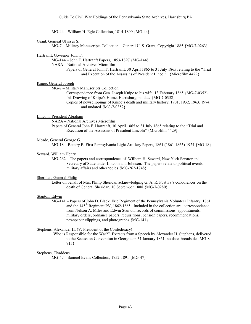MG-44 – William H. Egle Collection, 1814-1899 {MG-44}

#### Grant, General Ulysses S.

MG-7 – Military Manuscripts Collection – General U. S. Grant, Copyright 1885 {MG-7-0263}

Hartranft, Governor John F.

MG-144 – John F. Hartranft Papers, 1853-1897 {MG-144}

NARA – National Archives Microfilm

Papers of General John F. Hartranft, 30 April 1865 to 31 July 1865 relating to the "Trial and Execution of the Assassins of President Lincoln" {Microfilm 4429}

#### Knipe, General Joseph

MG-7 – Military Manuscripts Collection

Correspondence from Gen. Joseph Knipe to his wife, 13 February 1865 {MG-7-0352} Ink Drawing of Knipe's Home, Harrisburg, no date {MG-7-0352} Copies of newsclippings of Knipe's death and military history, 1901, 1932, 1963, 1974, and undated {MG-7-0352}

#### Lincoln, President Abraham

NARA – National Archives Microfilm

Papers of General John F. Hartranft, 30 April 1865 to 31 July 1865 relating to the "Trial and Execution of the Assassins of President Lincoln" {Microfilm 4429}

#### Meade, General George G.

MG-18 – Battery B, First Pennsylvania Light Artillery Papers, 1861 (1861-1865)-1924 {MG-18}

#### Seward, William Henry

MG-262 – The papers and correspondence of William H. Seward, New York Senator and Secretary of State under Lincoln and Johnson. The papers relate to political events, military affairs and other topics {MG-262-1748}

# Sheridan, General Philip

Letter on behalf of Mrs. Philip Sheridan acknowledging G. A. R. Post 58's condolences on the death of General Sheridan, 10 September 1888 {MG-7-0280}

#### Stanton, Edwin

MG-141 – Papers of John D. Black, Erie Regiment of the Pennsylvania Volunteer Infantry, 1861 and the  $145<sup>th</sup>$  Regiment PV, 1862-1865. Included in the collection are: correspondence from Nelson A. Miles and Edwin Stanton, records of commissions, appointments, military orders, ordnance papers, requisitions, pension papers, recommendations, newspaper clippings, and photographs {MG-141}

# Stephens, Alexander H. (V. President of the Confederacy)

"Who is Responsible for the War?" Extracts from a Speech by Alexander H. Stephens, delivered to the Secession Convention in Georgia on 31 January 1861, no date, broadside {MG-8- 715}

#### Stephens, Thaddeus

MG-47 – Samuel Evans Collection, 1752-1891 {MG-47}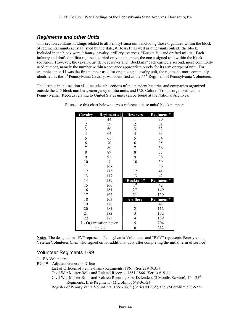# *Regiments and other Units*

This section contains holdings related to all Pennsylvania units including those organized within the block of regimental numbers established by the state,  $#1$  to  $#215$  as well as other units outside the block. Included in the block were infantry, cavalry, artillery, reserves, "Bucktails," and drafted militia. Each infantry and drafted militia regiment carried only one number, the one assigned to it within the block sequence. However, the cavalry, artillery, reserves and "Bucktails" each carried a second, more commonly used number, namely the number within a sequence appropriate purely for its arm or type of unit. For example, since 44 was the first number used for organizing a cavalry unit, the regiment, more commonly identified as the  $1<sup>st</sup>$  Pennsylvania Cavalry, was identified as the  $44<sup>th</sup>$  Regiment of Pennsylvania Volunteers.

The listings in this section also include sub-sections of independent batteries and companies organized outside the 215 block numbers, emergency militia units, and U.S. Colored Troops organized within Pennsylvania. Records relating to United States units can be found at the National Archives.

| Cavalry                  | <b>Regiment#</b>       | <b>Reserves</b>  | <b>Regiment#</b> |
|--------------------------|------------------------|------------------|------------------|
| 1                        | 44                     | 1                | 30               |
| $\overline{\mathbf{c}}$  | 59                     | 2                | 31               |
| $\overline{3}$           | 60                     | 3                | 32               |
| $\overline{\mathcal{L}}$ | 64                     | 4                | 33               |
| 5                        | 65                     | 5                | 34               |
| 6                        | 70                     | 6                | 35               |
| 7                        | 80                     | 7                | 36               |
| 8                        | 89                     | 8                | 37               |
| 9                        | 92                     | 9                | 38               |
| 10                       | $\dagger$              | 10               | 39               |
| 11                       | 108                    | 11               | 40               |
| 12                       | 113                    | 12               | 41               |
| 13                       | 117                    | 13               | 42               |
| 14                       | 159                    | "Bucktails"      | <b>Regiment#</b> |
| 15                       | 160                    | $1^{\rm \,st}$   | 42               |
| 16                       | 161                    | 2 <sup>nd</sup>  | 149              |
| 17                       | 162                    | 3 <sup>rd</sup>  | 150              |
| 18                       | 163                    | <b>Artillery</b> | <b>Regiment#</b> |
| 19                       | 180                    | 1                | 43               |
| 20                       | 181                    | $\overline{c}$   | 112              |
| 21                       | 182                    | 3                | 152              |
| 22                       | 185                    | 4                | 189              |
|                          | † - Organization never | 5                | 204              |
| completed                |                        | 6                | 212              |

Please use this chart below to cross-reference these units' block numbers:

**Note:** The designation "PV" represents Pennsylvania Volunteers and "PVV" represents Pennsylvania Veteran Volunteers (men who signed on for additional duty after completing the initial term of service).

# Volunteer Regiments 1-99

1 – PA Volunteers

RG-19 – Adjutant General's Office

List of Officers of Pennsylvania Regiments, 1861 {Series #19.35}

Civil War Muster Rolls and Related Records, 1861-1866 {Series #19.11}

Civil War Muster Rolls and Related Records, First Defenders (3 Months Service),  $1<sup>st</sup> - 25<sup>th</sup>$ Regiments, Erie Regiment {Microfilm 3648-3652}

Register of Pennsylvania Volunteers, 1861-1865 {Series #19.65} and {Microfilm 508-522}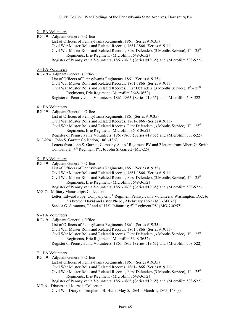#### 2 – PA Volunteers

- RG-19 Adjutant General's Office
	- List of Officers of Pennsylvania Regiments, 1861 {Series #19.35}
		- Civil War Muster Rolls and Related Records, 1861-1866 {Series #19.11}
		- Civil War Muster Rolls and Related Records, First Defenders (3 Months Service),  $1<sup>st</sup> 25<sup>th</sup>$ Regiments, Erie Regiment {Microfilm 3648-3652}
	- Register of Pennsylvania Volunteers, 1861-1865 {Series #19.65} and {Microfilm 508-522}

#### 3 – PA Volunteers

- RG-19 Adjutant General's Office
	- List of Officers of Pennsylvania Regiments, 1861 {Series #19.35}
	- Civil War Muster Rolls and Related Records, 1861-1866 {Series #19.11}
	- Civil War Muster Rolls and Related Records, First Defenders (3 Months Service),  $1<sup>st</sup> 25<sup>th</sup>$ Regiments, Erie Regiment {Microfilm 3648-3652}
	- Register of Pennsylvania Volunteers, 1861-1865 {Series #19.65} and {Microfilm 508-522}

#### 4 – PA Volunteers

- RG-19 Adjutant General's Office
	- List of Officers of Pennsylvania Regiments, 1861{Series #19.35}
	- Civil War Muster Rolls and Related Records, 1861-1866 {Series #19.11}
	- Civil War Muster Rolls and Related Records, First Defenders (3 Months Service),  $1<sup>st</sup> 25<sup>th</sup>$ Regiments, Erie Regiment {Microfilm 3648-3652}
- Register of Pennsylvania Volunteers, 1861-1865 {Series #19.65} and {Microfilm 508-522}

## MG-224 – John S. Garrett Collection, 1861-1863

Letters from John S. Garrett, Company A,  $46<sup>th</sup>$  Regiment PV and 2 letters from Albert G. Smith, Company D,  $4^{th}$  Regiment PV, to John S. Garrett {MG-224}

### 5 – PA Volunteers

- RG-19 Adjutant General's Office
	- List of Officers of Pennsylvania Regiments, 1861 {Series #19.35}
	- Civil War Muster Rolls and Related Records, 1861-1866 {Series #19.11}
	- Civil War Muster Rolls and Related Records, First Defenders (3 Months Service),  $1<sup>st</sup> 25<sup>th</sup>$ Regiments, Erie Regiment {Microfilm 3648-3652}
- Register of Pennsylvania Volunteers, 1861-1865 {Series #19.65} and {Microfilm 508-522}

## MG-7 – Military Manuscripts Collection

Letter, Edward Pope, Company G, 5<sup>th</sup> Regiment Pennsylvania Volunteers, Washington, D.C. to his brother David and sister Phebe, 9 February 1862 {MG-7-0073} Seneca G. Simmons,  $7<sup>th</sup>$  and  $4<sup>th</sup>$  U.S. Infantries;  $5<sup>th</sup>$  Regiment PV  ${MG-7-0257}$ 

#### 6 – PA Volunteers

- RG-19 Adjutant General's Office
	- List of Officers of Pennsylvania Regiments, 1861 {Series #19.35}
	- Civil War Muster Rolls and Related Records, 1861-1866 {Series #19.11}
	- Civil War Muster Rolls and Related Records, First Defenders (3 Months Service),  $1<sup>st</sup> 25<sup>th</sup>$ Regiments, Erie Regiment {Microfilm 3648-3652}
	- Register of Pennsylvania Volunteers, 1861-1865 {Series #19.65} and {Microfilm 508-522}

- RG-19 Adjutant General's Office
	- List of Officers of Pennsylvania Regiments, 1861 {Series #19.35}
	- Civil War Muster Rolls and Related Records, 1861-1866 {Series #19.11}
	- Civil War Muster Rolls and Related Records, First Defenders (3 Months Service),  $1<sup>st</sup> 25<sup>th</sup>$ Regiments, Erie Regiment {Microfilm 3648-3652}
- Register of Pennsylvania Volunteers, 1861-1865 {Series #19.65} and {Microfilm 508-522} MG-6 – Diaries and Journals Collection
	- Civil War Diary of Templeton B. Hurst, May 5, 1864 March 1, 1865, 143 pp.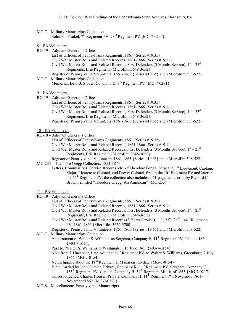| MG-7 – Military Manuscripts Collection                                                |  |
|---------------------------------------------------------------------------------------|--|
| Solomon Yeakel, $7^{\text{th}}$ Regiment PV, $93^{\text{rd}}$ Regiment PV {MG-7-0255} |  |

8 – PA Volunteers

|  | RG-19 - Adjutant General's Office |  |  |
|--|-----------------------------------|--|--|
|--|-----------------------------------|--|--|

- List of Officers of Pennsylvania Regiments, 1861 {Series #19.35}
- Civil War Muster Rolls and Related Records, 1861-1866 {Series #19.11}

Civil War Muster Rolls and Related Records, First Defenders (3 Months Service),  $1<sup>st</sup> - 25<sup>th</sup>$ Regiments, Erie Regiment {Microfilm 3648-3652}

Register of Pennsylvania Volunteers, 1861-1865 {Series #19.65} and {Microfilm 508-522}

MG-7 – Military Manuscripts Collection

Memorial, Levi B. Stader, Company D, 8<sup>th</sup> Regiment PV {MG-7-0271}

9 – PA Volunteers

- RG-19 Adjutant General's Office
	- List of Officers of Pennsylvania Regiments, 1861 {Series #19.35}
	- Civil War Muster Rolls and Related Records, 1861-1866 {Series #19.11}
	- Civil War Muster Rolls and Related Records, First Defenders (3 Months Service),  $1<sup>st</sup> 25<sup>th</sup>$ Regiments, Erie Regiment {Microfilm 3648-3652}
	- Register of Pennsylvania Volunteers, 1861-1865 {Series #19.65} and {Microfilm 508-522}

#### 10 – PA Volunteers

- RG-19 Adjutant General's Office
	- List of Officers of Pennsylvania Regiments, 1861 {Series #19.35}
	- Civil War Muster Rolls and Related Records, 1861-1866 {Series #19.11}
	- Civil War Muster Rolls and Related Records, First Defenders (3 Months Service),  $1<sup>st</sup> 25<sup>th</sup>$ Regiments, Erie Regiment {Microfilm 3648-3652}
	- Register of Pennsylvania Volunteers, 1861-1865 {Series #19.65} and {Microfilm 508-522}
- MG-233 Theodore Gregg Collection, 1851-1874
	- Letters, Commissions, Service Records, etc. of Theodore Gregg, Sergeant, 1<sup>st</sup> Lieutenant, Captain, Major, Lieutenant Colonel, and Brevet Colonel, first in the  $10<sup>th</sup>$  Regiment PV and later in the 45th Regiment PV; the collection also includes a 41-page manuscript by Richard C. Brown, entitled "Theodore Gregg: An American" {MG-233}

11 – PA Volunteers

RG-19 – Adjutant General's Office

List of Officers of Pennsylvania Regiments, 1861 {Series #19.35}

- Civil War Muster Rolls and Related Records, 1861-1866 {Series #19.11}
- Civil War Muster Rolls and Related Records, First Defenders (3 Months Service),  $1<sup>st</sup> 25<sup>th</sup>$ Regiments, Erie Regiment {Microfilm 3648-3652}
- Civil War Muster Rolls and Related Records (3 Years Service),  $11^{th}$ ,  $23^{rd}$ ,  $26^{th}$   $44^{th}$  Regiments PV, 1861-1866 {Microfilm 3652-3700}
- Register of Pennsylvania Volunteers, 1861-1865 {Series #19.65} and {Microfilm 508-522}

MG-7 – Military Manuscripts Collection

- Appointment of Walter S. Williams as Sergeant, Company F, 11<sup>th</sup> Regiment PV, 14 June 1864  ${MG-7-0154}$
- Pass for Walter S. Williams to Washington, 15 June 1865 {MG-7-0154}
- Note from I. Uncapher, Late Adjutant  $11<sup>th</sup>$  Regiment PV, to Walter S. Williams, Greenburg, 2 July 1866 {MG-7-0154}
- Newsclipping about the  $11^{th}$  Regiment at Manassas, no date  ${MG-7-0154}$
- Bible Carried by John Oursler, Private, Company K, 11<sup>th</sup> Regiment PV, Sergeant, Company G, 135th Regiment PV, Captain, Company B, 54th Regiment Militia of 1863 {MG-7-0217}
- Correspondence, Charles Houser, Private, Company H, 11<sup>th</sup> Regiment PV, November 1861-November 1862 {MG-7-0326}
- MG-8 Miscellaneous Pennsylvania Manuscripts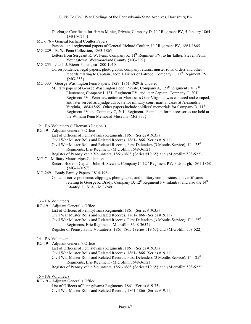- Discharge Certificate for Hiram Minier, Private, Company D, 11<sup>th</sup> Regiment PV, 5 January 1864 {MG-80250}
- MG-176 General Richard Coulter Papers
- Personal and regimental papers of General Richard Coulter, 11<sup>th</sup> Regiment PV, 1861-1865 MG-229 – R. W. Penn Collection, 1863-1865
	- Letters from Sergeant R. W. Penn, Company K, 11<sup>th</sup> Regiment PV, to his father, Steven Penn, Youngstown, Westmoreland County {MG-229}
- MG-253 Jacob J. Bierer Papers, ca 1800-1910
	- Correspondence, legal papers, photographs, company returns, muster rolls, orders and other records relating to Captain Jacob J. Bierer of Latrobe, Company C,  $11<sup>th</sup>$  Regiment PV {MG-253}
- MG-333 George Washington Fenn Papers, 1829, 1861-1929 & undated
	- Military papers of George Washington Fenn, Private, Company A,  $127<sup>th</sup>$  Regiment PV,  $2<sup>nd</sup>$ Lieutenant, Company I,  $181<sup>st</sup>$  Regiment PV, and later Captain, Company C,  $201<sup>st</sup>$ Regiment PV. Fenn saw action at Manassass Gap, Virginia, was captured and escaped, and later served as a judge advocate for military court-martial cases at Alexandria Virginia, 1864-1865. Other papers include soldiers' memorials for Company D,  $11<sup>th</sup>$ Regiment PV and Company C,  $201<sup>st</sup>$  Regiment. Fenn's uniform accessories are held at the William Penn Memorial Museum {MG-333}

12 – PA Volunteers ("Fireman's Legion")

- RG-19 Adjutant General's Office
	- List of Officers of Pennsylvania Regiments, 1861 {Series #19.35}
	- Civil War Muster Rolls and Related Records, 1861-1866 {Series #19.11}
	- Civil War Muster Rolls and Related Records, First Defenders (3 Months Service),  $1<sup>st</sup> 25<sup>th</sup>$ Regiments, Erie Regiment {Microfilm 3648-3652}
- Register of Pennsylvania Volunteers, 1861-1865 {Series #19.65} and {Microfilm 508-522}
- MG-7 Military Manuscripts Collection
	- Record Book of Captain John H. Stewart, Company C,  $12^{th}$  Regiment PV, Pittsburgh, 1861-1868  ${MG-7-0157}$
- MG-249 Brady Family Papers, 1814-1964
	- Contains correspondence, clippings, photographs, and military commissions and certificates relating to George K. Brady, Company B,  $12<sup>th</sup>$  Regiment PV Infantry, and also the  $14<sup>th</sup>$ Infantry, U. S. A. {MG-249}

# 13 – PA Volunteers

- RG-19 Adjutant General's Office
	- List of Officers of Pennsylvania Regiments, 1861 {Series #19.35}
	- Civil War Muster Rolls and Related Records, 1861-1866 {Series #19.11}
	- Civil War Muster Rolls and Related Records, First Defenders (3 Months Service),  $1<sup>st</sup> 25<sup>th</sup>$ Regiments, Erie Regiment {Microfilm 3648-3652}
	- Register of Pennsylvania Volunteers, 1861-1865 {Series #19.65} and {Microfilm 508-522}

- RG-19 Adjutant General's Office
	- List of Officers of Pennsylvania Regiments, 1861 {Series #19.35}
	- Civil War Muster Rolls and Related Records, 1861-1866 {Series #19.11}
	- Civil War Muster Rolls and Related Records, First Defenders (3 Months Service),  $1<sup>st</sup> 25<sup>th</sup>$ Regiments, Erie Regiment {Microfilm 3648-3652}
	- Register of Pennsylvania Volunteers, 1861-1865 {Series #19.65} and {Microfilm 508-522}
- 15 PA Volunteers
- RG-19 Adjutant General's Office
	- List of Officers of Pennsylvania Regiments, 1861 {Series #19.35} Civil War Muster Rolls and Related Records, 1861-1866 {Series #19.11}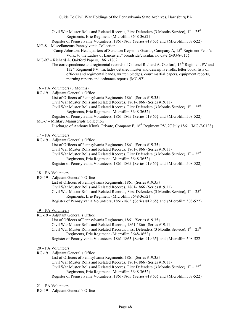Civil War Muster Rolls and Related Records, First Defenders (3 Months Service),  $1<sup>st</sup> - 25<sup>th</sup>$ Regiments, Erie Regiment {Microfilm 3648-3652}

Register of Pennsylvania Volunteers, 1861-1865 {Series #19.65} and {Microfilm 508-522} MG-8 – Miscellaneous Pennsylvania Collection

"Camp Johnston: Headquarters of Scranton Keystone Guards, Company A, 15<sup>th</sup> Regiment Penn'a Vols., to the Ladies of Lancaster," broadside/circular, no date {MG-8-715}

# MG-97 – Richard A. Oakford Papers, 1861-1862

The correspondence and regimental records of Colonel Richard A. Oakford, 15<sup>th</sup> Regiment PV and 132nd Regiment PV. Includes detailed muster and descriptive rolls, letter book, lists of officers and regimental bands, written pledges, court martial papers, equipment reports, morning reports and ordnance reports {MG-97}

# 16 – PA Volunteers (3 Months)

- RG-19 Adjutant General's Office
	- List of Officers of Pennsylvania Regiments, 1861 {Series #19.35}
	- Civil War Muster Rolls and Related Records, 1861-1866 {Series #19.11}
	- Civil War Muster Rolls and Related Records, First Defenders (3 Months Service),  $1<sup>st</sup> 25<sup>th</sup>$ Regiments, Erie Regiment {Microfilm 3648-3652}

Register of Pennsylvania Volunteers, 1861-1865 {Series #19.65} and {Microfilm 508-522} MG-7 – Military Manuscripts Collection

Discharge of Anthony Klunk, Private, Company F, 16<sup>th</sup> Regiment PV, 27 July 1861 {MG-7-0128}

### 17 – PA Volunteers

RG-19 – Adjutant General's Office

List of Officers of Pennsylvania Regiments, 1861 {Series #19.35}

Civil War Muster Rolls and Related Records, 1861-1866 {Series #19.11}

Civil War Muster Rolls and Related Records, First Defenders (3 Months Service),  $1<sup>st</sup> - 25<sup>th</sup>$ Regiments, Erie Regiment {Microfilm 3648-3652}

Register of Pennsylvania Volunteers, 1861-1865 {Series #19.65} and {Microfilm 508-522}

# 18 – PA Volunteers

RG-19 – Adjutant General's Office

List of Officers of Pennsylvania Regiments, 1861 {Series #19.35}

Civil War Muster Rolls and Related Records, 1861-1866 {Series #19.11}

Civil War Muster Rolls and Related Records, First Defenders (3 Months Service),  $1<sup>st</sup> - 25<sup>th</sup>$ Regiments, Erie Regiment {Microfilm 3648-3652}

Register of Pennsylvania Volunteers, 1861-1865 {Series #19.65} and {Microfilm 508-522}

#### 19 – PA Volunteers

RG-19 – Adjutant General's Office

List of Officers of Pennsylvania Regiments, 1861 {Series #19.35}

Civil War Muster Rolls and Related Records, 1861-1866 {Series #19.11}

Civil War Muster Rolls and Related Records, First Defenders (3 Months Service),  $1<sup>st</sup> - 25<sup>th</sup>$ Regiments, Erie Regiment {Microfilm 3648-3652}

Register of Pennsylvania Volunteers, 1861-1865 {Series #19.65} and {Microfilm 508-522}

#### 20 – PA Volunteers

RG-19 – Adjutant General's Office

List of Officers of Pennsylvania Regiments, 1861 {Series #19.35}

Civil War Muster Rolls and Related Records, 1861-1866 {Series #19.11}

Civil War Muster Rolls and Related Records, First Defenders (3 Months Service),  $1<sup>st</sup> - 25<sup>th</sup>$ Regiments, Erie Regiment {Microfilm 3648-3652}

Register of Pennsylvania Volunteers, 1861-1865 {Series #19.65} and {Microfilm 508-522}

### 21 – PA Volunteers

RG-19 – Adjutant General's Office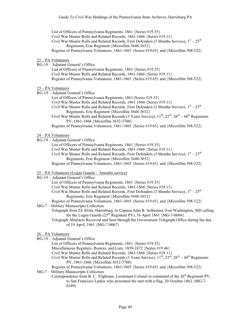List of Officers of Pennsylvania Regiments, 1861 {Series #19.35} Civil War Muster Rolls and Related Records, 1861-1866 {Series #19.11} Civil War Muster Rolls and Related Records, First Defenders (3 Months Service),  $1<sup>st</sup> - 25<sup>th</sup>$ Regiments, Erie Regiment {Microfilm 3648-3652} Register of Pennsylvania Volunteers, 1861-1865 {Series #19.65} and {Microfilm 508-522}

- 22 PA Volunteers
- RG-19 Adjutant General's Office

List of Officers of Pennsylvania Regiments, 1861 {Series #19.35} Civil War Muster Rolls and Related Records, 1861-1866 {Series #19.11} Register of Pennsylvania Volunteers, 1861-1865 {Series #19.65} and {Microfilm 508-522}

### 23 – PA Volunteers

- RG-19 Adjutant General's Office
	- List of Officers of Pennsylvania Regiments, 1861{Series #19.35}
	- Civil War Muster Rolls and Related Records, 1861-1866 {Series #19.11}
	- Civil War Muster Rolls and Related Records, First Defenders (3 Months Service),  $1<sup>st</sup> 25<sup>th</sup>$ Regiments, Erie Regiment {Microfilm 3648-3652}
	- Civil War Muster Rolls and Related Records (3 Years Service),  $11^{th}$ ,  $23^{rd}$ ,  $26^{th}$   $44^{th}$  Regiments PV, 1861-1866 {Microfilm 3652-3700}
	- Register of Pennsylvania Volunteers, 1861-1865 {Series #19.65} and {Microfilm 508-522}

# 24 – PA Volunteers

- RG-19 Adjutant General's Office
	- List of Officers of Pennsylvania Regiments, 1861 {Series #19.35}
	- Civil War Muster Rolls and Related Records, 1861-1866 {Series #19.11}
	- Civil War Muster Rolls and Related Records, First Defenders (3 Months Service),  $1<sup>st</sup> 25<sup>th</sup>$ Regiments, Erie Regiment {Microfilm 3648-3652}
	- Register of Pennsylvania Volunteers, 1861-1865 {Series #19.65} and {Microfilm 508-522}

# 25 – PA Volunteers (Logan Guards – 3months service)

# RG-19 – Adjutant General's Office

- List of Officers of Pennsylvania Regiments, 1861 {Series #19.35}
- Civil War Muster Rolls and Related Records, 1861-1866 {Series #19.11}
- Civil War Muster Rolls and Related Records, First Defenders (3 Months Service),  $1<sup>st</sup> 25<sup>th</sup>$ Regiments, Erie Regiment {Microfilm 3648-3652}
- Register of Pennsylvania Volunteers, 1861-1865 {Series #19.65} and {Microfilm 508-522}

# MG-7 – Military Manuscripts Collection

- Telegraph from Eli Slifer, Harrisburg, to Captain John B. Selheimer, Fort Washington, MD calling for the Logan Guards  $(25^{th}$  Regiment PV), 16 April 1861  ${MG-7-0066}$
- Telegraph Abstracts Received and Sent through the Government Telegraph Office during the day of 19 April, 1861 {MG-7-0067}

# 26 – PA Volunteers

- RG-19 Adjutant General's Office
	- List of Officers of Pennsylvania Regiments, 1861 {Series #19.35}
	- Miscellaneous Registers, Rosters, and Lists, 1859-1872 {Series #19.46}
	- Civil War Muster Rolls and Related Records, 1861-1866 {Series #19.11}
	- Civil War Muster Rolls and Related Records (3 Years Service),  $11^{th}$ ,  $23^{rd}$ ,  $26^{th}$  44<sup>th</sup> Regiments PV, 1861-1866 {Microfilm 3652-3700}
	- Register of Pennsylvania Volunteers, 1861-1865 {Series #19.65} and {Microfilm 508-522}

```
MG-7 – Military Manuscripts Collection
```
Correspondence from B. C. Tilghman, Lieutenant Colonel in command of the  $26<sup>th</sup>$  Regiment PV, to San Francisco Ladies who presented the unit with a flag, 20 October 1862 {MG-7- 0349}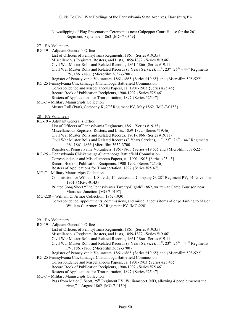Newsclipping of Flag Presentation Ceremonies near Culpepper Court House for the 26<sup>th</sup> Regiment, September 1863 {MG-7-0349}

 $27$  – DA Volu

| $27 - PA$ Volunteers                                                                                                                    |
|-----------------------------------------------------------------------------------------------------------------------------------------|
| RG-19 - Adjutant General's Office                                                                                                       |
| List of Officers of Pennsylvania Regiments, 1861 {Series #19.35}                                                                        |
| Miscellaneous Registers, Rosters, and Lists, 1859-1872 {Series #19.46}                                                                  |
| Civil War Muster Rolls and Related Records, 1861-1866 {Series #19.11}                                                                   |
| Civil War Muster Rolls and Related Records (3 Years Service), $11^{th}$ , $23^{rd}$ , $26^{th}$ – $44^{th}$ Regiments                   |
| PV, 1861-1866 {Microfilm 3652-3700}                                                                                                     |
| Register of Pennsylvania Volunteers, 1861-1865 {Series #19.65} and {Microfilm 508-522}                                                  |
| RG-25 Pennsylvania Chickamauga-Chattanooga Battlefield Commission                                                                       |
| Correspondence and Miscellaneous Papers, ca. 1901-1903 {Series #25.45}                                                                  |
| Record Book of Publication Recipients, 1900-1902 {Series #25.46}                                                                        |
| Rosters of Applications for Transportation, 1897 {Series #25.47}                                                                        |
| MG-7 - Military Manuscripts Collection                                                                                                  |
| Muster Roll (Part), Company K, 27 <sup>th</sup> Regiment PV, May 1862 {MG-7-0158}                                                       |
|                                                                                                                                         |
| 28 – PA Volunteers                                                                                                                      |
| RG-19 - Adjutant General's Office                                                                                                       |
| List of Officers of Pennsylvania Regiments, 1861 {Series #19.35}                                                                        |
| Miscellaneous Registers, Rosters, and Lists, 1859-1872 {Series #19.46}                                                                  |
| Civil War Muster Rolls and Related Records, 1861-1866 {Series #19.11}                                                                   |
| Civil War Muster Rolls and Related Records (3 Years Service), $11^{th}$ , $23^{rd}$ , $26^{th}$ – $44^{th}$ Regiments                   |
|                                                                                                                                         |
| PV, 1861-1866 {Microfilm 3652-3700}                                                                                                     |
| Register of Pennsylvania Volunteers, 1861-1865 {Series #19.65} and {Microfilm 508-522}                                                  |
| RG-25 - Pennsylvania Chickamauga-Chattanooga Battlefield Commission                                                                     |
| Correspondence and Miscellaneous Papers, ca. 1901-1903 {Series #25.45}                                                                  |
| Record Book of Publication Recipients, 1900-1902 {Series #25.46}                                                                        |
| Rosters of Applications for Transportation, 1897 {Series #25.47}                                                                        |
| MG-7 - Military Manuscripts Collection                                                                                                  |
| Commission for William J. Shields, 1 <sup>st</sup> Lieutenant, Company G, 28 <sup>th</sup> Regiment PV, 14 November<br>1861 {MG-7-0143} |
| Printed Song Sheet "The Pennsylvania Twenty-Eighth" 1862, written at Camp Tourison near                                                 |
| Manassas Junction {MG-7-0197}                                                                                                           |
| MG-228 - William C. Armor Collection, 1862-1930                                                                                         |
| Correspondence, appointments, commissions, and miscellaneous items of or pertaining to Major                                            |
| William C. Armor, 28 <sup>th</sup> Regiment PV {MG-228}                                                                                 |
|                                                                                                                                         |
|                                                                                                                                         |
| 29 - PA Volunteers                                                                                                                      |
| RG-19 - Adjutant General's Office                                                                                                       |
| List of Officers of Pennsylvania Regiments, 1861 {Series #19.35}                                                                        |
| Miscellaneous Registers, Rosters, and Lists, 1859-1872 {Series #19.46}                                                                  |
| Civil War Muster Rolls and Related Records, 1861-1866 {Series #19.11}                                                                   |
| Civil War Muster Rolls and Related Records (3 Years Service), $11^{th}$ , $23^{rd}$ , $26^{th} - 44^{th}$ Regiments                     |
| PV, 1861-1866 {Microfilm 3652-3700}                                                                                                     |
|                                                                                                                                         |

- Register of Pennsylvania Volunteers, 1861-1865 {Series #19.65} and {Microfilm 508-522}
- RG-25 Pennsylvania Chickamauga-Chattanooga Battlefield Commission Correspondence and Miscellaneous Papers, ca. 1901-1903 {Series #25.45} Record Book of Publication Recipients, 1900-1902 {Series #25.46} Rosters of Applications for Transportation, 1897 {Series #25.47}
- MG-7 Military Manuscripts Collection Pass from Major J. Scott, 29<sup>th</sup> Regiment PV, Williamsport, MD, allowing 4 people "across the river," 1 August 1862 {MG-7-0159}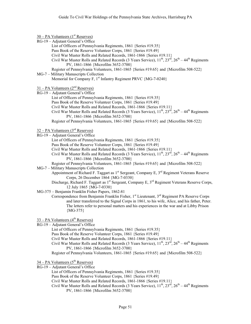| $30 - PA$ Volunteers (1 <sup>st</sup> Reserves)                                                                                                            |
|------------------------------------------------------------------------------------------------------------------------------------------------------------|
| RG-19 - Adjutant General's Office                                                                                                                          |
| List of Officers of Pennsylvania Regiments, 1861 {Series #19.35}                                                                                           |
| Pass Book of the Reserve Volunteer Corps, 1861 {Series #19.49}                                                                                             |
| Civil War Muster Rolls and Related Records, 1861-1866 {Series #19.11}                                                                                      |
| Civil War Muster Rolls and Related Records (3 Years Service), $11^{th}$ , $23^{rd}$ , $26^{th} - 44^{th}$ Regiments                                        |
| PV, 1861-1866 {Microfilm 3652-3700}                                                                                                                        |
| Register of Pennsylvania Volunteers, 1861-1865 {Series #19.65} and {Microfilm 508-522}                                                                     |
| MG-7 - Military Manuscripts Collection                                                                                                                     |
| Memorial for Company F, 1 <sup>st</sup> Infantry Regiment PRVC {MG-7-0240}                                                                                 |
| $31 - PA$ Volunteers ( $2nd$ Reserves)                                                                                                                     |
| RG-19 - Adjutant General's Office                                                                                                                          |
| List of Officers of Pennsylvania Regiments, 1861 {Series #19.35}                                                                                           |
| Pass Book of the Reserve Volunteer Corps, 1861 {Series #19.49}                                                                                             |
| Civil War Muster Rolls and Related Records, 1861-1866 {Series #19.11}                                                                                      |
| Civil War Muster Rolls and Related Records (3 Years Service), $11^{th}$ , $23^{rd}$ , $26^{th} - 44^{th}$ Regiments                                        |
| PV, 1861-1866 {Microfilm 3652-3700}                                                                                                                        |
| Register of Pennsylvania Volunteers, 1861-1865 {Series #19.65} and {Microfilm 508-522}                                                                     |
| $32 - PA$ Volunteers (3 <sup>rd</sup> Reserves)                                                                                                            |
| RG-19 - Adjutant General's Office                                                                                                                          |
| List of Officers of Pennsylvania Regiments, 1861 {Series #19.35}                                                                                           |
| Pass Book of the Reserve Volunteer Corps, 1861 {Series #19.49}                                                                                             |
| Civil War Muster Rolls and Related Records, 1861-1866 {Series #19.11}                                                                                      |
| Civil War Muster Rolls and Related Records (3 Years Service), $11^{th}$ , $23^{rd}$ , $26^{th} - 44^{th}$ Regiments                                        |
| PV, 1861-1866 {Microfilm 3652-3700}                                                                                                                        |
| Register of Pennsylvania Volunteers, 1861-1865 {Series #19.65} and {Microfilm 508-522}                                                                     |
| MG-7 - Military Manuscripts Collection                                                                                                                     |
| Appointment of Richard F. Taggart as 1 <sup>st</sup> Sergeant, Company E, 3 <sup>rd</sup> Regiment Veterans Reserve<br>Corps, 26 December 1864 {MG-7-0330} |
| Discharge, Richard F. Taggart as 1 <sup>st</sup> Sergeant, Company E, 3 <sup>rd</sup> Regiment Veterans Reserve Corps,<br>12 July 1865 {MG-7-0330}         |
| MG-375 - Benjamin Franklin Fisher Papers, 1862-81                                                                                                          |
| Correspondence from Benjamin Franklin Fisher, 1 <sup>st</sup> Lieutenant, 3 <sup>rd</sup> Regiment PA Reserve Corps                                        |
| and later transferred to the Signal Corps in 1861, to his wife, Alice, and his father, Peter.                                                              |
| The letters refer to personal matters and his experiences in the war and at Libby Prison                                                                   |
| ${MG-375}$                                                                                                                                                 |
| $33 - PA$ Volunteers ( $4th$ Reserves)                                                                                                                     |
| RG-19 - Adjutant General's Office                                                                                                                          |
| List of Officers of Pennsylvania Regiments, 1861 {Series #19.35}                                                                                           |
| Pass Book of the Reserve Volunteer Corps, 1861 {Series #19.49}                                                                                             |
| Civil War Muster Rolls and Related Records, 1861-1866 {Series #19.11}                                                                                      |
| Civil War Muster Rolls and Related Records (3 Years Service), $11^{th}$ , $23^{rd}$ , $26^{th} - 44^{th}$ Regiments                                        |
| PV, 1861-1866 {Microfilm 3652-3700}                                                                                                                        |
| Register of Pennsylvania Volunteers, 1861-1865 {Series #19.65} and {Microfilm 508-522}                                                                     |
| $34 - PA$ Volunteers ( $5th$ Reserves)                                                                                                                     |
| RG-19 - Adjutant General's Office                                                                                                                          |
| List of Officers of Pennsylvania Regiments, 1861 {Series #19.35}                                                                                           |
| Pass Book of the Reserve Volunteer Corps, 1861 {Series #19.49}                                                                                             |
| Civil War Muster Rolls and Related Records, 1861-1866 {Series #19.11}                                                                                      |

Civil War Muster Rolls and Related Records (3 Years Service),  $11^{th}$ ,  $23^{rd}$ ,  $26^{th}$  – 44<sup>th</sup> Regiments PV, 1861-1866 {Microfilm 3652-3700}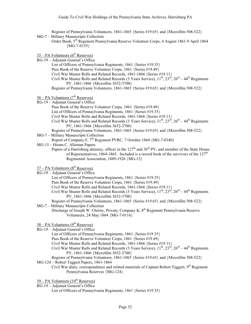Register of Pennsylvania Volunteers, 1861-1865 {Series #19.65} and {Microfilm 508-522}

MG-7 – Military Manuscripts Collection

Order Book, 5th Regiment Pennsylvania Reserve Volunteer Corps, 4 August 1861-9 April 1864 {MG-7-0155}

- $35 PA$  Volunteers ( $6<sup>th</sup>$  Reserves)
- RG-19 Adjutant General's Office List of Officers of Pennsylvania Regiments, 1861 {Series #19.35} Pass Book of the Reserve Volunteer Corps, 1861 {Series #19.49} Civil War Muster Rolls and Related Records, 1861-1866 {Series #19.11} Civil War Muster Rolls and Related Records (3 Years Service),  $11^{th}$ ,  $23^{rd}$ ,  $26^{th}$  – 44<sup>th</sup> Regiments PV, 1861-1866 {Microfilm 3652-3700} Register of Pennsylvania Volunteers, 1861-1865 {Series #19.65} and {Microfilm 508-522}
- $36 PA$  Volunteers ( $7<sup>th</sup>$  Reserves)
- RG-19 Adjutant General's Office
	- Pass Book of the Reserve Volunteer Corps, 1861 {Series #19.49}
		- List of Officers of Pennsylvania Regiments, 1861 {Series #19.35}
		- Civil War Muster Rolls and Related Records, 1861-1866 {Series #19.11}
		- Civil War Muster Rolls and Related Records (3 Years Service),  $11^{th}$ ,  $23^{rd}$ ,  $26^{th}$  44<sup>th</sup> Regiments PV, 1861-1866 {Microfilm 3652-3700}
	- Register of Pennsylvania Volunteers, 1861-1865 {Series #19.65} and {Microfilm 508-522}
- MG-7 Military Manuscripts Collection

Report of Company F, 7<sup>th</sup> Regiment PVRC, 7 October 1864 {MG-7-0340}

- MG-15 Hiram C. Alleman Papers
	- Papers of a Harrisburg attorney, officer in the  $127<sup>th</sup>$  and  $36<sup>th</sup>$  PV, and member of the State House of Representatives, 1864-1865. Included is a record book of the survivors of the  $127<sup>th</sup>$ Regimental Association, 1889-1926 {MG-15}

# $37 - PA$  Volunteers ( $8<sup>th</sup>$  Reserves)

- RG-19 Adjutant General's Office
	- List of Officers of Pennsylvania Regiments, 1861 {Series #19.35}
	- Pass Book of the Reserve Volunteer Corps, 1861 {Series #19.49}
	- Civil War Muster Rolls and Related Records, 1861-1866 {Series #19.11}
	- Civil War Muster Rolls and Related Records (3 Years Service),  $11^{th}$ ,  $23^{rd}$ ,  $26^{th}$  44<sup>th</sup> Regiments PV, 1861-1866 {Microfilm 3652-3700}
	- Register of Pennsylvania Volunteers, 1861-1865 {Series #19.65} and {Microfilm 508-522}
- MG-7 Military Manuscripts Collection
	- Discharge of Joseph W. Christy, Private, Company K, 8<sup>th</sup> Regiment Pennsylvania Reserve Volunteers, 24 May 1864 {MG-7-0116}

# $38 - PA$  Volunteers (9<sup>th</sup> Reserves)

- RG-19 Adjutant General's Office
	- List of Officers of Pennsylvania Regiments, 1861 {Series #19.35}
	- Pass Book of the Reserve Volunteer Corps, 1861 {Series #19.49}
	- Civil War Muster Rolls and Related Records, 1861-1866 {Series #19.11}
	- Civil War Muster Rolls and Related Records (3 Years Service),  $11^{th}$ ,  $23^{rd}$ ,  $26^{th}$   $44^{th}$  Regiments PV, 1861-1866 {Microfilm 3652-3700}
- Register of Pennsylvania Volunteers, 1861-1865 {Series #19.65} and {Microfilm 508-522} MG-124 – Robert Taggert Papers, 1861-1864
	- Civil War diary, correspondence and related materials of Captain Robert Taggert, 9<sup>th</sup> Regiment Pennsylvania Reserves {MG-124}

 $39 - PA$  Volunteers  $(10^{th}$  Reserves)

- RG-19 Adjutant General's Office
	- List of Officers of Pennsylvania Regiments, 1861 {Series #19.35}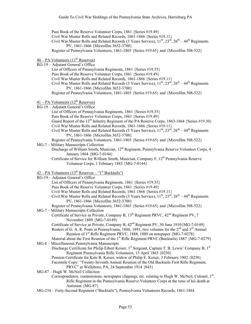Pass Book of the Reserve Volunteer Corps, 1861 {Series #19.49} Civil War Muster Rolls and Related Records, 1861-1866 {Series #19.11} Civil War Muster Rolls and Related Records (3 Years Service),  $11^{th}$ ,  $23^{rd}$ ,  $26^{th}$  – 44<sup>th</sup> Regiments PV, 1861-1866 {Microfilm 3652-3700} Register of Pennsylvania Volunteers, 1861-1865 {Series #19.65} and {Microfilm 508-522}

- $40 PA$  Volunteers  $(11<sup>th</sup>$  Reserves)
- RG-19 Adjutant General's Office
- List of Officers of Pennsylvania Regiments, 1861 {Series #19.35} Pass Book of the Reserve Volunteer Corps, 1861 {Series #19.49} Civil War Muster Rolls and Related Records, 1861-1866 {Series #19.11} Civil War Muster Rolls and Related Records (3 Years Service),  $11^{th}$ ,  $23^{rd}$ ,  $26^{th}$  – 44<sup>th</sup> Regiments PV, 1861-1866 {Microfilm 3652-3700} Register of Pennsylvania Volunteers, 1861-1865 {Series #19.65} and {Microfilm 508-522}
- $41 PA$  Volunteers  $(12<sup>th</sup>$  Reserves)
- RG-19 Adjutant General's Office
	- List of Officers of Pennsylvania Regiments, 1861 {Series #19.35} Pass Book of the Reserve Volunteer Corps, 1861 {Series #19.49} Guard Report of the 12<sup>th</sup> Infantry Regiment of the PA Reserve Corps, 1863-1864 {Series #19.30} Civil War Muster Rolls and Related Records, 1861-1866 {Series #19.11} Civil War Muster Rolls and Related Records (3 Years Service),  $11^{th}$ ,  $23^{rd}$ ,  $26^{th}$  –  $44^{th}$  Regiments PV, 1861-1866 {Microfilm 3652-3700}

Register of Pennsylvania Volunteers, 1861-1865 {Series #19.65} and {Microfilm 508-522} MG-7 – Military Manuscripts Collection

Discharge of William Smith, Musician, 12<sup>th</sup> Regiment, Pennsylvania Reserve Volunteer Corps, 4 January 1864 {MG-7-0144}

Certificate of Service for William Smith, Musician, Company F, 12<sup>th</sup> Pennsylvania Reserve Volunteer Corps, 1 February 1883 {MG-7-0144}

 $42 - PA$  Volunteers  $(13<sup>th</sup>$  Reserves – "1<sup>st</sup> Bucktails")

| RG-19 – Adjutant General's Office                                                                                         |
|---------------------------------------------------------------------------------------------------------------------------|
| List of Officers of Pennsylvania Regiments, 1861 {Series #19.35}                                                          |
| Pass Book of the Reserve Volunteer Corps, 1861 {Series #19.49}                                                            |
| Civil War Muster Rolls and Related Records, 1861-1866 {Series #19.11}                                                     |
| Civil War Muster Rolls and Related Records (3 Years Service), $11^{th}$ , $23^{rd}$ , $26^{th}$ – $44^{th}$ Regiments     |
| PV, 1861-1866 {Microfilm 3652-3700}                                                                                       |
| Register of Pennsylvania Volunteers, 1861-1865 {Series #19.65} and {Microfilm 508-522}                                    |
| MG-7 - Military Manuscripts Collection                                                                                    |
| Certificate of Service as Private, Company B, 13 <sup>th</sup> Regiment PRVC, 42 <sup>nd</sup> Regiment PV, 7             |
| November 1889 {MG-7-0149}                                                                                                 |
| Certificate of Service as Private, Company B, 42 <sup>nd</sup> Regiment PV, 30 June 1910{MG-7-0149}                       |
| Rosters of G. A. R. Posts in Pennsylvania, 1886, 1891; two volumes for the 2 <sup>nd</sup> and 3 <sup>rd</sup> Annual     |
| Reunion of 1 <sup>st</sup> Rifle Regiment PRVC, 1888, 1889 on notepaper {MG-7-0278}                                       |
| Material about the First Reunion of the 1 <sup>st</sup> Rifle Regiment PRVC (Bucktails) 1887 {MG-7-0279}                  |
| MG-8 – Miscellaneous Pennsylvania Manuscripts                                                                             |
| Discharge Certificate for Philip Eibert Keiser, 1 <sup>st</sup> Sergeant, Captain T. B. Lewis' Company B, 1 <sup>st</sup> |
| Regiment Pennsylvania Rifle Volunteers, 15 April 1863 {0250}                                                              |
| Pension Certificate for Kate R. Keiser, widow of Philip E. Keiser, 3 February 1902 {0250}                                 |
| Facsimile Copy: "Twenty-Seventh Annual Reunion of the Old Bucktails First Rifle Regiment,                                 |
| PRVC" at Wellsboro, PA, 24 September 1914 {843}                                                                           |
| MG-87 - Hugh W. McNeil Collection                                                                                         |
| Correspondence, commissions, newspaper clippings, etc. relating to Hugh W. McNeil, Colonel, 1 <sup>st</sup>               |
| Rifle Regiment in the Pennsylvania Reserve Volunteer Corps at the time of his death at                                    |
| Antietam {MG-87}                                                                                                          |

MG-234 – Forty-Second Regiment ("Bucktails"), Pennsylvania Volunteers Records, 1861-1864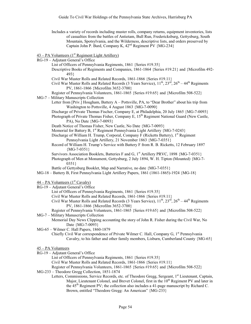Includes a variety of records including muster rolls, company returns, equipment inventories, lists of casualties from the battles of Antietam, Bull Run, Fredericksburg, Gettysburg, South Mountain, Spotsylvania, and the Wilderness, descriptive lists, and orders preserved by Captain John P. Bard, Company K,  $42<sup>nd</sup>$  Regiment PV {MG-234}

 $43 - PA$  Volunteers ( $1<sup>st</sup>$  Regiment Light Artillery)

RG-19 – Adjutant General's Office

List of Officers of Pennsylvania Regiments, 1861 {Series #19.35}

Descriptive Books of Regiments and Companies, 1861-1864 {Series #19.21} and {Microfilm 492- 493}

Civil War Muster Rolls and Related Records, 1861-1866 {Series #19.11}

Civil War Muster Rolls and Related Records (3 Years Service),  $11^{th}$ ,  $23^{rd}$ ,  $26^{th}$  –  $44^{th}$  Regiments PV, 1861-1866 {Microfilm 3652-3700}

Register of Pennsylvania Volunteers, 1861-1865 {Series #19.65} and {Microfilm 508-522}

MG-7 – Military Manuscripts Collection

Letter from [Priv.] Hougham, Battery A – Pottsville, PA, to "Dear Brother" about his trip from Washington to Pottsville, 4 August 1863 {MG-7-0090}

Discharge of Private Thomas Fischer, Company E, at Philadelphia, 20 July 1865 {MG-7-0093}

Photograph of Private Thomas Fisher, Company E,  $15<sup>th</sup>$  Regiment National Guard (New Castle, PA), No Date {MG-7-0093}

Death Notice of Thomas Fisher, New Castle, No Date {MG-7-0093}

Memorial for Battery B, 1<sup>st</sup> Regiment Pennsylvania Light Artillery {MG-7-0243}

Discharge of William H. Trump, Corporal, Company F (Ricketts Battery), 1<sup>st</sup> Regiment Pennsylvania Light Artillery, 21 November 1863 {MG-7-0351}

Record of William H. Trump's Service with Battery F from R. B. Ricketts, 12 February 1897  ${MG-7-0351}$ 

Survivors Association Booklets, Batteries F and G, 1<sup>st</sup> Artillery PRVC, 1898 {MG-7-0351}

Photograph of Men at Monument, Gettysburg, 2 July 1894, W. H. Tipton (Mounted) {MG-7- 0351}

Battle of Gettysburg Booklet, Map and Narrative, no date {MG-7-0351}

MG-18 – Battery B, First Pennsylvania Light Artillery Papers, 1861 (1861-1865)-1924 {MG-18}

 $44 - PA$  Volunteers  $(1<sup>st</sup>$  Cavalry)

RG-19 – Adjutant General's Office

List of Officers of Pennsylvania Regiments, 1861 {Series #19.35}

Civil War Muster Rolls and Related Records, 1861-1866 {Series #19.11}

Civil War Muster Rolls and Related Records (3 Years Service),  $11^{th}$ ,  $23^{rd}$ ,  $26^{th}$  – 44<sup>th</sup> Regiments PV, 1861-1866 {Microfilm 3652-3700}

Register of Pennsylvania Volunteers, 1861-1865 {Series #19.65} and {Microfilm 508-522} MG-7 – Military Manuscripts Collection

Memorial Day News Clipping accounting the story of John R. Fisher during the Civil War, No Date {MG-7-0093}

MG-65 – Wilmer C. Hall Papers, 1860-1879

Chiefly Civil War correspondence of Private Wilmer C. Hall, Company G, 1<sup>st</sup> Pennsylvania Cavalry, to his father and other family members, Lisburn, Cumberland County {MG-65}

#### 45 – PA Volunteers

RG-19 – Adjutant General's Office

List of Officers of Pennsylvania Regiments, 1861 {Series #19.35}

Civil War Muster Rolls and Related Records, 1861-1866 {Series #19.11}

Register of Pennsylvania Volunteers, 1861-1865 {Series #19.65} and {Microfilm 508-522}

- MG-233 Theodore Gregg Collection, 1851-1874
	- Letters, Commissions, Service Records, etc. of Theodore Gregg, Sergeant, 1<sup>st</sup> Lieutenant, Captain, Major, Lieutenant Colonel, and Brevet Colonel, first in the 10<sup>th</sup> Regiment PV and later in the 45th Regiment PV; the collection also includes a 41-page manuscript by Richard C. Brown, entitled "Theodore Gregg: An American" {MG-233}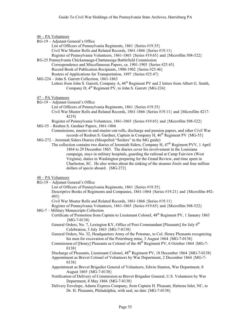- 46 PA Volunteers
- RG-19 Adjutant General's Office
	- List of Officers of Pennsylvania Regiments, 1861 {Series #19.35} Civil War Muster Rolls and Related Records, 1861-1866 {Series #19.11}
	- Register of Pennsylvania Volunteers, 1861-1865 {Series #19.65} and {Microfilm 508-522}
- RG-25 Pennsylvania Chickamauga-Chattanooga Battlefield Commission Correspondence and Miscellaneous Papers, ca. 1901-1903 {Series #25.45} Record Book of Publication Recipients, 1900-1902 {Series #25.46} Rosters of Applications for Transportation, 1897 {Series #25.47}
- MG-224 John S. Garrett Collection, 1861-1863
	- Letters from John S. Garrett, Company A, 46<sup>th</sup> Regiment PV and 2 letters from Albert G. Smith, Company D,  $4^{\text{th}}$  Regiment PV, to John S. Garrett  ${MG-224}$
- 47 PA Volunteers
- RG-19 Adjutant General's Office
	- List of Officers of Pennsylvania Regiments, 1861 {Series #19.35}
		- Civil War Muster Rolls and Related Records, 1861-1866 {Series #19.11} and {Microfilm 4217- 4219}
- Register of Pennsylvania Volunteers, 1861-1865 {Series #19.65} and {Microfilm 508-522} MG-55 – Reuben S. Gardner Papers, 1861-1866
	- Commissions, muster-in and muster-out rolls, discharge and pension papers, and other Civil War records of Reuben S. Gardner, Captain in Company H,  $46<sup>th</sup>$  Regiment PV {MG-55}
- MG-272 Jeremiah Siders Diaries (Misspelled "Seiders" in the MG guide)
	- The collection contains two diaries of Jeremiah Siders, Company H,  $47<sup>th</sup>$  Regiment PVV, 1 April 1864 to 29 December 1865. The diaries cover his involvement in the Louisiana campaign, stays in military hospitals, guarding the railroad at Camp Fairview (West Virginia), duties in Washington preparing for the Grand Review, and time spent in Charleston, SC. He also writes about the sinking of the steamer *Emile* and four million dollars of specie aboard. {MG-272}

#### 48 – PA Volunteers

- RG-19 Adjutant General's Office
	- List of Officers of Pennsylvania Regiments, 1861 {Series #19.35}
		- Descriptive Books of Regiments and Companies, 1861-1864 {Series #19.21} and {Microfilm 492- 493}

Civil War Muster Rolls and Related Records, 1861-1866 {Series #19.11}

Register of Pennsylvania Volunteers, 1861-1865 {Series #19.65} and {Microfilm 508-522} MG-7 – Military Manuscripts Collection

- Certificate of Promotion from Captain to Lieutenant Colonel, 48<sup>th</sup> Regiment PV, 1 January 1863 {MG-7-0138}
	- General Orders, No. 7, Lexington KY, Office of Post Commandant [Pleasants] for July 4<sup>th</sup> Celebration, 3 July 1863 {MG-7-0138}
	- General Orders, No. 32, Headquarters Army of the Potomac, to Col. Henry Pleasants recognizing his men for excavation of the Petersburg mine, 3 August 1864 {MG-7-0138}
	- Commission of [Henry] Pleasants as Colonel of the  $48<sup>th</sup>$  Regiment PV, 6 October 1864 {MG-7-0138}

Discharge of Pleasants, Lieutenant Colonel, 48<sup>th</sup> Regiment PV, 18 December 1864 {MG-7-0138}

- Appointment as Brevet Colonel of Volunteers by War Department, 2 December 1864 {MG-7- 0138}
- Appointment as Brevet Brigadier General of Volunteers, Edwin Stanton, War Department, 8 August 1865 {MG-7-0138}
- Notification of Delivery of Commission as Brevet Brigadier General, U.S. Volunteers by War Department, 8 May 1866 {MG-7-0138}
- Delivery Envelope, Adams Express Company, from Captain H. Pleasant, Hatteras Inlet, NC, to Dr. H. Pleasants, Philadelphia, with seal, no date {MG-7-0138}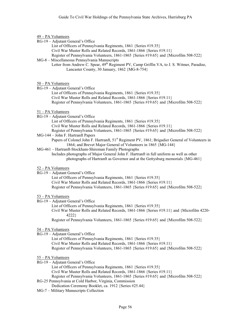# 49 – PA Volunteers

- RG-19 Adjutant General's Office
	- List of Officers of Pennsylvania Regiments, 1861 {Series #19.35} Civil War Muster Rolls and Related Records, 1861-1866 {Series #19.11} Register of Pennsylvania Volunteers, 1861-1865 {Series #19.65} and {Microfilm 508-522}
- MG-8 Miscellaneous Pennsylvania Manuscripts Letter from Andrew C. Spear, 49<sup>th</sup> Regiment PV, Camp Griffin VA, to J. S. Witmer, Paradise,
	- Lancaster County, 30 January, 1862 {MG-8-754}

# 50 – PA Volunteers

- RG-19 Adjutant General's Office
	- List of Officers of Pennsylvania Regiments, 1861 {Series #19.35} Civil War Muster Rolls and Related Records, 1861-1866 {Series #19.11} Register of Pennsylvania Volunteers, 1861-1865 {Series #19.65} and {Microfilm 508-522}

### 51 – PA Volunteers

- RG-19 Adjutant General's Office
	- List of Officers of Pennsylvania Regiments, 1861 {Series #19.35}
		- Civil War Muster Rolls and Related Records, 1861-1866 {Series #19.11}
	- Register of Pennsylvania Volunteers, 1861-1865 {Series #19.65} and {Microfilm 508-522}
- MG-144 John F. Hartranft Papers Papers of Colonel John F. Hartranft, 51<sup>st</sup> Regiment PV, 1861; Brigadier General of Volunteers in 1864; and Brevet Major General of Volunteers in 1865 {MG-144}
- MG-461 Hartranft-Stockham-Shireman Family Photographs

Includes photographs of Major General John F. Hartranft in full uniform as well as other photographs of Hartranft as Governor and at the Gettysburg memorials {MG-461}

### 52 – PA Volunteers

RG-19 – Adjutant General's Office

List of Officers of Pennsylvania Regiments, 1861 {Series #19.35} Civil War Muster Rolls and Related Records, 1861-1866 {Series #19.11} Register of Pennsylvania Volunteers, 1861-1865 {Series #19.65} and {Microfilm 508-522}

# 53 – PA Volunteers

RG-19 – Adjutant General's Office

List of Officers of Pennsylvania Regiments, 1861 {Series #19.35}

Civil War Muster Rolls and Related Records, 1861-1866 {Series #19.11} and {Microfilm 4220- 4222}

Register of Pennsylvania Volunteers, 1861-1865 {Series #19.65} and {Microfilm 508-522}

### 54 – PA Volunteers

RG-19 – Adjutant General's Office

List of Officers of Pennsylvania Regiments, 1861 {Series #19.35} Civil War Muster Rolls and Related Records, 1861-1866 {Series #19.11} Register of Pennsylvania Volunteers, 1861-1865 {Series #19.65} and {Microfilm 508-522}

- 55 PA Volunteers
- RG-19 Adjutant General's Office
- List of Officers of Pennsylvania Regiments, 1861 {Series #19.35} Civil War Muster Rolls and Related Records, 1861-1866 {Series #19.11} Register of Pennsylvania Volunteers, 1861-1865 {Series #19.65} and {Microfilm 508-522}
- RG-25 Pennsylvania at Cold Harbor, Virginia, Commission
	- Dedication Ceremony Booklet, ca. 1912 {Series #25.44}
- MG-7 Military Manuscripts Collection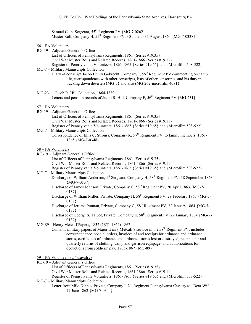Samuel Cain, Sergeant, 55<sup>th</sup> Regiment PV {MG-7-0262} Muster Roll, Company H,  $55^{th}$  Regiment PV, 30 June to 31 August 1864 {MG-7-0338}

- 56 PA Volunteers
- RG-19 Adjutant General's Office
- List of Officers of Pennsylvania Regiments, 1861 {Series #19.35} Civil War Muster Rolls and Related Records, 1861-1866 {Series #19.11} Register of Pennsylvania Volunteers, 1861-1865 {Series #19.65} and {Microfilm 508-522} MG-7 – Military Manuscripts Collection
- Diary of conscript Jacob Henry Gobrecht, Company I,  $56<sup>th</sup>$  Regiment PV commenting on camp life, correspondence with other conscripts, lists of other conscripts, and his duty in tracking down deserters{MG-7} and also (MG-262-microfilm 4081}
- MG-231 Jacob R. Hill Collection, 1864-1889

Letters and pension records of Jacob R. Hill, Company F,  $56<sup>th</sup>$  Regiment PV {MG-231}

- 57 PA Volunteers
- RG-19 Adjutant General's Office List of Officers of Pennsylvania Regiments, 1861 {Series #19.35} Civil War Muster Rolls and Related Records, 1861-1866 {Series #19.11} Register of Pennsylvania Volunteers, 1861-1865 {Series #19.65} and {Microfilm 508-522}
- MG-7 Military Manuscripts Collection Correspondence of Ellis C. Strouss, Company K,  $57<sup>th</sup>$  Regiment PV, to family members, 1861-1865 {MG-7-0348}

58 – PA Volunteers

- RG-19 Adjutant General's Office
	- List of Officers of Pennsylvania Regiments, 1861 {Series #19.35}
	- Civil War Muster Rolls and Related Records, 1861-1866 {Series #19.11}
	- Register of Pennsylvania Volunteers, 1861-1865 {Series #19.65} and {Microfilm 508-522}
- MG-7 Military Manuscripts Collection
	- Discharge of William Anderson, 1<sup>st</sup> Sergeant, Company H, 58<sup>th</sup> Regiment PV, 18 September 1863  ${MG-7-0137}$ 
		- Discharge of James Johnson, Private, Company C,  $58<sup>th</sup>$  Regiment PV, 20 April 1863 {MG-7-0137}
		- Discharge of William Miller, Private, Company H, 58<sup>th</sup> Regiment PV, 29 February 1863 {MG-7-0137}
		- Discharge of Jerome Putnam, Private, Company G, 58<sup>th</sup> Regiment PV, 22 January 1864 {MG-7-0137}
		- Discharge of George S. Talbot, Private, Company E,  $58<sup>th</sup>$  Regiment PV, 22 January 1864 {MG-7-0137}
- MG-89 Henry Metcalf Papers, 1832 (1851-1864)-1867
	- Contains military papers of Major Henry Metcalf's service in the 58<sup>th</sup> Regiment PV; includes: correspondence, special orders, invoices of and receipts for ordnance and ordnance stores, certificates of ordnance and ordnance stores lost or destroyed, receipts for and quarterly returns of clothing, camp and garrison equipage, and authorizations for deductions from soldiers' pay, 1865-1867 {MG-89}

 $59 - PA$  Volunteers  $(2<sup>nd</sup>$  Cavalry)

- RG-19 Adjutant General's Office
- List of Officers of Pennsylvania Regiments, 1861 {Series #19.35} Civil War Muster Rolls and Related Records, 1861-1866 {Series #19.11} Register of Pennsylvania Volunteers, 1861-1865 {Series #19.65} and {Microfilm 508-522}
- MG-7 Military Manuscripts Collection Letter from Milo Dibble, Private, Company I, 2<sup>nd</sup> Regiment Pennsylvania Cavalry to "Dear Wife," 22 June 1862 {MG-7-0344}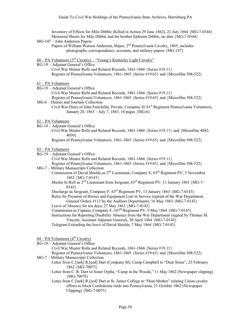Inventory of Effects for Milo Dibble (Killed in Action 29 June 1862), 21 July 1864 {MG-7-0344} Memorial Sheets for Milo Dibble and his brother Ephraim Dibble, no date {MG-7-0344}

- MG-147 John Anderson Papers
	- Papers of William Watson Anderson, Major, 2<sup>nd</sup> Pennsylvania Cavalry, 1865; includes photographs, correspondence, accounts, and military papers {MG-147}
- 60 PA Volunteers ( $3^{rd}$  Cavalry) "Young's Kentucky Light Cavalry"
- RG-19 Adjutant General's Office Civil War Muster Rolls and Related Records, 1861-1866 {Series #19.11} Register of Pennsylvania Volunteers, 1861-1865 {Series #19.65} and {Microfilm 508-522}

# 61 – PA Volunteers

RG-19 – Adjutant General's Office

Civil War Muster Rolls and Related Records, 1861-1866 {Series #19.11}

- Register of Pennsylvania Volunteers, 1861-1865 {Series #19.65} and {Microfilm 508-522} MG-6 – Diaries and Journals Collection
	- Civil War Diary of John Fairchilds, Private, Company D,  $61<sup>st</sup>$  Regiment Pennsylvania Volunteers, January 20, 1863 – July 7, 1863, 10 pages {MG-6}
- 62 PA Volunteers
- RG-19 Adjutant General's Office
	- Civil War Muster Rolls and Related Records, 1861-1866 {Series #19.11} and {Microfilm 4042- 4030}

Register of Pennsylvania Volunteers, 1861-1865 {Series #19.65} and {Microfilm 508-522}

- 63 PA Volunteers
- RG-19 Adjutant General's Office

Civil War Muster Rolls and Related Records, 1861-1866 {Series #19.11}

Register of Pennsylvania Volunteers, 1861-1865 {Series #19.65} and {Microfilm 508-522} MG-7 – Military Manuscripts Collection

- Commission of David Shields as 2nd Lieutenant, Company E, 63rd Regiment PV, 5 November 1862 {MG-7-0143}
	- Muster In Roll as 2<sup>nd</sup> Lieutenant from Sergeant,  $63^{\text{rd}}$  Regiment PV, 13 January 1863 {MG-7-0143}
	- Discharge as Sergeant, Company F,  $63<sup>rd</sup>$  Regiment PV, 13 January 1863 {MG-7-0143}

Rules for Payment of Horses and Equipment Lost in Service (reprint of the War Department, General Orders #113 by the Auditors Department), 16 May 1863 {MG-7-0143}

Leave of Absence for ten days, 27 May 1863 {MG-7-0143}

- Commission as Captain, Company F,  $107<sup>th</sup>$  Regiment PV, 9 May 1864 {MG-7-0143}
- Instructions for Reporting Disability Absence from the War Department (signed by Thomas M. Vincent, Assistant Adjutant General), 30 April 1864 {MG-7-0143}

Telegram Extending the leave of David Shields, 7 May 1864 {MG-7-0143}

# $64 - PA$  Volunteers ( $4<sup>th</sup>$  Cavalry)

RG-19 – Adjutant General's Office

Civil War Muster Rolls and Related Records, 1861-1866 {Series #19.11}

- Register of Pennsylvania Volunteers, 1861-1865 {Series #19.65} and {Microfilm 508-522} MG-7 – Military Manuscripts Collection
	- Letter from C.[lark] R.[eed] Dart (Company M), Camp Campbell to "Dear Sister", 23 February 1862 {MG-70075}
		- Letter from C. R. Dart to Sister Orpha, "Camp in the Woods," 11 May 1862 (Newspaper clipping) {MG-70076}

Letter from C.[lark] R.[eed] Dart at St. James College to "Dear Mother" relating Union cavalry efforts to block Confederate raids into Pennsylvania, 21 October 1862 (Newspaper Clipping) {MG-7-0075}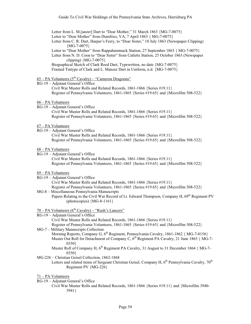Letter from L. M.[anzer] Dart to "Dear Mother," 31 March 1863 {MG-7-0075} Letter to "Dear Mother" from Dumfries, VA, 7 April 1863 { MG-7-0075} Letter from C. R. Dart, Harper's Ferry, to "Dear Sister," 18 July 1863 (Newspaper Clipping)  ${MG-7-0075}$ Letter to "Dear Mother" from Rappahammack Station, 27 September 1863 { MG-7-0075} Letter from N. D. Coon to "Dear Sister" from Catletts Station, 25 October 1863 (Newspaper clipping) {MG-7-0075}

Biographical Sketch of Clark Reed Dart, Typewritten, no date {MG-7-0075} Framed Tintype of Clark and L. Manzer Dart in Uniform, n.d. {MG-7-0075}

- $65 PA$  Volunteers  $(5<sup>th</sup>$  Cavalry) "Cameron Dragoons"
- RG-19 Adjutant General's Office Civil War Muster Rolls and Related Records, 1861-1866 {Series #19.11} Register of Pennsylvania Volunteers, 1861-1865 {Series #19.65} and {Microfilm 508-522}

### 66 – PA Volunteers

RG-19 – Adjutant General's Office Civil War Muster Rolls and Related Records, 1861-1866 {Series #19.11} Register of Pennsylvania Volunteers, 1861-1865 {Series #19.65} and {Microfilm 508-522}

# 67 – PA Volunteers

- RG-19 Adjutant General's Office Civil War Muster Rolls and Related Records, 1861-1866 {Series #19.11} Register of Pennsylvania Volunteers, 1861-1865 {Series #19.65} and {Microfilm 508-522}
- 68 PA Volunteers
- RG-19 Adjutant General's Office Civil War Muster Rolls and Related Records, 1861-1866 {Series #19.11} Register of Pennsylvania Volunteers, 1861-1865 {Series #19.65} and {Microfilm 508-522}

69 – PA Volunteers

- RG-19 Adjutant General's Office
	- Civil War Muster Rolls and Related Records, 1861-1866 {Series #19.11}
	- Register of Pennsylvania Volunteers, 1861-1865 {Series #19.65} and {Microfilm 508-522}
- MG-8 Miscellaneous Pennsylvania Manuscripts
	- Papers Relating to the Civil War Record of Lt. Edward Thompson, Company H, 69<sup>th</sup> Regiment PV (photocopies) {MG-8-1161}
- $70 PA$  Volunteers ( $6<sup>th</sup>$  Cavalry) "Rush's Lancers"
- RG-19 Adjutant General's Office

Civil War Muster Rolls and Related Records, 1861-1866 {Series #19.11}

Register of Pennsylvania Volunteers, 1861-1865 {Series #19.65} and {Microfilm 508-522} MG-7 – Military Manuscripts Collection

- Morning Reports, Company G, 6<sup>th</sup> Regiment, Pennsylvania Cavalry, 1861-1862 { MG-7-0156} Muster Out Roll for Detachment of Company C, 6<sup>th</sup> Regiment PA Cavalry, 21 June 1865 { MG-7-0350}
	- Muster Roll of Company H,  $6<sup>th</sup>$  Regiment PA Cavalry, 31 August to 31 December 1864 { MG-7-0350}
- MG-226 Christian Geisel Collection, 1862-1868
	- Letters and related items of Sergeant Christian Geisel, Company H, 6<sup>th</sup> Pennsylvania Cavalry, 70<sup>th</sup> Regiment PV {MG-226}
- 71 PA Volunteers
- RG-19 Adjutant General's Office
	- Civil War Muster Rolls and Related Records, 1861-1866 {Series #19.11} and {Microfilm 3940- 3941}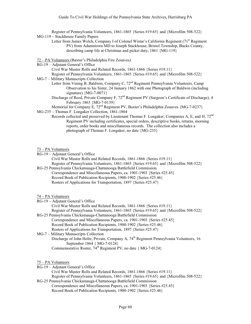Register of Pennsylvania Volunteers, 1861-1865 {Series #19.65} and {Microfilm 508-522} MG-119 – Stackhouse Family Papers

Letter from James Welch, Company I of Colonel Wistar's California Regiment (71<sup>st</sup> Regiment PV) from Adamstown MD to Joseph Stackhouse, Bristol Township, Bucks County, describing camp life at Christmas and picket duty, 1861 {MG-119}

72 – PA Volunteers (Baxter's Philadelphia Fire Zouaves)

RG-19 – Adjutant General's Office

Civil War Muster Rolls and Related Records, 1861-1866 {Series #19.11}

Register of Pennsylvania Volunteers, 1861-1865 {Series #19.65} and {Microfilm 508-522} MG-7 – Military Manuscripts Collection

- Letter from Vining B. Baldwin, Company C, 72<sup>nd</sup> Regiment Pennsylvania Volunteers, Camp Observation to his Sister, 24 January 1862 with one Photograph of Baldwin (including signature) {MG-7-0071}
	- Discharge of Reed, Private Company F, 72<sup>nd</sup> Regiment PV (Surgeon's Certificate of Discharge), 4 February 1863 {MG-7-0139}

Memorial for Company E,  $72<sup>nd</sup>$  Regiment PV, Baxter's Philadelphia Zouaves  ${MG-7-0237}$ 

- MG-235 Thomas F. Longaker Collection, 1861-1864
	- Records collected and preserved by Lieutenant Thomas F. Longaker, Companies A, E, and H,  $72<sup>nd</sup>$ Regiment PV including certificates, special orders, descriptive books, returns, morning reports, order books and miscellaneous records. The collection also includes a photograph of Thomas F. Longaker, no date {MG-235}

73 – PA Volunteers

RG-19 – Adjutant General's Office

Civil War Muster Rolls and Related Records, 1861-1866 {Series #19.11} Register of Pennsylvania Volunteers, 1861-1865 {Series #19.65} and {Microfilm 508-522}

- RG-25 Pennsylvania Chickamauga-Chattanooga Battlefield Commission Correspondence and Miscellaneous Papers, ca. 1901-1903 {Series #25.45} Record Book of Publication Recipients, 1900-1902 {Series #25.46} Rosters of Applications for Transportation, 1897 {Series #25.47}
- 74 PA Volunteers
- RG-19 Adjutant General's Office

Civil War Muster Rolls and Related Records, 1861-1866 {Series #19.11}

Register of Pennsylvania Volunteers, 1861-1865 {Series #19.65} and {Microfilm 508-522} RG-25 Pennsylvania Chickamauga-Chattanooga Battlefield Commission

Correspondence and Miscellaneous Papers, ca. 1901-1903 {Series #25.45} Record Book of Publication Recipients, 1900-1902 {Series #25.46} Rosters of Applications for Transportation, 1897 {Series #25.47}

MG-7 – Military Manuscripts Collection Discharge of John Holtz, Private, Company A, 74<sup>th</sup> Regiment Pennsylvania Volunteers, 16 September 1864 { MG-7-0124} Commemorative Roster,  $74^{th}$  Regiment PV, no date { MG-7-0124}

75 – PA Volunteers

RG-19 – Adjutant General's Office

Civil War Muster Rolls and Related Records, 1861-1866 {Series #19.11} Register of Pennsylvania Volunteers, 1861-1865 {Series #19.65} and {Microfilm 508-522} RG-25 Pennsylvania Chickamauga-Chattanooga Battlefield Commission

Correspondence and Miscellaneous Papers, ca. 1901-1903 {Series #25.45} Record Book of Publication Recipients, 1900-1902 {Series #25.46}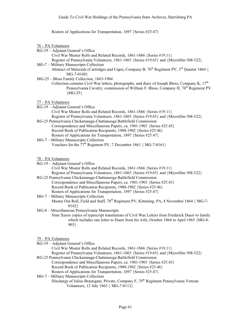Rosters of Applications for Transportation, 1897 {Series #25.47}

76 – PA Volunteers

RG-19 – Adjutant General's Office

Civil War Muster Rolls and Related Records, 1861-1866 {Series #19.11} Register of Pennsylvania Volunteers, 1861-1865 {Series #19.65} and {Microfilm 508-522}

MG-7 – Military Manuscripts Collection

Abstract of Materials (Cartridges and Caps), Company B,  $76<sup>th</sup>$  Regiment PV,  $3<sup>rd</sup>$  Quarter 1864 { MG-7-0160}

MG-25 – Bloss Family Collection, 1863-1904

Collection contains Civil War letters, photographs, and diary of Joseph Bloss, Company K,  $17<sup>th</sup>$ Pennsylvania Cavalry; commission of William F. Bloss, Company H, 76<sup>th</sup> Regiment PV {MG-25}

77 – PA Volunteers

RG-19 – Adjutant General's Office

Civil War Muster Rolls and Related Records, 1861-1866 {Series #19.11} Register of Pennsylvania Volunteers, 1861-1865 {Series #19.65} and {Microfilm 508-522}

- RG-25 Pennsylvania Chickamauga-Chattanooga Battlefield Commission Correspondence and Miscellaneous Papers, ca. 1901-1903 {Series #25.45} Record Book of Publication Recipients, 1900-1902 {Series #25.46} Rosters of Applications for Transportation, 1897 {Series #25.47}
- MG-7 Military Manuscripts Collection Vouchers for the  $77<sup>th</sup>$  Regiment PV, 7 December 1861 { MG-7-0161}

78 – PA Volunteers

- RG-19 Adjutant General's Office Civil War Muster Rolls and Related Records, 1861-1866 {Series #19.11} Register of Pennsylvania Volunteers, 1861-1865 {Series #19.65} and {Microfilm 508-522}
	- RG-25 Pennsylvania Chickamauga-Chattanooga Battlefield Commission Correspondence and Miscellaneous Papers, ca. 1901-1903 {Series #25.45} Record Book of Publication Recipients, 1900-1902 {Series #25.46} Rosters of Applications for Transportation, 1897 {Series #25.47}
	- MG-7 Military Manuscripts Collection Muster Out Roll, Field and Staff, 78<sup>th</sup> Regiment PV, Kittaning, PA, 4 November 1864 { MG-7-0162}

MG-8 – Miscellaneous Pennsylvania Manuscripts

Nine Xerox copies of typescript translations of Civil War Letters from Frederick Duerr to family which includes one letter to Duerr from his wife, October 1864 to April 1865 {MG-8- 903}

79 – PA Volunteers

RG-19 – Adjutant General's Office

Civil War Muster Rolls and Related Records, 1861-1866 {Series #19.11}

- Register of Pennsylvania Volunteers, 1861-1865 {Series #19.65} and {Microfilm 508-522} RG-25 Pennsylvania Chickamauga-Chattanooga Battlefield Commission
	- Correspondence and Miscellaneous Papers, ca. 1901-1903 {Series #25.45}

Record Book of Publication Recipients, 1900-1902 {Series #25.46}

- Rosters of Applications for Transportation, 1897 {Series #25.47}
- MG-7 Military Manuscripts Collection
	- Discharge of Julius Brautigam, Private, Company F, 79<sup>th</sup> Regiment Pennsylvania Veteran Volunteers, 12 July 1865 { MG-7-0112}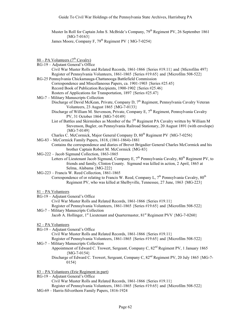Muster In Roll for Captain John S. McBride's Company, 79<sup>th</sup> Regiment PV, 26 September 1861  ${MG-7-0163}$ 

James Moore, Company F,  $79<sup>th</sup>$  Regiment PV { MG-7-0254}

- $80 PA$  Volunteers ( $7<sup>th</sup>$  Cavalry)
- RG-19 Adjutant General's Office Civil War Muster Rolls and Related Records, 1861-1866 {Series #19.11} and {Microfilm 497} Register of Pennsylvania Volunteers, 1861-1865 {Series #19.65} and {Microfilm 508-522} RG-25 Pennsylvania Chickamauga-Chattanooga Battlefield Commission
- Correspondence and Miscellaneous Papers, ca. 1901-1903 {Series #25.45} Record Book of Publication Recipients, 1900-1902 {Series #25.46} Rosters of Applications for Transportation, 1897 {Series #25.47}
- MG-7 Military Manuscripts Collection Discharge of David McKean, Private, Company D,  $7<sup>th</sup>$  Regiment, Pennsylvania Cavalry Veteran Volunteers, 23 August 1865 {MG-7-0133}
	- Discharge of William M. Stevenson, Private, Company E,  $7<sup>th</sup>$  Regiment, Pennsylvania Cavalry PV, 31 October 1864 {MG-7-0149}
	- List of Battles and Skirmishes as Member of the 7<sup>th</sup> Regiment PA Cavalry written by William M Stevenson, Bugler, on Pennsylvania Railroad Stationary, 20 August 1891 (with envelope)  ${MG-7-0149}$
	- Charles C. McCormick, Major General Company D,  $80^{th}$  Regiment PV  ${MG-7-0256}$
- MG-83 McCormick Family Papers, 1818, (1861-1864)-1881

Contains the correspondence and diaries of Brevet Brigadier General Charles McCormick and his brother Captain Robert M. McCormick {MG-83}

- MG-222 Jacob Sigmund Collection, 1863-1865
	- Letters of Lieutenant Jacob Sigmund, Company E,  $7<sup>th</sup>$  Pennsylvania Cavalry,  $80<sup>th</sup>$  Regiment PV, to friends and family, Clinton County. Sigmund was killed in action, 2 April, 1865 at Selma, Alabama {MG-222}
- MG-223 Francis W. Reed Collection, 1861-1865

Correspondence of or relating to Francis W. Reed, Company L,  $7<sup>th</sup>$  Pennsylvania Cavalry,  $80<sup>th</sup>$ Regiment PV, who was killed at Shelbyville, Tennessee, 27 June, 1863 {MG-223}

#### 81 – PA Volunteers

RG-19 – Adjutant General's Office

Civil War Muster Rolls and Related Records, 1861-1866 {Series #19.11} Register of Pennsylvania Volunteers, 1861-1865 {Series #19.65} and {Microfilm 508-522} MG-7 – Military Manuscripts Collection

Jacob A. Hollinger,  $1<sup>st</sup>$  Lieutenant and Quartermaster,  $81<sup>st</sup>$  Regiment PVV {MG-7-0260}

# 82 – PA Volunteers

RG-19 – Adjutant General's Office

Civil War Muster Rolls and Related Records, 1861-1866 {Series #19.11}

- Register of Pennsylvania Volunteers, 1861-1865 {Series #19.65} and {Microfilm 508-522}
- MG-7 Military Manuscripts Collection
	- Appointment of Edward C. Trowert, Sergeant, Company C,  $82<sup>nd</sup>$  Regiment PV, 1 January 1865  ${MG-7-0154}$ 
		- Discharge of Edward C. Trowert, Sergeant, Company C, 82<sup>nd</sup> Regiment PV, 20 July 1865 {MG-7-0154}
- 83 PA Volunteers (Erie Regiment in part)
- RG-19 Adjutant General's Office Civil War Muster Rolls and Related Records, 1861-1866 {Series #19.11} Register of Pennsylvania Volunteers, 1861-1865 {Series #19.65} and {Microfilm 508-522}
- MG-69 Harris-Silverthorn Family Papers, 1816-1924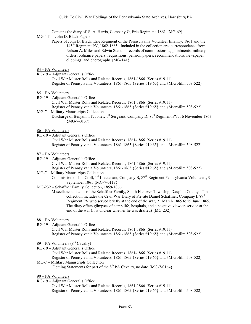Contains the diary of S. A. Harris, Company G, Erie Regiment, 1861 {MG-69}

MG-141 – John D. Black Papers

Papers of John D. Black, Erie Regiment of the Pennsylvania Volunteer Infantry, 1861 and the 145th Regiment PV, 1862-1865. Included in the collection are: correspondence from Nelson A. Miles and Edwin Stanton, records of commissions, appointments, military orders, ordnance papers, requisitions, pension papers, recommendations, newspaper clippings, and photographs {MG-141}

# 84 – PA Volunteers

RG-19 – Adjutant General's Office

Civil War Muster Rolls and Related Records, 1861-1866 {Series #19.11} Register of Pennsylvania Volunteers, 1861-1865 {Series #19.65} and {Microfilm 508-522}

#### 85 – PA Volunteers

- RG-19 Adjutant General's Office Civil War Muster Rolls and Related Records, 1861-1866 {Series #19.11} Register of Pennsylvania Volunteers, 1861-1865 {Series #19.65} and {Microfilm 508-522} MG-7 – Military Manuscripts Collection
- Discharge of Benjamin F. Jones,  $1^{st}$  Sergeant, Company D,  $85^{th}$ Regiment PV, 16 November 1863  ${MG-7-0137}$

# 86 – PA Volunteers

- RG-19 Adjutant General's Office Civil War Muster Rolls and Related Records, 1861-1866 {Series #19.11} Register of Pennsylvania Volunteers, 1861-1865 {Series #19.65} and {Microfilm 508-522}
- 87 PA Volunteers
- RG-19 Adjutant General's Office Civil War Muster Rolls and Related Records, 1861-1866 {Series #19.11}
	-
- Register of Pennsylvania Volunteers, 1861-1865 {Series #19.65} and {Microfilm 508-522} MG-7 – Military Manuscripts Collection
	- Commission of Jon Croll, 1<sup>st</sup> Lieutenant, Company B, 87<sup>th</sup> Regiment Pennsylvania Volunteers. 9 September 1861 {MG-7-0118}
- MG-232 Schaffner Family Collection, 1859-1866
	- Miscellaneous items of the Schaffner Family, South Hanover Township, Dauphin County. The collection includes the Civil War Diary of Private Daniel Schaffner, Company I, 87th Regiment PV who served briefly at the end of the war, 21 March 1865 to 29 June 1865. The diary offers glimpses of camp life, hospitals, and a negative view on service at the end of the war (it is unclear whether he was drafted) {MG-232}

#### 88 – PA Volunteers

- RG-19 Adjutant General's Office
	- Civil War Muster Rolls and Related Records, 1861-1866 {Series #19.11} Register of Pennsylvania Volunteers, 1861-1865 {Series #19.65} and {Microfilm 508-522}

# 89 – PA Volunteers  $(8^{th}$  Cavalry)

- RG-19 Adjutant General's Office
	- Civil War Muster Rolls and Related Records, 1861-1866 {Series #19.11}
- Register of Pennsylvania Volunteers, 1861-1865 {Series #19.65} and {Microfilm 508-522} MG-7 – Military Manuscripts Collection

Clothing Statements for part of the  $8^{th}$  PA Cavalry, no date {MG-7-0164}

- 90 PA Volunteers
- RG-19 Adjutant General's Office
	- Civil War Muster Rolls and Related Records, 1861-1866 {Series #19.11} Register of Pennsylvania Volunteers, 1861-1865 {Series #19.65} and {Microfilm 508-522}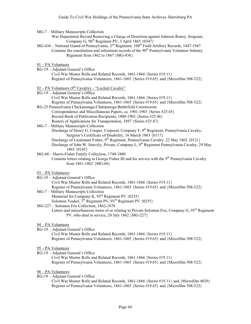MG-7 – Military Manuscripts Collection

War Department Record Removing a Charge of Desertion against Johnson Roney, Sergeant, Company G,  $90^{th}$  Regiment PV, 3 April 1865  $\{0347\}$ 

- MG-436 National Guard of Pennsylvania, 2<sup>nd</sup> Regiment, 108<sup>th</sup> Field Artillery Records, 1847-1947 Contains the constitution and enlistment records of the  $90<sup>th</sup>$  Pennsylvania Volunteer Infantry Regiment from 1862 to 1867 {MG-436}
- 91 PA Volunteers
- RG-19 Adjutant General's Office Civil War Muster Rolls and Related Records, 1861-1866 {Series #19.11} Register of Pennsylvania Volunteers, 1861-1865 {Series #19.65} and {Microfilm 508-522}
- 92 PA Volunteers  $(9<sup>th</sup> Cavalry)$  "Lochiel Cavalry"
- RG-19 Adjutant General's Office Civil War Muster Rolls and Related Records, 1861-1866 {Series #19.11} Register of Pennsylvania Volunteers, 1861-1865 {Series #19.65} and {Microfilm 508-522} RG-25 Pennsylvania Chickamauga-Chattanooga Battlefield Commission Correspondence and Miscellaneous Papers, ca. 1901-1903 {Series #25.45} Record Book of Publication Recipients, 1900-1902 {Series #25.46} Rosters of Applications for Transportation, 1897 {Series #25.47} MG-7 – Military Manuscripts Collection Discharge of Henry G. Cooper, Corporal, Company F, 9<sup>th</sup> Regiment, Pennsylvania Cavalry, Surgeon's Certificate of Disability, 16 March 1863 {0117} Discharge of Lieutenant Fisher, 9<sup>th</sup> Regiment, Pennsylvania Cavalry, 22 May 1862 {0121} Discharge of John W. Snavely, Private, Company L, 9<sup>th</sup> Regiment Pennsylvania Cavalry, 29 May 1865 {0145} MG-68 – Harris-Fisher Family Collection, 1749-1880 Contains letters relating to George Fisher III and his service with the  $9<sup>th</sup>$  Pennsylvania Cavalry
- from 1861-1862 {MG-68}
- 93 PA Volunteers
- RG-19 Adjutant General's Office
- Civil War Muster Rolls and Related Records, 1861-1866 {Series #19.11} Register of Pennsylvania Volunteers, 1861-1865 {Series #19.65} and {Microfilm 508-522} MG-7 – Military Manuscripts Collection
- Memorial for Company K, 93<sup>rd</sup> Regiment PV {0235} Solomon Yeakel,  $7<sup>th</sup>$  Regiment PV,  $93<sup>rd</sup>$  Regiment PV  $\{0255\}$
- MG-227 Solomon Fox Collection, 1862-1879
	- Letters and miscellaneous items of or relating to Private Solomon Fox, Company G, 93<sup>rd</sup> Regiment PV, who died in service, 24 July 1862 {MG-227}

# 94 – PA Volunteers

RG-19 – Adjutant General's Office

Civil War Muster Rolls and Related Records, 1861-1866 {Series #19.11} Register of Pennsylvania Volunteers, 1861-1865 {Series #19.65} and {Microfilm 508-522}

- 95 PA Volunteers
- RG-19 Adjutant General's Office Civil War Muster Rolls and Related Records, 1861-1866 {Series #19.11} Register of Pennsylvania Volunteers, 1861-1865 {Series #19.65} and {Microfilm 508-522}

# 96 – PA Volunteers

RG-19 – Adjutant General's Office

Civil War Muster Rolls and Related Records, 1861-1866 {Series #19.11} and {Microfilm 4029} Register of Pennsylvania Volunteers, 1861-1865 {Series #19.65} and {Microfilm 508-522}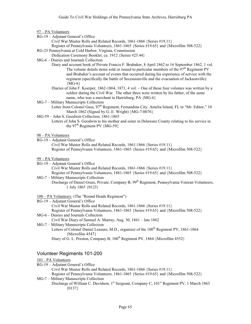### 97 – PA Volunteers

- RG-19 Adjutant General's Office
	- Civil War Muster Rolls and Related Records, 1861-1866 {Series #19.11}
	- Register of Pennsylvania Volunteers, 1861-1865 {Series #19.65} and {Microfilm 508-522}
- RG-25 Pennsylvania at Cold Harbor, Virginia, Commission
	- Dedication Ceremony Booklet, ca. 1912 {Series #25.44}
- MG-6 Diaries and Journals Collection
	- Diary and account book of Private Francis F. Brubaker, 8 April 1862 to 16 September 1862, 1 vol. The volume details items sold or issued to particular members of the  $97<sup>th</sup>$  Regiment PV and Brubaker's account of events that occurred during his experience of service with the regiment (specifically the battle of Secessionville and the evacuation of Jacksonville).  ${MG-6}$
	- Diaries of John F. Koerper, 1862-1864, 1871, 4 vol. One of these four volumes was written by a soldier during the Civil War. The other three were written by his father, of the same name, who was a merchant in Harrisburg, PA {MG-6}
- MG-7 Military Manuscripts Collection Letter from Colonel Guss,  $97<sup>th</sup>$  Regiment, Fernandina City, Amelia Island, FL to "Mr. Editor," 10 March 1862 (Signed by G. E. Wright) {MG-7-0076}
- MG-59 John S. Goodwin Collection, 1861-1865
	- Letters of John S. Goodwin to his mother and sister in Delaware County relating to his service in the  $97<sup>th</sup>$  Regiment PV {MG-59}
- 98 PA Volunteers
- RG-19 Adjutant General's Office Civil War Muster Rolls and Related Records, 1861-1866 {Series #19.11} Register of Pennsylvania Volunteers, 1861-1865 {Series #19.65} and {Microfilm 508-522}
- 99 PA Volunteers
- RG-19 Adjutant General's Office Civil War Muster Rolls and Related Records, 1861-1866 {Series #19.11} Register of Pennsylvania Volunteers, 1861-1865 {Series #19.65} and {Microfilm 508-522}
- MG-7 Military Manuscripts Collection Discharge of Daniel Grass, Private, Company B, 99<sup>th</sup> Regiment, Pennsylvania Veteran Volunteers, 1 July 1865 {0123}
- 100 PA Volunteers (The "Round Heads Regiment")
- RG-19 Adjutant General's Office Civil War Muster Rolls and Related Records, 1861-1866 {Series #19.11} Register of Pennsylvania Volunteers, 1861-1865 {Series #19.65} and {Microfilm 508-522} MG-6 – Diaries and Journals Collection
	- Civil War Diary of Samuel A. Murray, Aug. 30, 1861 late 1862
- MG-7 Military Manuscripts Collection Letters of Colonel Daniel Leasure, M.D., organizer of the 100<sup>th</sup> Regiment PV, 1861-1864 {Microfilm 4547}
	- Diary of G. L. Preston, Company B,  $100^{th}$  Regiment PV, 1864 {Microfilm 4552}

# Volunteer Regiments 101-200

### 101 - PA Volunteers

RG-19 – Adjutant General's Office

- Civil War Muster Rolls and Related Records, 1861-1866 {Series #19.11}
- Register of Pennsylvania Volunteers, 1861-1865 {Series #19.65} and {Microfilm 508-522} MG-7 – Military Manuscripts Collection
- Discharge of William C. Davidson, 1<sup>st</sup> Sergeant, Company C, 101<sup>st</sup> Regiment PV, 1 March 1863  ${0137}$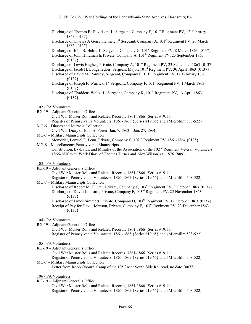- Discharge of Thomas B. Davidson, 1<sup>st</sup> Sergeant, Company F, 101<sup>st</sup> Regiment PV, 12 February 1863 {0137}
- Discharge of Charles A Geisenheimer, 1<sup>st</sup> Sergeant, Company A, 101<sup>st</sup> Regiment PV, 26 March 1863 {0137}

Discharge of John B. Helm, 1<sup>st</sup> Sergeant, Company G,  $101<sup>st</sup>$  Regiment PV, 8 March 1863  $\{0137\}$ 

Discharge of John Hindmarch, Private, Company A, 101<sup>st</sup> Regiment PV, 23 September 1863 {0137}

Discharge of Lewis Hughes, Private, Company A,  $101<sup>st</sup>$  Regiment PV, 23 September 1863 {0137}

Discharge of Jacob H. Longenecker, Sergeant Major, 101<sup>st</sup> Regiment PV, 30 April 1863 {0137} Discharge of David M. Ramsey, Sergeant, Company F, 101<sup>st</sup> Regiment PV, 12 February 1863

- ${0137}$
- Discharge of Joseph F. Warrick, 1<sup>st</sup> Sergeant, Company F, 101<sup>st</sup> Regiment PV, 1 March 1863  ${0137}$

Discharge of Thaddeus Weltz, 1<sup>st</sup> Sergeant, Company K, 101<sup>st</sup> Regiment PV, 13 April 1863  $\{0137\}$ 

102 - PA Volunteers

- RG-19 Adjutant General's Office Civil War Muster Rolls and Related Records, 1861-1866 {Series #19.11} Register of Pennsylvania Volunteers, 1861-1865 {Series #19.65} and {Microfilm 508-522}
- MG-6 Diaries and Journals Collection Civil War Diary of John A. Porter, Jan. 7, 1863 – Jan. 27, 1864
- MG-7 Military Manuscripts Collection

Memorial, Lemuel L. Penn, Private, Company C, 102<sup>nd</sup> Regiment PV, 1861-1864 {0135}

MG-8 – Miscellaneous Pennsylvania Manuscripts Constitution, By-Laws, and Minutes of the Association of the  $102<sup>nd</sup>$  Regiment Veteran Volunteers, 1866-1870 with Work Diary of Thomas Turner and Alex Wilson, ca. 1876 {889}

#### 103 - PA Volunteers

RG-19 – Adjutant General's Office

Civil War Muster Rolls and Related Records, 1861-1866 {Series #19.11} Register of Pennsylvania Volunteers, 1861-1865 {Series #19.65} and {Microfilm 508-522}

MG-7 – Military Manuscripts Collection

Discharge of Robert M. Hunter, Private, Company F, 103<sup>rd</sup> Regiment PV, 3 October 1863 {0137} Discharge of David Johnston, Private, Company F, 103rd Regiment PV, 25 November 1863  ${0137}$ 

Discharge of James Simmers, Private, Company D, 103<sup>rd</sup> Regiment PV, 12 October 1863 {0137} Receipt of Pay for David Johnson, Private, Company F, 103<sup>rd</sup> Regiment PV, 23 December 1863 {0137}

#### 104 - PA Volunteers

RG-19 – Adjutant General's Office

Civil War Muster Rolls and Related Records, 1861-1866 {Series #19.11} Register of Pennsylvania Volunteers, 1861-1865 {Series #19.65} and {Microfilm 508-522}

# 105 - PA Volunteers

RG-19 – Adjutant General's Office

Civil War Muster Rolls and Related Records, 1861-1866 {Series #19.11}

Register of Pennsylvania Volunteers, 1861-1865 {Series #19.65} and {Microfilm 508-522} MG-7 – Military Manuscripts Collection

Letter from Jacob Obourn, Camp of the  $105<sup>th</sup>$  near South Side Railroad, no date  $\{0077\}$ 

- 106 PA Volunteers
- RG-19 Adjutant General's Office

Civil War Muster Rolls and Related Records, 1861-1866 {Series #19.11} Register of Pennsylvania Volunteers, 1861-1865 {Series #19.65} and {Microfilm 508-522}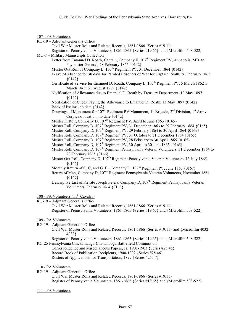# 107 - PA Volunteers

- RG-19 Adjutant General's Office
	- Civil War Muster Rolls and Related Records, 1861-1866 {Series #19.11}

Register of Pennsylvania Volunteers, 1861-1865 {Series #19.65} and {Microfilm 508-522} MG-7 – Military Manuscripts Collection

- Letter from Emanuel D. Roath, Captain, Company E,  $107<sup>th</sup>$  Regiment PV, Annapolis, MD, to Paymaster General, 28 February 1865 {0142}
	- Muster Out Roll of Company E, 107<sup>th</sup> Regiment PV, 31 December 1864 {0142}
	- Leave of Absence for 30 days for Paroled Prisoners of War for Captain Roath, 26 February 1865  ${0142}$
	- Certificate of Service for Emanuel D. Roath, Company E, 107<sup>th</sup> Regiment PV, 5 March 1862-5 March 1865, 20 August 1889 {0142}
	- Notification of Allowance due to Emanuel D. Roath by Treasury Department, 10 May 1897 {0142}
	- Notification of Check Paying the Allowance to Emanuel D. Roath, 13 May 1897 {0142} Book of Psalms, no date {0142}
	- Drawings of Monument for  $107<sup>th</sup>$  Regiment PV Monument, 1<sup>st</sup> Brigade, 2<sup>nd</sup> Division, 1<sup>st</sup> Army Corps, no location, no date {0142}
	- Muster In Roll, Company D, 107<sup>th</sup> Regiment PV, April to June 1863 {0165}
	- Muster Roll, Company D, 107<sup>th</sup> Regiment PV, 31 December 1863 to 29 February 1864 {0165}
	- Muster Roll, Company D,  $107<sup>th</sup>$  Regiment PV, 29 February 1864 to 30 April 1864  $\{0165\}$
	- Muster Roll, Company D, 107<sup>th</sup> Regiment PV, 31 October to 31 December 1864 {0165}
	- Muster Roll, Company D, 107<sup>th</sup> Regiment PV, 28 February to 30 April 1865 {0165}
	- Muster Roll, Company D, 107<sup>th</sup> Regiment PV, 30 April to 30 June 1865 {0165}
	- Muster Roll, Company D, 107<sup>th</sup> Regiment Pennsylvania Veteran Volunteers, 31 December 1864 to 28 February 1865 {0166}
	- Muster Out Roll, Company D, 107<sup>th</sup> Regiment Pennsylvania Veteran Volunteers, 13 July 1865  ${0166}$
	- Monthly Return of C, C, and G. E., Company D,  $107<sup>th</sup>$  Regiment PV, June 1863  $\{0167\}$
	- Return of Men, Company D,  $107<sup>th</sup>$  Regiment Pennsylvania Veteran Volunteers, November 1864  ${0167}$
	- Descriptive List of Private Joseph Peters, Company D, 107<sup>th</sup> Regiment Pennsylvania Veteran Volunteers, February 1864 {0168}

# 108 - PA Volunteers  $(11<sup>th</sup>$  Cavalry)

RG-19 – Adjutant General's Office

Civil War Muster Rolls and Related Records, 1861-1866 {Series #19.11} Register of Pennsylvania Volunteers, 1861-1865 {Series #19.65} and {Microfilm 508-522}

#### 109 - PA Volunteers

- RG-19 Adjutant General's Office
	- Civil War Muster Rolls and Related Records, 1861-1866 {Series #19.11} and {Microfilm 4032- 4033}

Register of Pennsylvania Volunteers, 1861-1865 {Series #19.65} and {Microfilm 508-522} RG-25 Pennsylvania Chickamauga-Chattanooga Battlefield Commission

Correspondence and Miscellaneous Papers, ca. 1901-1903 {Series #25.45} Record Book of Publication Recipients, 1900-1902 {Series #25.46} Rosters of Applications for Transportation, 1897 {Series #25.47}

- RG-19 Adjutant General's Office Civil War Muster Rolls and Related Records, 1861-1866 {Series #19.11} Register of Pennsylvania Volunteers, 1861-1865 {Series #19.65} and {Microfilm 508-522}
- 111 PA Volunteers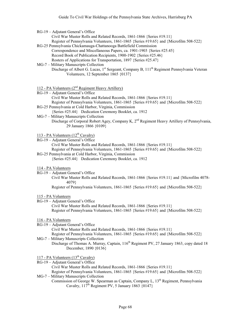| RG-19 - Adjutant General's Office |  |
|-----------------------------------|--|
|-----------------------------------|--|

Civil War Muster Rolls and Related Records, 1861-1866 {Series #19.11}

- Register of Pennsylvania Volunteers, 1861-1865 {Series #19.65} and {Microfilm 508-522} RG-25 Pennsylvania Chickamauga-Chattanooga Battlefield Commission
- Correspondence and Miscellaneous Papers, ca. 1901-1903 {Series #25.45} Record Book of Publication Recipients, 1900-1902 {Series #25.46} Rosters of Applications for Transportation, 1897 {Series #25.47}
- MG-7 Military Manuscripts Collection Discharge of Albert G. Lucas, 1<sup>st</sup> Sergeant, Company B, 111<sup>th</sup> Regiment Pennsylvania Veteran Volunteers, 12 September 1865 {0137}

112 - PA Volunteers  $(2<sup>nd</sup>$  Regiment Heavy Artillery)

RG-19 – Adjutant General's Office

Civil War Muster Rolls and Related Records, 1861-1866 {Series #19.11}

Register of Pennsylvania Volunteers, 1861-1865 {Series #19.65} and {Microfilm 508-522}

- RG-25 Pennsylvania at Cold Harbor, Virginia, Commission
- {Series #25.44} Dedication Ceremony Booklet, ca. 1912
- MG-7 Military Manuscripts Collection
	- Discharge of Corporal Robert Agey, Company K, 2<sup>nd</sup> Regiment Heavy Artillery of Pennsylvania, 29 January 1866 {0109}

# 113 - PA Volunteers  $(12^{th}$  Cavalry)

RG-19 – Adjutant General's Office

Civil War Muster Rolls and Related Records, 1861-1866 {Series #19.11}

Register of Pennsylvania Volunteers, 1861-1865 {Series #19.65} and {Microfilm 508-522}

- RG-25 Pennsylvania at Cold Harbor, Virginia, Commission
	- {Series #25.44} Dedication Ceremony Booklet, ca. 1912

# 114 - PA Volunteers

- RG-19 Adjutant General's Office
	- Civil War Muster Rolls and Related Records, 1861-1866 {Series #19.11} and {Microfilm 4078- 4079}
		- Register of Pennsylvania Volunteers, 1861-1865 {Series #19.65} and {Microfilm 508-522}

# 115 - PA Volunteers

RG-19 – Adjutant General's Office Civil War Muster Rolls and Related Records, 1861-1866 {Series #19.11} Register of Pennsylvania Volunteers, 1861-1865 {Series #19.65} and {Microfilm 508-522}

# 116 - PA Volunteers

- RG-19 Adjutant General's Office
	- Civil War Muster Rolls and Related Records, 1861-1866 {Series #19.11}
- Register of Pennsylvania Volunteers, 1861-1865 {Series #19.65} and {Microfilm 508-522} MG-7 – Military Manuscripts Collection
	- Discharge of Thomas A. Murray, Captain, 116<sup>th</sup> Regiment PV, 27 January 1863, copy dated 18 December, 1890 {0136}

117 - PA Volunteers  $(13<sup>th</sup> Cavalry)$ 

- RG-19 Adjutant General's Office
- Civil War Muster Rolls and Related Records, 1861-1866 {Series #19.11} Register of Pennsylvania Volunteers, 1861-1865 {Series #19.65} and {Microfilm 508-522} MG-7 – Military Manuscripts Collection
	- Commission of George W. Spearman as Captain, Company L, 13<sup>th</sup> Regiment, Pennsylvania Cavalry,  $117^{\text{th}}$  Regiment PV, 5 January 1863  $\{0147\}$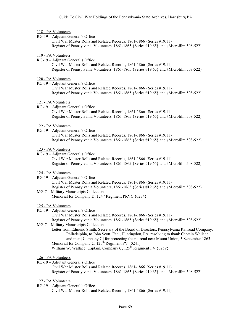### 118 - PA Volunteers

RG-19 – Adjutant General's Office

Civil War Muster Rolls and Related Records, 1861-1866 {Series #19.11} Register of Pennsylvania Volunteers, 1861-1865 {Series #19.65} and {Microfilm 508-522}

# 119 - PA Volunteers

RG-19 – Adjutant General's Office Civil War Muster Rolls and Related Records, 1861-1866 {Series #19.11} Register of Pennsylvania Volunteers, 1861-1865 {Series #19.65} and {Microfilm 508-522}

### 120 - PA Volunteers

RG-19 – Adjutant General's Office Civil War Muster Rolls and Related Records, 1861-1866 {Series #19.11} Register of Pennsylvania Volunteers, 1861-1865 {Series #19.65} and {Microfilm 508-522}

## 121 - PA Volunteers

RG-19 – Adjutant General's Office

Civil War Muster Rolls and Related Records, 1861-1866 {Series #19.11} Register of Pennsylvania Volunteers, 1861-1865 {Series #19.65} and {Microfilm 508-522}

# 122 - PA Volunteers

RG-19 – Adjutant General's Office Civil War Muster Rolls and Related Records, 1861-1866 {Series #19.11} Register of Pennsylvania Volunteers, 1861-1865 {Series #19.65} and {Microfilm 508-522}

# 123 - PA Volunteers

RG-19 – Adjutant General's Office Civil War Muster Rolls and Related Records, 1861-1866 {Series #19.11} Register of Pennsylvania Volunteers, 1861-1865 {Series #19.65} and {Microfilm 508-522}

# 124 - PA Volunteers

- RG-19 Adjutant General's Office Civil War Muster Rolls and Related Records, 1861-1866 {Series #19.11} Register of Pennsylvania Volunteers, 1861-1865 {Series #19.65} and {Microfilm 508-522}
- MG-7 Military Manuscripts Collection Memorial for Company D,  $124^{th}$  Regiment PRVC  $\{0234\}$

# 125 - PA Volunteers

- RG-19 Adjutant General's Office
	- Civil War Muster Rolls and Related Records, 1861-1866 {Series #19.11} Register of Pennsylvania Volunteers, 1861-1865 {Series #19.65} and {Microfilm 508-522}
- MG-7 Military Manuscripts Collection
	- Letter from Edmund Smith, Secretary of the Board of Directors, Pennsylvania Railroad Company, Philadelphia, to John Scott, Esq., Huntingdon, PA, resolving to thank Captain Wallace and men [Company C] for protecting the railroad near Mount Union, 3 September 1863 Memorial for Company C,  $125^{\text{th}}$  Regiment PV  $\{0241\}$

William W. Wallace, Captain, Company C,  $125<sup>th</sup>$  Regiment PV {0259}

- RG-19 Adjutant General's Office Civil War Muster Rolls and Related Records, 1861-1866 {Series #19.11} Register of Pennsylvania Volunteers, 1861-1865 {Series #19.65} and {Microfilm 508-522}
- 127 PA Volunteers
- RG-19 Adjutant General's Office Civil War Muster Rolls and Related Records, 1861-1866 {Series #19.11}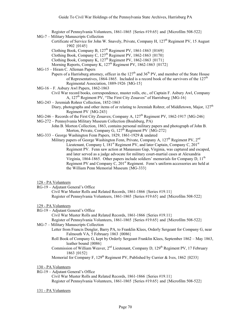Register of Pennsylvania Volunteers, 1861-1865 {Series #19.65} and {Microfilm 508-522}

- MG-7 Military Manuscripts Collection
	- Certificate of Service for John W. Snavely, Private, Company H, 127<sup>th</sup> Regiment PV, 15 August 1902 {0145}
	- Clothing Book, Company B,  $127<sup>th</sup>$  Regiment PV, 1861-1863 {0169}
	- Clothing Book, Company C,  $127<sup>th</sup>$  Regiment PV,  $1862-1863$   $\{0170\}$
	- Clothing Book, Company K,  $127<sup>th</sup>$  Regiment PV, 1862-1863 {0171}
	- Morning Reports, Company K,  $127<sup>th</sup>$  Regiment PV,  $1862-1863$   $\{0172\}$

MG-15 – Hiram C. Alleman Papers

Papers of a Harrisburg attorney, officer in the  $127<sup>th</sup>$  and  $36<sup>th</sup>$  PV, and member of the State House of Representatives, 1864-1865. Included is a record book of the survivors of the  $127<sup>th</sup>$ Regimental Association, 1889-1926 {MG-15}

MG-16 – F. Asbury Awl Papers, 1862-1863

Civil War record books, correspondence, muster rolls, etc., of Captain F. Asbury Awl, Company A, 127<sup>th</sup> Regiment PV, "The First City Zouaves" of Harrisburg {MG-16}

- MG-243 Jeremiah Rohrer Collection, 1852-1863
	- Diary, photographs and other items of or relating to Jeremiah Rohrer, of Middletown, Major,  $127<sup>th</sup>$ Regiment PV {MG-243}
- MG-246 Records of the First City Zouaves; Company A,  $127<sup>th</sup>$  Regiment PV, 1862-1917 {MG-246}

MG-272 – Pennsylvania Military Museum Collection (Boalsburg, PA)

- John B. Morton Collection, 1863, contains personal military papers and photograph of John B. Morton, Private, Company G,  $127^{\text{th}}$  Regiment PV  ${MG-272}$
- MG-333 George Washington Fenn Papers, 1829, 1861-1929 & undated

Military papers of George Washington Fenn, Private, Company A,  $127<sup>th</sup>$  Regiment PV,  $2<sup>nd</sup>$ Lieutenant, Company I,  $181<sup>st</sup>$  Regiment PV, and later Captain, Company C,  $201<sup>st</sup>$ Regiment PV. Fenn saw action at Manassass Gap, Virginia, was captured and escaped, and later served as a judge advocate for military court-martial cases at Alexandria Virginia, 1864-1865. Other papers include soldiers' memorials for Company D, 11<sup>th</sup> Regiment PV and Company C,  $201<sup>st</sup>$  Regiment. Fenn's uniform accessories are held at the William Penn Memorial Museum {MG-333}

# 128 - PA Volunteers

RG-19 – Adjutant General's Office Civil War Muster Rolls and Related Records, 1861-1866 {Series #19.11} Register of Pennsylvania Volunteers, 1861-1865 {Series #19.65} and {Microfilm 508-522}

# 129 - PA Volunteers

- RG-19 Adjutant General's Office
	- Civil War Muster Rolls and Related Records, 1861-1866 {Series #19.11} Register of Pennsylvania Volunteers, 1861-1865 {Series #19.65} and {Microfilm 508-522}
- MG-7 Military Manuscripts Collection
	- Letter from Francis Dengler, Barry PA, to Franklin Klees, Orderly Sergeant for Company G, near Falmouth VA, 5 February 1863 {0086}
		- Roll Book of Company G, kept by Orderly Sergeant Franklin Klees, September 1862 May 1863, leather bound {0086}
		- Commission of William Weaver, 2<sup>nd</sup> Lieutenant, Company D, 129<sup>th</sup> Regiment PV, 17 February 1863 {0152}

Memorial for Company F, 129<sup>th</sup> Regiment PV, Published by Currier & Ives, 1862 {0233}

# 130 - PA Volunteers

RG-19 – Adjutant General's Office Civil War Muster Rolls and Related Records, 1861-1866 {Series #19.11} Register of Pennsylvania Volunteers, 1861-1865 {Series #19.65} and {Microfilm 508-522}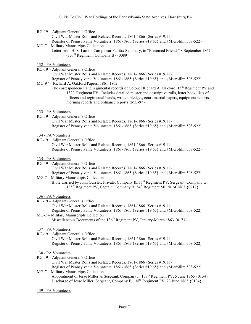RG-19 – Adjutant General's Office

Civil War Muster Rolls and Related Records, 1861-1866 {Series #19.11}

Register of Pennsylvania Volunteers, 1861-1865 {Series #19.65} and {Microfilm 508-522}

- MG-7 Military Manuscripts Collection
	- Letter from H. S. Lamm, Camp near Fairfax Seminary, to "Esteemed Friend," 8 September 1862  $(131<sup>st</sup>$  Regiment, Company B)  $\{0089\}$

# 132 - PA Volunteers

RG-19 – Adjutant General's Office

Civil War Muster Rolls and Related Records, 1861-1866 {Series #19.11} Register of Pennsylvania Volunteers, 1861-1865 {Series #19.65} and {Microfilm 508-522}

- MG-97 Richard A. Oakford Papers, 1861-1862
	- The correspondence and regimental records of Colonel Richard A. Oakford, 15<sup>th</sup> Regiment PV and 132nd Regiment PV. Includes detailed muster and descriptive rolls, letter book, lists of officers and regimental bands, written pledges, court martial papers, equipment reports, morning reports and ordnance reports {MG-97}

### 133 - PA Volunteers

RG-19 – Adjutant General's Office

Civil War Muster Rolls and Related Records, 1861-1866 {Series #19.11} Register of Pennsylvania Volunteers, 1861-1865 {Series #19.65} and {Microfilm 508-522}

- 134 PA Volunteers
- RG-19 Adjutant General's Office Civil War Muster Rolls and Related Records, 1861-1866 {Series #19.11} Register of Pennsylvania Volunteers, 1861-1865 {Series #19.65} and {Microfilm 508-522}

### 135 - PA Volunteers

- RG-19 Adjutant General's Office Civil War Muster Rolls and Related Records, 1861-1866 {Series #19.11} Register of Pennsylvania Volunteers, 1861-1865 {Series #19.65} and {Microfilm 508-522}
- MG-7 Military Manuscripts Collection Bible Carried by John Oursler, Private, Company K, 11<sup>th</sup> Regiment PV, Sergeant, Company G, 135th Regiment PV, Captain, Company B, 54th Regiment Militia of 1863 {0217}

# 136 - PA Volunteers

RG-19 – Adjutant General's Office

Civil War Muster Rolls and Related Records, 1861-1866 {Series #19.11}

Register of Pennsylvania Volunteers, 1861-1865 {Series #19.65} and {Microfilm 508-522} MG-7 – Military Manuscripts Collection

Miscellaneous Documents of the 136<sup>th</sup> Regiment PV, January-March 1863 {0173}

#### 137 - PA Volunteers

RG-19 – Adjutant General's Office Civil War Muster Rolls and Related Records, 1861-1866 {Series #19.11} Register of Pennsylvania Volunteers, 1861-1865 {Series #19.65} and {Microfilm 508-522}

# 138 - PA Volunteers

RG-19 – Adjutant General's Office

Civil War Muster Rolls and Related Records, 1861-1866 {Series #19.11}

Register of Pennsylvania Volunteers, 1861-1865 {Series #19.65} and {Microfilm 508-522} MG-7 – Military Manuscripts Collection

Appointment of Jesse Miller as Sergeant, Company F,  $138<sup>th</sup>$  Regiment PV, 5 June 1865 {0134} Discharge of Jesse Miller, Sergeant, Company F, 138<sup>th</sup> Regiment PV, 23 June 1865 {0134}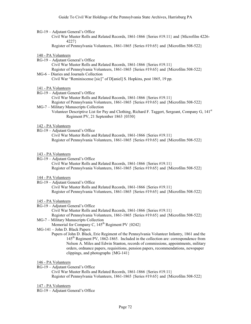RG-19 – Adjutant General's Office

Civil War Muster Rolls and Related Records, 1861-1866 {Series #19.11} and {Microfilm 4226- 4227}

Register of Pennsylvania Volunteers, 1861-1865 {Series #19.65} and {Microfilm 508-522}

### 140 - PA Volunteers

- RG-19 Adjutant General's Office
	- Civil War Muster Rolls and Related Records, 1861-1866 {Series #19.11}

Register of Pennsylvania Volunteers, 1861-1865 {Series #19.65} and {Microfilm 508-522} MG-6 – Diaries and Journals Collection

Civil War "Reminiscense [sic]" of D[aniel] S. Hopkins, post 1865, 19 pp.

# 141 - PA Volunteers

RG-19 – Adjutant General's Office

Civil War Muster Rolls and Related Records, 1861-1866 {Series #19.11}

Register of Pennsylvania Volunteers, 1861-1865 {Series #19.65} and {Microfilm 508-522} MG-7 – Military Manuscripts Collection

Volunteer Descriptive List for Pay and Clothing, Richard F. Taggert, Sergeant, Company G, 141st Regiment PV, 21 September 1863 {0330}

### 142 - PA Volunteers

RG-19 – Adjutant General's Office Civil War Muster Rolls and Related Records, 1861-1866 {Series #19.11} Register of Pennsylvania Volunteers, 1861-1865 {Series #19.65} and {Microfilm 508-522}

### 143 - PA Volunteers

RG-19 – Adjutant General's Office

Civil War Muster Rolls and Related Records, 1861-1866 {Series #19.11} Register of Pennsylvania Volunteers, 1861-1865 {Series #19.65} and {Microfilm 508-522}

# 144 - PA Volunteers

RG-19 – Adjutant General's Office

Civil War Muster Rolls and Related Records, 1861-1866 {Series #19.11} Register of Pennsylvania Volunteers, 1861-1865 {Series #19.65} and {Microfilm 508-522}

# 145 - PA Volunteers

RG-19 – Adjutant General's Office

Civil War Muster Rolls and Related Records, 1861-1866 {Series #19.11} Register of Pennsylvania Volunteers, 1861-1865 {Series #19.65} and {Microfilm 508-522}

MG-7 – Military Manuscripts Collection

Memorial for Company C,  $145<sup>th</sup>$  Regiment PV  $\{0242\}$ 

MG-141 – John D. Black Papers

Papers of John D. Black, Erie Regiment of the Pennsylvania Volunteer Infantry, 1861 and the 145th Regiment PV, 1862-1865. Included in the collection are: correspondence from Nelson A. Miles and Edwin Stanton, records of commissions, appointments, military orders, ordnance papers, requisitions, pension papers, recommendations, newspaper clippings, and photographs {MG-141}

## 146 - PA Volunteers

RG-19 – Adjutant General's Office

Civil War Muster Rolls and Related Records, 1861-1866 {Series #19.11} Register of Pennsylvania Volunteers, 1861-1865 {Series #19.65} and {Microfilm 508-522}

147 - PA Volunteers

RG-19 – Adjutant General's Office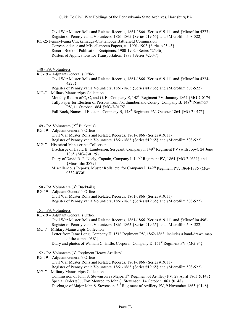Civil War Muster Rolls and Related Records, 1861-1866 {Series #19.11} and {Microfilm 4223} Register of Pennsylvania Volunteers, 1861-1865 {Series #19.65} and {Microfilm 508-522}

RG-25 Pennsylvania Chickamauga-Chattanooga Battlefield Commission Correspondence and Miscellaneous Papers, ca. 1901-1903 {Series #25.45} Record Book of Publication Recipients, 1900-1902 {Series #25.46} Rosters of Applications for Transportation, 1897 {Series #25.47}

#### 148 - PA Volunteers

- RG-19 Adjutant General's Office
	- Civil War Muster Rolls and Related Records, 1861-1866 {Series #19.11} and {Microfilm 4224- 4225}
- Register of Pennsylvania Volunteers, 1861-1865 {Series #19.65} and {Microfilm 508-522} MG-7 – Military Manuscripts Collection
	- Monthly Return of C, C, and G. E., Company E, 148<sup>th</sup> Regiment PV, January 1864 {MG-7-0174} Tally Paper for Election of Persons from Northumberland County, Company B, 148<sup>th</sup> Regiment PV, 11 October 1864 {MG-7-0175}
		- Poll Book, Names of Electors, Company B, 148<sup>th</sup> Regiment PV, October 1864 {MG-7-0175}

## 149 - PA Volunteers (2<sup>nd</sup> Bucktails)

- RG-19 Adjutant General's Office Civil War Muster Rolls and Related Records, 1861-1866 {Series #19.11} Register of Pennsylvania Volunteers, 1861-1865 {Series #19.65} and {Microfilm 508-522}
- MG-7 Historical Manuscripts Collection
	- Discharge of David B. Lamberson, Sergeant, Company I, 149<sup>th</sup> Regiment PV (with copy), 24 June 1865 {MG-7-0129}
	- Diary of David R. P. Neely, Captain, Company I,  $149<sup>th</sup>$  Regiment PV, 1864 {MG-7-0331} and {Microfilm 3879}
	- Miscellaneous Reports, Muster Rolls, etc. for Company I, 149<sup>th</sup> Regiment PV, 1864-1886 {MG-0332-0336}

## 150 - PA Volunteers (3rd Bucktails)

RG-19 – Adjutant General's Office Civil War Muster Rolls and Related Records, 1861-1866 {Series #19.11} Register of Pennsylvania Volunteers, 1861-1865 {Series #19.65} and {Microfilm 508-522}

## 151 - PA Volunteers

RG-19 – Adjutant General's Office

Civil War Muster Rolls and Related Records, 1861-1866 {Series #19.11} and {Microfilm 496} Register of Pennsylvania Volunteers, 1861-1865 {Series #19.65} and {Microfilm 508-522}

MG-7 – Military Manuscripts Collection Letter from Isaac Long, Company H, 151<sup>st</sup> Regiment PV, 1862-1863; includes a hand-drawn map of the camp {0381}

- 152 PA Volunteers (3rd Regiment Heavy Artillery)
- RG-19 Adjutant General's Office Civil War Muster Rolls and Related Records, 1861-1866 {Series #19.11} Register of Pennsylvania Volunteers, 1861-1865 {Series #19.65} and {Microfilm 508-522} MG-7 – Military Manuscripts Collection
- Commission of John S. Stevenson as Major, 3<sup>rd</sup> Regiment of Artillery PV, 27 April 1863 {0148} Special Order #86, Fort Monroe, to John S. Stevenson, 14 October 1863 {0148} Discharge of Major John S. Stevenson, 3<sup>rd</sup> Regiment of Artillery PV, 9 November 1865 {0148}

Diary and photos of William C. Hittle, Corporal, Company D, 151<sup>st</sup> Regiment PV {MG-94}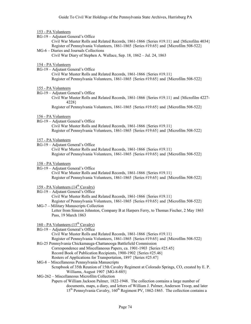#### 153 - PA Volunteers

RG-19 – Adjutant General's Office

Civil War Muster Rolls and Related Records, 1861-1866 {Series #19.11} and {Microfilm 4034} Register of Pennsylvania Volunteers, 1861-1865 {Series #19.65} and {Microfilm 508-522}

MG-6 – Diaries and Journals Collections Civil War Diary of Stephen A. Wallace, Sep. 18, 1862 – Jul. 24, 1863

#### 154 - PA Volunteers

RG-19 – Adjutant General's Office

Civil War Muster Rolls and Related Records, 1861-1866 {Series #19.11} Register of Pennsylvania Volunteers, 1861-1865 {Series #19.65} and {Microfilm 508-522}

#### 155 - PA Volunteers

- RG-19 Adjutant General's Office
	- Civil War Muster Rolls and Related Records, 1861-1866 {Series #19.11} and {Microfilm 4227- 4228}

Register of Pennsylvania Volunteers, 1861-1865 {Series #19.65} and {Microfilm 508-522}

#### 156 - PA Volunteers

RG-19 – Adjutant General's Office

Civil War Muster Rolls and Related Records, 1861-1866 {Series #19.11} Register of Pennsylvania Volunteers, 1861-1865 {Series #19.65} and {Microfilm 508-522}

#### 157 - PA Volunteers

RG-19 – Adjutant General's Office Civil War Muster Rolls and Related Records, 1861-1866 {Series #19.11} Register of Pennsylvania Volunteers, 1861-1865 {Series #19.65} and {Microfilm 508-522}

#### 158 - PA Volunteers

RG-19 – Adjutant General's Office Civil War Muster Rolls and Related Records, 1861-1866 {Series #19.11} Register of Pennsylvania Volunteers, 1861-1865 {Series #19.65} and {Microfilm 508-522}

## 159 - PA Volunteers  $(14<sup>th</sup>$  Cavalry)

RG-19 – Adjutant General's Office

Civil War Muster Rolls and Related Records, 1861-1866 {Series #19.11} Register of Pennsylvania Volunteers, 1861-1865 {Series #19.65} and {Microfilm 508-522} MG-7 – Military Manuscripts Collection

Letter from Simeon Johnston, Company B at Harpers Ferry, to Thomas Fischer, 2 May 1863 Pass, 19 March 1863

## $160$  - PA Volunteers  $(15<sup>th</sup>$  Cavalry)

RG-19 – Adjutant General's Office

Civil War Muster Rolls and Related Records, 1861-1866 {Series #19.11} Register of Pennsylvania Volunteers, 1861-1865 {Series #19.65} and {Microfilm 508-522} RG-25 Pennsylvania Chickamauga-Chattanooga Battlefield Commission

- Correspondence and Miscellaneous Papers, ca. 1901-1903 {Series #25.45} Record Book of Publication Recipients, 1900-1902 {Series #25.46} Rosters of Applications for Transportation, 1897 {Series #25.47}
- MG-8 Miscellaneous Pennsylvania Manuscripts Scrapbook of 35th Reunion of 15th Cavalry Regiment at Colorado Springs, CO, created by E. P. Williams, August 1907 {MG-8-885}

## MG-262 – Miscellaneous Microfilm Collection

Papers of William Jackson Palmer, 1822-1948. The collection contains a large number of documents, maps, a diary, and letters of William J. Palmer, Anderson Troop, and later 15<sup>th</sup> Pennsylvania Cavalry, 160<sup>th</sup> Regiment PV, 1862-1865. The collection contains a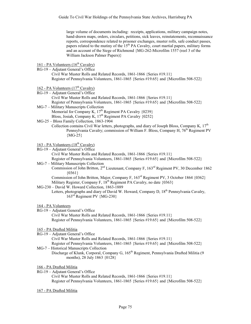large volume of documents including: receipts, applications, military campaign notes, hand-drawn maps, orders, circulars, petitions, sick leaves, reinstatements, reconnaissance reports, correspondence related to prisoner exchanges, muster rolls, safe conduct passes, papers related to the mutiny of the 15<sup>th</sup> PA Cavalry, court martial papers, military forms and an account of the Siege of Richmond {MG-262-Microfilm 1557 (reel 3 of the William Jackson Palmer Papers)}

## 161 - PA Volunteers  $(16<sup>th</sup>$  Cavalry)

RG-19 – Adjutant General's Office

Civil War Muster Rolls and Related Records, 1861-1866 {Series #19.11} Register of Pennsylvania Volunteers, 1861-1865 {Series #19.65} and {Microfilm 508-522}

#### 162 - PA Volunteers  $(17<sup>th</sup>$  Cavalry)

- RG-19 Adjutant General's Office Civil War Muster Rolls and Related Records, 1861-1866 {Series #19.11} Register of Pennsylvania Volunteers, 1861-1865 {Series #19.65} and {Microfilm 508-522} MG-7 – Military Manuscripts Collection
- Memorial for Company K,  $17<sup>th</sup>$  Regiment PA Cavalry  $\{0239\}$ Bloss, Josiah, Company K, 17<sup>th</sup> Regiment PA Cavalry {0252}

# MG-25 – Bloss Family Collection, 1863-1904

Collection contains Civil War letters, photographs, and diary of Joseph Bloss, Company K, 17<sup>th</sup> Pennsylvania Cavalry; commission of William F. Bloss, Company H, 76<sup>th</sup> Regiment PV {MG-25}

# 163 - PA Volunteers  $(18<sup>th</sup>$  Cavalry)

RG-19 – Adjutant General's Office

Civil War Muster Rolls and Related Records, 1861-1866 {Series #19.11}

Register of Pennsylvania Volunteers, 1861-1865 {Series #19.65} and {Microfilm 508-522} MG-7 – Military Manuscripts Collection

Commission of John Britton, 2nd Lieutenant, Company F, 163rd Regiment PV, 30 December 1862  ${0361}$ 

Commission of John Britton, Major, Company F, 163rd Regiment PV, 3 October 1864 {0362} Military Register, Company F,  $18^{th}$  Regiment PA Cavalry, no date  $\{0363\}$ 

- MG-230 David W. Howard Collection, 1863-1889
	- Letters, photographs and diary of David W. Howard, Company D,  $18<sup>th</sup>$  Pennsylvania Cavalry, 163rd Regiment PV {MG-230}

#### 164 - PA Volunteers

RG-19 – Adjutant General's Office Civil War Muster Rolls and Related Records, 1861-1866 {Series #19.11} Register of Pennsylvania Volunteers, 1861-1865 {Series #19.65} and {Microfilm 508-522}

- 165 PA Drafted Militia
- RG-19 Adjutant General's Office

Civil War Muster Rolls and Related Records, 1861-1866 {Series #19.11}

- Register of Pennsylvania Volunteers, 1861-1865 {Series #19.65} and {Microfilm 508-522}
- MG-7 Historical Manuscripts Collection Discharge of Klunk, Corporal, Company G, 165<sup>th</sup> Regiment, Pennsylvania Drafted Militia (9 months), 28 July 1863 {0128}
- 166 PA Drafted Militia
- RG-19 Adjutant General's Office Civil War Muster Rolls and Related Records, 1861-1866 {Series #19.11} Register of Pennsylvania Volunteers, 1861-1865 {Series #19.65} and {Microfilm 508-522}
- 167 PA Drafted Militia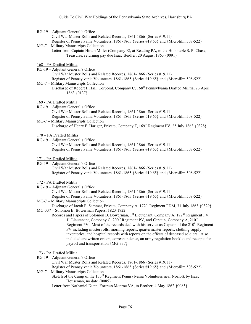|  |  |  | RG-19 - Adjutant General's Office |  |
|--|--|--|-----------------------------------|--|
|--|--|--|-----------------------------------|--|

Civil War Muster Rolls and Related Records, 1861-1866 {Series #19.11}

Register of Pennsylvania Volunteers, 1861-1865 {Series #19.65} and {Microfilm 508-522}

- MG-7 Military Manuscripts Collection
	- Letter from Captain Hiram Miller (Company E), at Reading PA, to the Honorable S. P. Chase, Treasurer, returning pay due Isaac Beidler, 20 August 1863 {0091}
- 168 PA Drafted Militia
- RG-19 Adjutant General's Office Civil War Muster Rolls and Related Records, 1861-1866 {Series #19.11} Register of Pennsylvania Volunteers, 1861-1865 {Series #19.65} and {Microfilm 508-522}
- MG-7 Military Manuscripts Collection Discharge of Robert I. Hall, Corporal, Company C, 168<sup>th</sup> Pennsylvania Drafted Militia, 23 April 1863 {0137}
- 169 PA Drafted Militia
- RG-19 Adjutant General's Office
	- Civil War Muster Rolls and Related Records, 1861-1866 {Series #19.11}

Register of Pennsylvania Volunteers, 1861-1865 {Series #19.65} and {Microfilm 508-522} MG-7 – Military Manuscripts Collection

Discharge of Henry F. Hariger, Private, Company F, 169<sup>th</sup> Regiment PV, 25 July 1863 {0328}

- 170 PA Drafted Militia
- RG-19 Adjutant General's Office Civil War Muster Rolls and Related Records, 1861-1866 {Series #19.11} Register of Pennsylvania Volunteers, 1861-1865 {Series #19.65} and {Microfilm 508-522}
- 171 PA Drafted Militia
- RG-19 Adjutant General's Office Civil War Muster Rolls and Related Records, 1861-1866 {Series #19.11} Register of Pennsylvania Volunteers, 1861-1865 {Series #19.65} and {Microfilm 508-522}
- 172 PA Drafted Militia
- RG-19 Adjutant General's Office Civil War Muster Rolls and Related Records, 1861-1866 {Series #19.11} Register of Pennsylvania Volunteers, 1861-1865 {Series #19.65} and {Microfilm 508-522}
- MG-7 Military Manuscripts Collection Discharge of Jacob P. Sammet, Private, Company A, 172<sup>nd</sup> Regiment PDM, 31 July 1863 {0329}
- MG-337 Solomon B. Bowerman Papers, 1823-1922 Records and Papers of Solomon B. Bowerman, 1<sup>st</sup> Lieutenant, Company A, 172<sup>nd</sup> Regiment PV,  $1<sup>st</sup>$  Lieutenant, Company C, 200<sup>th</sup> Regiment PV, and Captain, Company A, 210<sup>th</sup> Regiment PV. Most of the records deal with his service as Captain of the  $210<sup>th</sup>$  Regiment

PV including muster rolls, morning reports, quartermaster reports, clothing supply inventories, and hospital records with reports on the effects of deceased soldiers. Also included are written orders, correspondence, an army regulation booklet and receipts for payroll and transportation {MG-337}

#### 173 - PA Drafted Militia

- RG-19 Adjutant General's Office
	- Civil War Muster Rolls and Related Records, 1861-1866 {Series #19.11}
- Register of Pennsylvania Volunteers, 1861-1865 {Series #19.65} and {Microfilm 508-522} MG-7 – Military Manuscripts Collection

Sketch of the Camp of the 173<sup>rd</sup> Regiment Pennsylvania Volunteers near Norfolk by Isaac Houseman, no date {0085}

Letter from Nathaniel Dunn, Fortress Monroe VA, to Brother, 4 May 1862 {0085}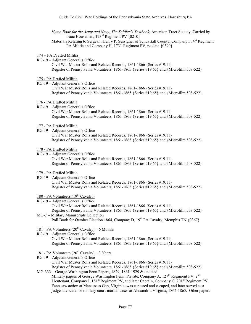*Hymn Book for the Army and Navy, The Soldier's Textbook*, American Tract Society, Carried by Isaac Houseman, 173rd Regiment PV {0210}

Materials Relating to Sergeant Henry P. Sessigner of Schuylkill County, Company F, 4<sup>th</sup> Regiment PA Militia and Company H, 173<sup>rd</sup> Regiment PV, no date {0390}

- 174 PA Drafted Militia
- RG-19 Adjutant General's Office Civil War Muster Rolls and Related Records, 1861-1866 {Series #19.11} Register of Pennsylvania Volunteers, 1861-1865 {Series #19.65} and {Microfilm 508-522}
- 175 PA Drafted Militia
- RG-19 Adjutant General's Office Civil War Muster Rolls and Related Records, 1861-1866 {Series #19.11} Register of Pennsylvania Volunteers, 1861-1865 {Series #19.65} and {Microfilm 508-522}
- 176 PA Drafted Militia
- RG-19 Adjutant General's Office

Civil War Muster Rolls and Related Records, 1861-1866 {Series #19.11} Register of Pennsylvania Volunteers, 1861-1865 {Series #19.65} and {Microfilm 508-522}

- 177 PA Drafted Militia
- RG-19 Adjutant General's Office Civil War Muster Rolls and Related Records, 1861-1866 {Series #19.11} Register of Pennsylvania Volunteers, 1861-1865 {Series #19.65} and {Microfilm 508-522}
- 178 PA Drafted Militia
- RG-19 Adjutant General's Office Civil War Muster Rolls and Related Records, 1861-1866 {Series #19.11} Register of Pennsylvania Volunteers, 1861-1865 {Series #19.65} and {Microfilm 508-522}
- 179 PA Drafted Militia
- RG-19 Adjutant General's Office

Civil War Muster Rolls and Related Records, 1861-1866 {Series #19.11} Register of Pennsylvania Volunteers, 1861-1865 {Series #19.65} and {Microfilm 508-522}

- 180 PA Volunteers  $(19<sup>th</sup>$  Cavalry)
- RG-19 Adjutant General's Office Civil War Muster Rolls and Related Records, 1861-1866 {Series #19.11} Register of Pennsylvania Volunteers, 1861-1865 {Series #19.65} and {Microfilm 508-522} MG-7 – Military Manuscripts Collection
	- Poll Book for October Election 1864, Company D,  $19^{th}$  PA Cavalry, Memphis TN  $\{0367\}$
- 181 PA Volunteers  $(20^{th}$  Cavalry) 6 Months
- RG-19 Adjutant General's Office Civil War Muster Rolls and Related Records, 1861-1866 {Series #19.11} Register of Pennsylvania Volunteers, 1861-1865 {Series #19.65} and {Microfilm 508-522}
- 181 PA Volunteers  $(20^{th}$  Cavalry) 3 Years
- RG-19 Adjutant General's Office Civil War Muster Rolls and Related Records, 1861-1866 {Series #19.11} Register of Pennsylvania Volunteers, 1861-1865 {Series #19.65} and {Microfilm 508-522}
- MG-333 George Washington Fenn Papers, 1829, 1861-1929 & undated Military papers of George Washington Fenn, Private, Company A,  $127<sup>th</sup>$  Regiment PV,  $2<sup>nd</sup>$ Lieutenant, Company I, 181<sup>st</sup> Regiment PV, and later Captain, Company C, 201<sup>st</sup> Regiment PV. Fenn saw action at Manassass Gap, Virginia, was captured and escaped, and later served as a judge advocate for military court-martial cases at Alexandria Virginia, 1864-1865. Other papers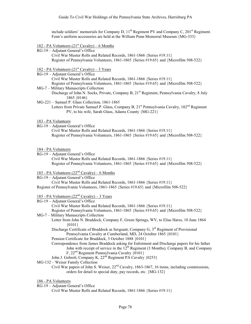include soldiers' memorials for Company D,  $11<sup>th</sup>$  Regiment PV and Company C,  $201<sup>st</sup>$  Regiment. Fenn's uniform accessories are held at the William Penn Memorial Museum {MG-333}

### 182 - PA Volunteers  $(21<sup>st</sup> Cavalry)$  – 6 Months

RG-19 – Adjutant General's Office

Civil War Muster Rolls and Related Records, 1861-1866 {Series #19.11} Register of Pennsylvania Volunteers, 1861-1865 {Series #19.65} and {Microfilm 508-522}

- <u>182 PA Volunteers (21<sup>st</sup> Cavalry) 3 Years</u>
- RG-19 Adjutant General's Office

Civil War Muster Rolls and Related Records, 1861-1866 {Series #19.11} Register of Pennsylvania Volunteers, 1861-1865 {Series #19.65} and {Microfilm 508-522} MG-7 – Military Manuscripts Collection

- Discharge of John N. Socks, Private, Company B, 21<sup>st</sup> Regiment, Pennsylvania Cavalry, 8 July 1865 {0146}
- MG-221 Samuel P. Glass Collection, 1861-1865
	- Letters from Private Samuel P. Glass, Company B, 21<sup>st</sup> Pennsylvania Cavalry, 182<sup>nd</sup> Regiment PV, to his wife, Sarah Glass, Adams County {MG-221}

#### 183 - PA Volunteers

- RG-19 Adjutant General's Office Civil War Muster Rolls and Related Records, 1861-1866 {Series #19.11} Register of Pennsylvania Volunteers, 1861-1865 {Series #19.65} and {Microfilm 508-522}
- 184 PA Volunteers
- RG-19 Adjutant General's Office Civil War Muster Rolls and Related Records, 1861-1866 {Series #19.11} Register of Pennsylvania Volunteers, 1861-1865 {Series #19.65} and {Microfilm 508-522}

#### 185 - PA Volunteers  $(22<sup>nd</sup> Cavalry)$  – 6 Months

RG-19 – Adjutant General's Office

Civil War Muster Rolls and Related Records, 1861-1866 {Series #19.11} Register of Pennsylvania Volunteers, 1861-1865 {Series #19.65} and {Microfilm 508-522}

## 185 - PA Volunteers  $(22<sup>nd</sup> Cavalry)$  – 3 Years

RG-19 – Adjutant General's Office

Civil War Muster Rolls and Related Records, 1861-1866 {Series #19.11}

Register of Pennsylvania Volunteers, 1861-1865 {Series #19.65} and {Microfilm 508-522} MG-7 – Military Manuscripts Collection

- Letter from John N. Braddock, Company F, Green Springs, WV, to Elias Hares, 10 June 1864 {0101}
	- Discharge Certificate of Braddock as Sergeant, Company G, 3<sup>rd</sup> Regiment of Provisional Pennsylvania Cavalry at Cumberland, MD, 24 October 1865 {0101}
	- Pension Certificate for Braddock, 3 October 1888 {0101}
	- Correspondence from James Braddock asking for Enlistment and Discharge papers for his father John with receipt of service in the  $12^{th}$  Regiment (3 Months), Company B, and Company F, 22nd Regiment Pennsylvania Cavalry {0101}
- John J. Gehrett, Company K, 22<sup>nd</sup> Regiment PA Cavalry {0253}
- MG-132 Weiser Family Collection
	- Civil War papers of John S. Weiser, 22<sup>nd</sup> Cavalry, 1863-1867, 16 items, including commissions, orders for detail to special duty, pay records, etc. {MG-132}

#### 186 - PA Volunteers

RG-19 – Adjutant General's Office

Civil War Muster Rolls and Related Records, 1861-1866 {Series #19.11}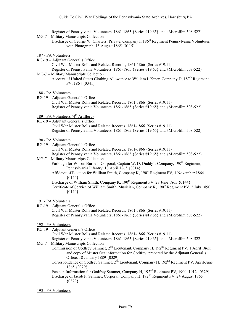Register of Pennsylvania Volunteers, 1861-1865 {Series #19.65} and {Microfilm 508-522}

- MG-7 Military Manuscripts Collection
	- Discharge of George W. Charters, Private, Company I, 186<sup>th</sup> Regiment Pennsylvania Volunteers with Photograph, 15 August 1865  $\{0115\}$
- 187 PA Volunteers
- RG-19 Adjutant General's Office Civil War Muster Rolls and Related Records, 1861-1866 {Series #19.11} Register of Pennsylvania Volunteers, 1861-1865 {Series #19.65} and {Microfilm 508-522} MG-7 – Military Manuscripts Collection
- Account of United States Clothing Allowance to William I. Kiner, Company D, 187<sup>th</sup> Regiment PV, 1864 {0341}

188 - PA Volunteers

RG-19 – Adjutant General's Office Civil War Muster Rolls and Related Records, 1861-1866 {Series #19.11} Register of Pennsylvania Volunteers, 1861-1865 {Series #19.65} and {Microfilm 508-522}

# 189 - PA Volunteers  $(4<sup>th</sup> Artillery)$

RG-19 – Adjutant General's Office

Civil War Muster Rolls and Related Records, 1861-1866 {Series #19.11} Register of Pennsylvania Volunteers, 1861-1865 {Series #19.65} and {Microfilm 508-522}

#### 190 - PA Volunteers

RG-19 – Adjutant General's Office

Civil War Muster Rolls and Related Records, 1861-1866 {Series #19.11}

Register of Pennsylvania Volunteers, 1861-1865 {Series #19.65} and {Microfilm 508-522}

MG-7 – Military Manuscripts Collection

Furlough for Wilson Burnell, Corporal, Captain W. D. Duddy's Company, 190<sup>th</sup> Regiment. Pennsylvania Infantry, 10 April 1865 {0014}

Affidavit of Election for William Smith, Company K, 190<sup>th</sup> Regiment PV, 1 November 1864 {0144}

Discharge of William Smith, Company K,  $190<sup>th</sup>$  Regiment PV, 28 June 1865  $\{0144\}$ Certificate of Service of William Smith, Musician, Company K, 190<sup>th</sup> Regiment PV, 2 July 1890  ${0144}$ 

#### 191 - PA Volunteers

RG-19 – Adjutant General's Office Civil War Muster Rolls and Related Records, 1861-1866 {Series #19.11} Register of Pennsylvania Volunteers, 1861-1865 {Series #19.65} and {Microfilm 508-522}

## 192 - PA Volunteers

RG-19 – Adjutant General's Office

Civil War Muster Rolls and Related Records, 1861-1866 {Series #19.11}

- Register of Pennsylvania Volunteers, 1861-1865 {Series #19.65} and {Microfilm 508-522} MG-7 – Military Manuscripts Collection
	- Commission of Godfrey Sammet,  $2^{nd}$  Lieutenant, Company H, 192<sup>nd</sup> Regiment PV, 1 April 1865; and copy of Muster Out information for Godfrey, prepared by the Adjutant General's Office, 18 January 1889 {0329}
		- Correspondence of Godfrey Sammet, 2<sup>nd</sup> Lieutenant, Company H, 192<sup>nd</sup> Regiment PV, April-June 1865 {0329}

Pension Information for Godfrey Sammet, Company H, 192<sup>nd</sup> Regiment PV, 1900, 1912 {0329} Discharge of Jacob P. Sammet, Corporal, Company H, 192<sup>nd</sup> Regiment PV, 24 August 1865 {0329}

#### 193 - PA Volunteers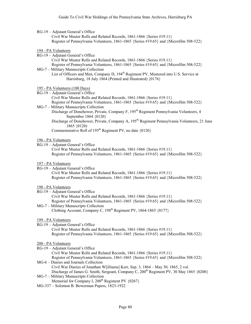RG-19 – Adjutant General's Office

Civil War Muster Rolls and Related Records, 1861-1866 {Series #19.11} Register of Pennsylvania Volunteers, 1861-1865 {Series #19.65} and {Microfilm 508-522}

- 194 PA Volunteers
- RG-19 Adjutant General's Office Civil War Muster Rolls and Related Records, 1861-1866 {Series #19.11} Register of Pennsylvania Volunteers, 1861-1865 {Series #19.65} and {Microfilm 508-522}
- MG-7 Military Manuscripts Collection List of Officers and Men, Company D, 194<sup>th</sup> Regiment PV, Mustered into U.S. Service at Harrisburg, 18 July 1864 (Printed and Illustrated) {0176}
- 195 PA Volunteers (100 Days)
- RG-19 Adjutant General's Office

Civil War Muster Rolls and Related Records, 1861-1866 {Series #19.11}

Register of Pennsylvania Volunteers, 1861-1865 {Series #19.65} and {Microfilm 508-522} MG-7 – Military Manuscripts Collection

- Discharge of Donehower, Private, Company F, 195<sup>th</sup> Regiment Pennsylvania Volunteers, 4 September 1864 {0120}
- Discharge of Donehower, Private, Company A, 195<sup>th</sup> Regiment Pennsylvania Volunteers, 21 June 1865 {0120)

Commemorative Roll of 195<sup>th</sup> Regiment PV, no date  $\{0120\}$ 

#### 196 - PA Volunteers

RG-19 – Adjutant General's Office Civil War Muster Rolls and Related Records, 1861-1866 {Series #19.11} Register of Pennsylvania Volunteers, 1861-1865 {Series #19.65} and {Microfilm 508-522}

#### 197 - PA Volunteers

RG-19 – Adjutant General's Office Civil War Muster Rolls and Related Records, 1861-1866 {Series #19.11} Register of Pennsylvania Volunteers, 1861-1865 {Series #19.65} and {Microfilm 508-522}

#### 198 - PA Volunteers

- RG-19 Adjutant General's Office Civil War Muster Rolls and Related Records, 1861-1866 {Series #19.11} Register of Pennsylvania Volunteers, 1861-1865 {Series #19.65} and {Microfilm 508-522}
- MG-7 Military Manuscripts Collection Clothing Account, Company C,  $198<sup>th</sup>$  Regiment PV,  $1864-1865$   $\{0177\}$

#### 199 - PA Volunteers

RG-19 – Adjutant General's Office

Civil War Muster Rolls and Related Records, 1861-1866 {Series #19.11} Register of Pennsylvania Volunteers, 1861-1865 {Series #19.65} and {Microfilm 508-522}

## 200 - PA Volunteers

- RG-19 Adjutant General's Office Civil War Muster Rolls and Related Records, 1861-1866 {Series #19.11} Register of Pennsylvania Volunteers, 1861-1865 {Series #19.65} and {Microfilm 508-522} MG-6 – Diaries and Journals Collection Civil War Diaries of Jonathan W[illiams] Kerr, Sep. 3, 1864 – May 30, 1865, 2 vol. Discharge of James G. Smith, Sergeant, Company C,  $200<sup>th</sup>$  Regiment PV, 30 May 1865 {0200}
- MG-7 Military Manuscripts Collection Memorial for Company I, 200<sup>th</sup> Regiment PV  $\{0267\}$
- MG-337 Solomon B. Bowerman Papers, 1823-1922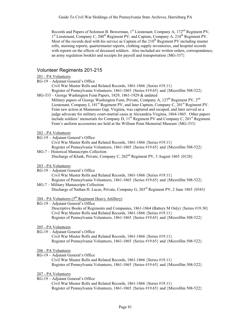Records and Papers of Solomon B. Bowerman, 1<sup>st</sup> Lieutenant, Company A, 172<sup>nd</sup> Regiment PV,  $1<sup>st</sup>$  Lieutenant, Company C, 200<sup>th</sup> Regiment PV, and Captain, Company A, 210<sup>th</sup> Regiment PV. Most of the records deal with his service as Captain of the  $210<sup>th</sup>$  Regiment PV including muster rolls, morning reports, quartermaster reports, clothing supply inventories, and hospital records with reports on the effects of deceased soldiers. Also included are written orders, correspondence, an army regulation booklet and receipts for payroll and transportation {MG-337}

## Volunteer Regiments 201-215

#### 201 - PA Volunteers

RG-19 – Adjutant General's Office

Civil War Muster Rolls and Related Records, 1861-1866 {Series #19.11}

Register of Pennsylvania Volunteers, 1861-1865 {Series #19.65} and {Microfilm 508-522} MG-333 – George Washington Fenn Papers, 1829, 1861-1929 & undated

Military papers of George Washington Fenn, Private, Company A, 127<sup>th</sup> Regiment PV, 2<sup>nd</sup> Lieutenant, Company I,  $181^{st}$  Regiment PV, and later Captain, Company C,  $201^{st}$  Regiment PV. Fenn saw action at Manassass Gap, Virginia, was captured and escaped, and later served as a judge advocate for military court-martial cases at Alexandria Virginia, 1864-1865. Other papers include soldiers' memorials for Company D,  $11<sup>th</sup>$  Regiment PV and Company C,  $201<sup>st</sup>$  Regiment. Fenn's uniform accessories are held at the William Penn Memorial Museum {MG-333}

#### 202 - PA Volunteers

- RG-19 Adjutant General's Office Civil War Muster Rolls and Related Records, 1861-1866 {Series #19.11} Register of Pennsylvania Volunteers, 1861-1865 {Series #19.65} and {Microfilm 508-522}
- MG-7 Historical Manuscripts Collection Discharge of Klunk, Private, Company C, 202<sup>nd</sup> Regiment PV, 3 August 1865 {0128}

#### 203 - PA Volunteers

## RG-19 – Adjutant General's Office

Civil War Muster Rolls and Related Records, 1861-1866 {Series #19.11} Register of Pennsylvania Volunteers, 1861-1865 {Series #19.65} and {Microfilm 508-522} MG-7 – Military Manuscripts Collection

Discharge of Nathan H. Lucas, Private, Company G, 203<sup>rd</sup> Regiment PV, 2 June 1865 {0343}

## $204$  - PA Volunteers ( $5<sup>th</sup>$  Regiment Heavy Artillery)

RG-19 – Adjutant General's Office

Descriptive Books of Regiments and Companies, 1861-1864 (Battery M Only) {Series #19.30} Civil War Muster Rolls and Related Records, 1861-1866 {Series #19.11} Register of Pennsylvania Volunteers, 1861-1865 {Series #19.65} and {Microfilm 508-522}

#### 205 - PA Volunteers

RG-19 – Adjutant General's Office

Civil War Muster Rolls and Related Records, 1861-1866 {Series #19.11} Register of Pennsylvania Volunteers, 1861-1865 {Series #19.65} and {Microfilm 508-522}

#### 206 - PA Volunteers

RG-19 – Adjutant General's Office

Civil War Muster Rolls and Related Records, 1861-1866 {Series #19.11} Register of Pennsylvania Volunteers, 1861-1865 {Series #19.65} and {Microfilm 508-522}

#### 207 - PA Volunteers

RG-19 – Adjutant General's Office

Civil War Muster Rolls and Related Records, 1861-1866 {Series #19.11} Register of Pennsylvania Volunteers, 1861-1865 {Series #19.65} and {Microfilm 508-522}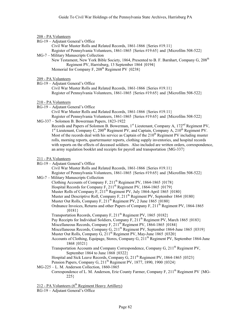#### 208 - PA Volunteers

RG-19 – Adjutant General's Office

Civil War Muster Rolls and Related Records, 1861-1866 {Series #19.11} Register of Pennsylvania Volunteers, 1861-1865 {Series #19.65} and {Microfilm 508-522}

MG-7 – Military Manuscripts Collection New Testament, New York Bible Society, 1864, Presented to B. F. Barnhart, Company G, 208<sup>th</sup> Regiment PV, Harrisburg, 13 September 1864 {0194} Memorial for Company F,  $208<sup>th</sup>$  Regiment PV  $\{0238\}$ 

#### 209 - PA Volunteers

RG-19 – Adjutant General's Office Civil War Muster Rolls and Related Records, 1861-1866 {Series #19.11} Register of Pennsylvania Volunteers, 1861-1865 {Series #19.65} and {Microfilm 508-522}

#### 210 - PA Volunteers

RG-19 – Adjutant General's Office

Civil War Muster Rolls and Related Records, 1861-1866 {Series #19.11}

Register of Pennsylvania Volunteers, 1861-1865 {Series #19.65} and {Microfilm 508-522} MG-337 – Solomon B. Bowerman Papers, 1823-1922

Records and Papers of Solomon B. Bowerman, 1st Lieutenant, Company A, 172nd Regiment PV, 1<sup>st</sup> Lieutenant, Company C, 200<sup>th</sup> Regiment PV, and Captain, Company A, 210<sup>th</sup> Regiment PV. Most of the records deal with his service as Captain of the  $210<sup>th</sup>$  Regiment PV including muster rolls, morning reports, quartermaster reports, clothing supply inventories, and hospital records with reports on the effects of deceased soldiers. Also included are written orders, correspondence, an army regulation booklet and receipts for payroll and transportation {MG-337}

#### 211 - PA Volunteers

| RG-19 – Adjutant General's Office                                                      |
|----------------------------------------------------------------------------------------|
| Civil War Muster Rolls and Related Records, $1861-1866$ {Series $\#19.11$ }            |
| Register of Pennsylvania Volunteers, 1861-1865 {Series #19.65} and {Microfilm 508-522} |
|                                                                                        |

### MG-7 – Military Manuscripts Collection

- Clothing Accounts of Company F,  $211^{th}$  Regiment PV, 1864-1865  $\{0178\}$
- Hospital Records for Company F,  $211^{th}$  Regiment PV, 1864-1865  $\{0179\}$
- Muster Rolls of Company F,  $211^{th}$  Regiment PV, July 1864-April 1865  $\{0180\}$
- Muster and Descriptive Roll, Company F, 211<sup>th</sup> Regiment PV, September 1864 {0180}
- Muster Out Rolls, Company F, 211<sup>th</sup> Regiment PV, 2 June 1865 {0180}
- Ordnance Invoices, Returns and other Papers of Company F, 211<sup>th</sup> Regiment PV, 1864-1865 {0181}
- Transportation Records, Company F,  $211<sup>th</sup>$  Regiment PV, 1865 {0182}
- Pay Receipts for Individual Soldiers, Company F, 211<sup>th</sup> Regiment PV, March 1865 {0183}
- Miscellaneous Records, Company F, 211<sup>th</sup> Regiment PV, 1864-1865 {0184}
- Miscellaneous Records, Company G, 211<sup>th</sup> Regiment PV, September 1864-June 1865 {0319}
- Muster Out Rolls, Company G, 211<sup>th</sup> Regiment PV, May-June 1865 {0320}
- Accounts of Clothing, Equipage, Stores, Company G,  $211<sup>th</sup>$  Regiment PV, September 1864-June 1868 {0321}
- Transportation Accounts and Company Correspondence, Company G,  $211<sup>th</sup>$  Regiment PV, September 1864 to June 1868 {0322}
- Hospital and Sick Leave Records, Company G, 211<sup>th</sup> Regiment PV, 1864-1865 {0323}
- Pension Papers, Company G, 211<sup>th</sup> Regiment PV, 1877, 1890, 1900 {0324}

#### MG-225 – L. M. Anderson Collection, 1860-1865

Correspondence of L. M. Anderson, Erie County Farmer, Company F,  $211<sup>th</sup>$  Regiment PV {MG-225}

212 - PA Volunteers  $(6^{th}$  Regiment Heavy Artillery)

RG-19 – Adjutant General's Office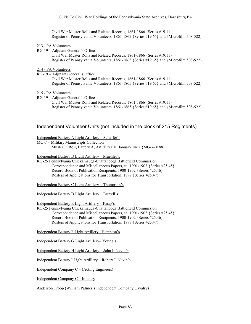Civil War Muster Rolls and Related Records, 1861-1866 {Series #19.11} Register of Pennsylvania Volunteers, 1861-1865 {Series #19.65} and {Microfilm 508-522}

#### 213 - PA Volunteers

RG-19 – Adjutant General's Office

Civil War Muster Rolls and Related Records, 1861-1866 {Series #19.11} Register of Pennsylvania Volunteers, 1861-1865 {Series #19.65} and {Microfilm 508-522}

#### 214 - PA Volunteers

RG-19 – Adjutant General's Office

Civil War Muster Rolls and Related Records, 1861-1866 {Series #19.11} Register of Pennsylvania Volunteers, 1861-1865 {Series #19.65} and {Microfilm 508-522}

#### 215 - PA Volunteers

RG-19 – Adjutant General's Office Civil War Muster Rolls and Related Records, 1861-1866 {Series #19.11} Register of Pennsylvania Volunteers, 1861-1865 {Series #19.65} and {Microfilm 508-522}

## Independent Volunteer Units (not included in the block of 215 Regiments)

Independent Battery A Light Artillery – Schaffer's

MG-7 – Military Manuscripts Collection

Muster In Roll, Battery A, Artillery PV, January 1862 {MG-7-0188}

Independent Battery B Light Artillery – Muehler's

RG-25 Pennsylvania Chickamauga-Chattanooga Battlefield Commission Correspondence and Miscellaneous Papers, ca. 1901-1903 {Series #25.45} Record Book of Publication Recipients, 1900-1902 {Series #25.46} Rosters of Applications for Transportation, 1897 {Series #25.47}

Independent Battery C Light Artillery – Thompson's

Independent Battery D Light Artillery – Durrell's

Independent Battery E Light Artillery – Knap's

RG-25 Pennsylvania Chickamauga-Chattanooga Battlefield Commission Correspondence and Miscellaneous Papers, ca. 1901-1903 {Series #25.45} Record Book of Publication Recipients, 1900-1902 {Series #25.46} Rosters of Applications for Transportation, 1897 {Series #25.47}

Independent Battery F Light Artillery– Hampton's

Independent Battery G Light Artillery– Young's

Independent Battery H Light Artillery – John I. Nevin's

Independent Battery I Light Artillery – Robert J. Nevin's

Independent Company C – (Acting Engineers)

Independent Company C – Infantry

Anderson Troop (William Palmer's Independent Company Cavalry)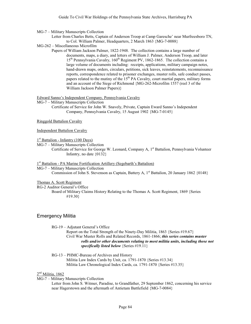MG-7 – Military Manuscripts Collection

Letter from Charles Betts, Captain of Anderson Troop at Camp Garesche' near Murfreesboro TN, to Col. William Palmer, Headquarters, 2 March 1863 {MG-7-0088}

- MG-262 Miscellaneous Microfilm
	- Papers of William Jackson Palmer, 1822-1948. The collection contains a large number of documents, maps, a diary, and letters of William J. Palmer, Anderson Troop, and later 15<sup>th</sup> Pennsylvania Cavalry, 160<sup>th</sup> Regiment PV, 1862-1865. The collection contains a large volume of documents including: receipts, applications, military campaign notes, hand-drawn maps, orders, circulars, petitions, sick leaves, reinstatements, reconnaissance reports, correspondence related to prisoner exchanges, muster rolls, safe conduct passes, papers related to the mutiny of the  $15<sup>th</sup> PA$  Cavalry, court martial papers, military forms and an account of the Siege of Richmond {MG-262-Microfilm 1557 (reel 3 of the William Jackson Palmer Papers)}

Edward Sanno's Independent Company, Pennsylvania Cavalry

MG-7 – Military Manuscripts Collection Certificate of Service for John W. Snavely, Private, Captain Eward Sanno's Independent Company, Pennsylvania Cavalry, 15 August 1902 {MG-7-0145}

Ringgold Battalion Cavalry

Independent Battalion Cavalry

 $1<sup>st</sup>$  Battalion - Infantry (100 Days)

MG-7 – Military Manuscripts Collection

Certificate of Service for George W. Leonard, Company A, 1<sup>st</sup> Battalion, Pennsylvania Volunteer Infantry, no date {0132}

1<sup>st</sup> Battalion - PA Marine Fortification Artillery (Segebarth's Battalion)

MG-7 – Military Manuscripts Collection Commission of John S. Stevenson as Captain, Battery A,  $1^{\text{st}}$  Battalion, 20 January 1862 {0148}

Thomas A. Scott Regiment

RG-2 Auditor General's Office

Board of Military Claims History Relating to the Thomas A. Scott Regiment, 1869 {Series #19.30}

## Emergency Militia

RG-19 – Adjutant General's Office Report on the Total Strength of the Ninety-Day Militia, 1863 {Series #19.67} Civil War Muster Rolls and Related Records, 1861-1866; *this series contains muster rolls and/or other documents relating to most militia units, including those not specifically listed below* {Series #19.11}

RG-13 – PHMC-Bureau of Archives and History Militia Law Index Cards by Unit, ca. 1791-1870 {Series #13.34} Militia Law Chronological Index Cards, ca. 1791-1870 {Series #13.35}

## 2<sup>nd</sup> Militia, 1862

MG-7 – Military Manuscripts Collection

Letter from John S. Witmer, Paradise, to Grandfather, 29 September 1862, concerning his service near Hagerstown and the aftermath of Antietam Battlefield {MG-7-0084}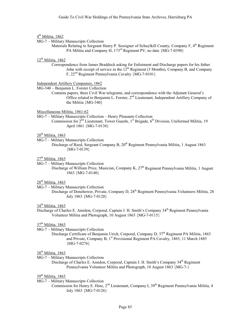#### 4<sup>th</sup> Militia, 1862

MG-7 – Military Manuscripts Collection

Materials Relating to Sergeant Henry P. Sessigner of Schuylkill County, Company F, 4<sup>th</sup> Regiment PA Militia and Company H, 173<sup>rd</sup> Regiment PV, no date {MG-7-0390}

#### 12<sup>th</sup> Militia, 1862

Correspondence from James Braddock asking for Enlistment and Discharge papers for his father John with receipt of service in the  $12<sup>th</sup>$  Regiment (3 Months), Company B, and Company F, 22nd Regiment Pennsylvania Cavalry {MG-7-0101}

#### Independent Artillery Companies, 1862

MG-340 – Benjamin L. Forster Collection

Contains papers, three Civil War telegrams, and correspondence with the Adjutant General's Office related to Benjamin L. Forster, 2nd Lieutenant, Independent Artillery Company of the Militia {MG-340}

Miscellaneous Militia, 1861-62

MG-7 – Military Manuscripts Collection – Henry Pleasants Collection

Commission for  $2<sup>nd</sup>$  Lieutenant, Tower Guards, 1<sup>st</sup> Brigade, 6<sup>th</sup> Division, Uniformed Militia, 19 April 1861 {MG-7-0138}

## $20^{th}$  Militia, 1863

MG-7 – Military Manuscripts Collection

Discharge of Reed, Sergeant Company B, 20th Regiment Pennsylvania Militia, 1 August 1863 {MG-7-0139}

 $27<sup>th</sup>$  Militia, 1863

MG-7 – Military Manuscripts Collection

Discharge of William Price, Musician, Company K, 27<sup>th</sup> Regiment Pennsylvania Militia, 1 August 1863 {MG-7-0140}

28<sup>th</sup> Militia, 1863

MG-7 – Military Manuscripts Collection

Discharge of Donehower, Private, Company D, 28<sup>th</sup> Regiment Pennsylvania Volunteers Militia. 28 July 1863 {MG-7-0120}

# 34<sup>th</sup> Militia, 1863

Discharge of Charles E. Amidon, Corporal, Captain J. H. Smith's Company 34<sup>th</sup> Regiment Pennsylvania Volunteer Militia and Photograph, 10 August 1863 {MG-7-0115}

#### 37<sup>th</sup> Militia, 1863

MG-7 – Military Manuscripts Collection

Discharge Certificate of Benjamin Urich, Corporal, Company D, 37<sup>th</sup> Regiment PA Militia, 1863 and Private, Company B, 1<sup>st</sup> Provisional Regiment PA Cavalry, 1865, 11 March 1885 {MG-7-0276}

## 38<sup>th</sup> Militia, 1863

MG-7 – Military Manuscripts Collection

Discharge of Charles E. Amidon, Corporal, Captain J. H. Smith's Company 34<sup>th</sup> Regiment Pennsylvania Volunteer Militia and Photograph, 10 August 1863 {MG-7-}

#### $39<sup>th</sup>$  Militia, 1863

- MG-7 Military Manuscripts Collection
	- Commission for Henry E. Hine, 2<sup>nd</sup> Lieutenant, Company I, 39<sup>th</sup> Regiment Pennsylvania Militia, 4 July 1863 {MG-7-0126}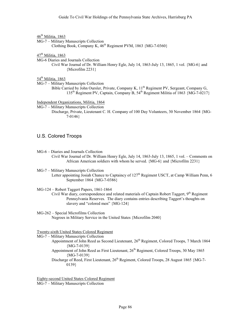46<sup>th</sup> Militia, 1863

MG-7 – Military Manuscripts Collection

Clothing Book, Company K,  $46<sup>th</sup>$  Regiment PVM, 1863 {MG-7-0360}

#### 47<sup>th</sup> Militia, 1863

MG-6 Diaries and Journals Collection

Civil War Journal of Dr. William Henry Egle, July 14, 1863-July 13, 1865, 1 vol. {MG-6} and {Microfilm 2231}

## 54<sup>th</sup> Militia, 1863

MG-7 – Military Manuscripts Collection

Bible Carried by John Oursler, Private, Company K,  $11<sup>th</sup>$  Regiment PV, Sergeant, Company G, 135<sup>th</sup> Regiment PV, Captain, Company B,  $54^{th}$  Regiment Militia of 1863  ${MG-7-0217}$ 

#### Independent Organizations, Militia, 1864

MG-7 – Military Manuscripts Collection

Discharge, Private, Lieutenant C. H. Company of 100 Day Volunteers, 30 November 1864 {MG-7-0146}

## U.S. Colored Troops

MG-6 – Diaries and Journals Collection Civil War Journal of Dr. William Henry Egle, July 14, 1863-July 13, 1865, 1 vol. – Comments on African American soldiers with whom he served. {MG-6} and {Microfilm 2231}

MG-7 – Military Manuscripts Collection Letter appointing Josiah Chance to Captaincy of 127<sup>th</sup> Regiment USCT, at Camp William Penn, 6 September 1864 {MG-7-0386}

MG-124 – Robert Taggert Papers, 1861-1864

Civil War diary, correspondence and related materials of Captain Robert Taggert, 9<sup>th</sup> Regiment Pennsylvania Reserves. The diary contains entries describing Taggert's thoughts on slavery and "colored men" {MG-124}

#### MG-262 – Special Microfilms Collection Negroes in Military Service in the United States {Microfilm 2040}

Twenty-sixth United States Colored Regiment

MG-7 – Military Manuscripts Collection

- Appointment of John Reed as Second Lieutenant, 26<sup>th</sup> Regiment, Colored Troops, 7 March 1864 {MG-7-0139}
	- Appointment of John Reed as First Lieutenant, 26<sup>th</sup> Regiment, Colored Troops, 30 May 1865 {MG-7-0139}

Discharge of Reed, First Lieutenant, 26<sup>th</sup> Regiment, Colored Troops, 28 August 1865 {MG-7-0139}

Eighty-second United States Colored Regiment MG-7 – Military Manuscripts Collection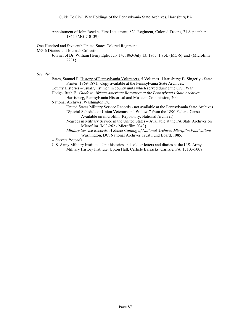Appointment of John Reed as First Lieutenant,  $82<sup>nd</sup>$  Regiment, Colored Troops, 21 September 1865 {MG-7-0139}

#### One Hundred and Sixteenth United States Colored Regiment

MG-6 Diaries and Journals Collection

Journal of Dr. William Henry Egle, July 14, 1863-July 13, 1865, 1 vol. {MG-6} and {Microfilm 2231}

#### *See also:*

Bates, Samuel P. History of Pennsylvania Volunteers, 5 Volumes. Harrisburg: B. Singerly - State Printer, 1869-1871. Copy available at the Pennsylvania State Archives.

County Histories – usually list men in county units which served during the Civil War

Hodge, Ruth E. *Guide to African American Resources at the Pennsylvania State Archives*. Harrisburg, Pennsylvania Historical and Museum Commission, 2000.

National Archives, Washington DC

- United States Military Service Records not available at the Pennsylvania State Archives "Special Schedule of Union Veterans and Widows" from the 1890 Federal Census – Available on microfilm (Repository: National Archives)
- Negroes in Military Service in the United States Available at the PA State Archives on Microfilm {MG-262 - Microfilm 2040}
- *Military Service Records: A Select Catalog of National Archives Microfilm Publications*. Washington, DC, National Archives Trust Fund Board, 1985.

*-- Service Records*

U.S. Army Military Institute. Unit histories and soldier letters and diaries at the U.S. Army Military History Institute, Upton Hall, Carlisle Barracks, Carlisle, PA 17103-5008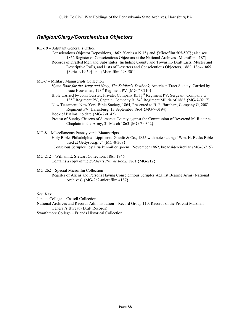# *Religion/Clergy/Conscientious Objectors*

- RG-19 Adjutant General's Office
	- Conscientious Objector Depositions, 1862 {Series #19.15} and {Microfilm 505-507}; also see 1862 Register of Conscientious Objectors at the National Archives {Microfilm 4187} Records of Drafted Men and Substitutes, Including County and Township Draft Lists, Muster and Descriptive Rolls, and Lists of Deserters and Conscientious Objectors, 1862, 1864-1865 {Series #19.59} and {Microfilm 498-501}
- MG-7 Military Manuscripts Collection
	- *Hymn Book for the Army and Navy, The Soldier's Textbook*, American Tract Society, Carried by Isaac Houseman, 173rd Regiment PV {MG-7-0210}
		- Bible Carried by John Oursler, Private, Company K, 11<sup>th</sup> Regiment PV, Sergeant, Company G, 135th Regiment PV, Captain, Company B, 54th Regiment Militia of 1863 {MG-7-0217} New Testament, New York Bible Society, 1864, Presented to B. F. Barnhart, Company G, 208<sup>th</sup>
			- Regiment PV, Harrisburg, 13 September 1864 {MG-7-0194}
		- Book of Psalms, no date {MG-7-0142}
		- Protest of Sundry Citizens of Somerset County against the Commission of Reverend M. Reiter as Chaplain in the Army, 31 March 1863 {MG-7-0342}
- MG-8 Miscellaneous Pennsylvania Manuscripts Holy Bible, Philadelphia: Lippincott, Granfo & Co., 1855 with note stating: "Wm. H. Beeks Bible used at Gettysburg…" {MG-8-309} "Conscious Scruples" by Druckenmiller (poem), November 1862, broadside/circular {MG-8-715}
- MG-212 William E. Stewart Collection, 1861-1946 Contains a copy of the *Soldier's Prayer Book*, 1861 {MG-212}

MG-262 – Special Microfilm Collection

Register of Aliens and Persons Having Conscientious Scruples Against Bearing Arms (National Archives) {MG-262-microfilm 4187}

*See Also:*

Juniata College – Cassell Collection

National Archives and Records Administration – Record Group 110, Records of the Provost Marshall General's Bureau (Draft Records)

Swarthmore College – Friends Historical Collection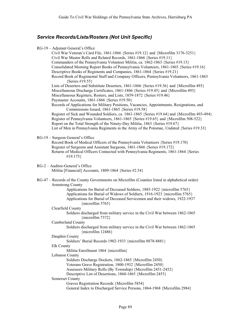# *Service Records/Lists/Rosters (Not Unit Specific)*

| RG-19 - Adjutant General's Office<br>Civil War Veteran's Card File, 1861-1866 {Series #19.12} and {Microfilm 3176-3251}<br>Civil War Muster Rolls and Related Records, 1861-1866 {Series #19.11}<br>Commanders of the Pennsylvania Volunteer Militia, ca. 1862-1863 {Series #19.13}<br>Consolidated Morning Report Books of Pennsylvania Volunteers, 1861-1865 {Series #19.16}<br>Descriptive Books of Regiments and Companies, 1861-1864 {Series #19.21}<br>Record Book of Regimental Staff and Company Officers, Pennsylvania Volunteers, 1861-1863<br>{Series #19.55}<br>Lists of Deserters and Substitute Deserters, 1861-1866 {Series #19.36} and {Microfilm 493}<br>Miscellaneous Discharge Certificates, 1861-1866 {Series #19.45} and {Microfilm 493}<br>Miscellaneous Registers, Rosters, and Lists, 1859-1872 {Series #19.46}<br>Paymaster Accounts, 1861-1866 {Series #19.50}<br>Records of Applications for Military Positions, Vacancies, Appointments, Resignations, and<br>Commissions Issued, 1861-1865 {Series #19.58}<br>Register of Sick and Wounded Soldiers, ca. 1861-1865 {Series #19.64} and {Microfilm 493-494}<br>Register of Pennsylvania Volunteers, 1861-1865 {Series #19.65} and {Microfilm 508-522}<br>Report on the Total Strength of the Ninety-Day Militia, 1863 {Series #19.67}<br>List of Men in Pennsylvania Regiments in the Army of the Potomac, Undated {Series #19.33} |
|----------------------------------------------------------------------------------------------------------------------------------------------------------------------------------------------------------------------------------------------------------------------------------------------------------------------------------------------------------------------------------------------------------------------------------------------------------------------------------------------------------------------------------------------------------------------------------------------------------------------------------------------------------------------------------------------------------------------------------------------------------------------------------------------------------------------------------------------------------------------------------------------------------------------------------------------------------------------------------------------------------------------------------------------------------------------------------------------------------------------------------------------------------------------------------------------------------------------------------------------------------------------------------------------------------------------------------------------------------------------------------------------------------------|
| RG-19 – Surgeon General's Office<br>Record Book of Medical Officers of the Pennsylvania Volunteers {Series #19.170}<br>Register of Surgeons and Assistant Surgeons, 1861-1866 {Series #19.172}<br>Returns of Medical Officers Connected with Pennsylvania Regiments, 1861-1864 {Series<br>#19.175}                                                                                                                                                                                                                                                                                                                                                                                                                                                                                                                                                                                                                                                                                                                                                                                                                                                                                                                                                                                                                                                                                                             |
| RG-2 - Auditor-General's Office<br>Militia [Financial] Accounts, 1809-1864 {Series #2.54}                                                                                                                                                                                                                                                                                                                                                                                                                                                                                                                                                                                                                                                                                                                                                                                                                                                                                                                                                                                                                                                                                                                                                                                                                                                                                                                      |
| RG-47 – Records of the County Governments on Microfilm (Counties listed in alphabetical order)<br><b>Armstrong County</b><br>Applications for Burial of Deceased Soldiers, 1885-1922 {microfilm 5765}<br>Applications for Burial of Widows of Soldiers, 1916-1923 {microfilm 5765}<br>Applications for Burial of Deceased Servicemen and their widows, 1922-1937<br>{microfilm $5765$ }<br>Clearfield County<br>Soldiers discharged from military service in the Civil War between 1862-1865                                                                                                                                                                                                                                                                                                                                                                                                                                                                                                                                                                                                                                                                                                                                                                                                                                                                                                                   |
| {microfilm 7372}<br>Cumberland County<br>Soldiers discharged from military service in the Civil War between 1862-1865<br>{microfilm 12486}<br>Dauphin County<br>Soldiers' Burial Records 1902-1933 {microfilm 8878-8881}<br>Elk County<br>Militia Enrollment 1864 {microfilm}<br>Lebanon County<br>Soldiers Discharge Dockets, 1862-1865 {Microfilm 2450}<br>Veterans Grave Registration, 1800-1932 {Microfilm 2450}<br>Assessors Military Rolls (By Township) {Microfilm 2451-2452}<br>Descriptive List of Desertions, 1860-1865 {Microfilm 2453}<br>Somerset County<br>Graves Registration Records {Microfilm 5854}<br>General Index to Discharged Service Persons, 1864-1968 {Microfilm 2984}                                                                                                                                                                                                                                                                                                                                                                                                                                                                                                                                                                                                                                                                                                               |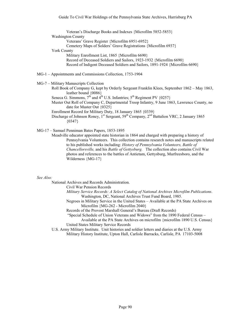Veteran's Discharge Books and Indexes {Microfilm 5852-5853} Washington County Veterans' Grave Register {Microfilm 6951-6952} Cemetery Maps of Solders' Grave Registrations {Microfilm 6937} York County Military Enrollment List, 1865 {Microfilm 6690} Record of Deceased Soldiers and Sailors, 1923-1932 {Microfilm 6690} Record of Indigent Deceased Soldiers and Sailors, 1891-1924 {Microfilm 6690}

- MG-1 Appointments and Commissions Collection, 1753-1904
- MG-7 Military Manuscripts Collection
	- Roll Book of Company G, kept by Orderly Sergeant Franklin Klees, September 1862 May 1863, leather bound {0086}
	- Seneca G. Simmons,  $7<sup>th</sup>$  and  $4<sup>th</sup>$  U.S. Infantries;  $5<sup>th</sup>$  Regiment PV {0257}
	- Muster Out Roll of Company C, Departmental Troop Infantry, 9 June 1863, Lawrence County, no date for Muster Out {0325}

Enrollment Record for Military Duty, 18 January 1865 {0339}

- Discharge of Johnson Roney,  $1^{st}$  Sergeant,  $59^{th}$  Company,  $2^{nd}$  Battalion VRC, 2 January 1865  ${0347}$
- MG-17 Samuel Penniman Bates Papers, 1853-1895

Meadville educator appointed state historian in 1864 and charged with preparing a history of Pennsylvania Volunteers. This collection contains research notes and manuscripts related to his published works including: *History of Pennsylvania Volunteers, Battle of Chancellorsville,* and his *Battle of Gettysburg.* The collection also contains Civil War photos and references to the battles of Antietam, Gettysburg, Murfreesboro, and the Wilderness {MG-17}

#### *See Also:*

National Archives and Records Administration.

Civil War Pension Records

- *Military Service Records: A Select Catalog of National Archives Microfilm Publications*. Washington, DC, National Archives Trust Fund Board, 1985.
- Negroes in Military Service in the United States Available at the PA State Archives on Microfilm {MG-262 - Microfilm 2040}
- Records of the Provost Marshall General's Bureau (Draft Records)
- "Special Schedule of Union Veterans and Widows" from the 1890 Federal Census Available at the PA State Archives on microfilm {microfilm 1890 U.S. Census}

United States Military Service Records

U.S. Army Military Institute. Unit histories and soldier letters and diaries at the U.S. Army Military History Institute, Upton Hall, Carlisle Barracks, Carlisle, PA 17103-5008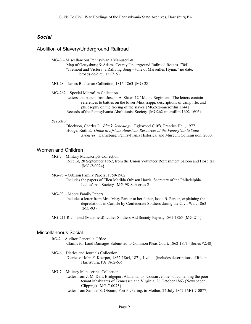# *Social*

## Abolition of Slavery/Underground Railroad

MG-8 – Miscellaneous Pennsylvania Manuscripts

Map of Gettysburg & Adams County Underground Railroad Routes {704} "Fremont and Victory: a Rallying Song – tune of Marseilles Hymn," no date, broadside/circular {715}

MG-28 – James Buchanan Collection, 1815-1863 {MG-28}

MG-262 – Special Microfilm Collection

Letters and papers from Joseph A. Shaw,  $12<sup>th</sup>$  Maine Regiment. The letters contain references to battles on the lower Mississippi, descriptions of camp life, and philosophy on the freeing of the slaves {MG262-microfilm 1144} Records of the Pennsylvania Abolitionist Society {MG262-microfilm 1602-1606}

#### *See Also:*

Blockson, Charles L. *Black Genealogy*. Eglewood Cliffs, Prentice Hall, 1977. Hodge, Ruth E. *Guide to African American Resources at the Pennsylvania State Archives*. Harrisburg, Pennsylvania Historical and Museum Commission, 2000.

## Women and Children

MG-7 – Military Manuscripts Collection Receipt, 20 September 1862, from the Union Volunteer Refreshment Saloon and Hospital  ${MG-7-0024}$ 

MG-98 – Orbison Family Papers, 1750-1902 Includes the papers of Ellen Matilda Orbison Harris, Secretary of the Philadelphia Ladies' Aid Society {MG-98-Subseries 2}

MG-93 – Moore Family Papers

Includes a letter from Mrs. Mary Parker to her father, Isaac B. Parker, explaining the depredations in Carlisle by Confederate Soldiers during the Civil War, 1863 {MG-93}

MG-211 Richmond (Mansfield) Ladies Soldiers Aid Society Papers, 1861-1865 {MG-211}

### Miscellaneous Social

RG-2 – Auditor General's Office Claims for Land Damages Submitted to Common Pleas Court, 1862-1871 {Series #2.48}

#### MG-6 – Diaries and Journals Collection

Diaries of John F. Koerper, 1862-1864, 1871, 4 vol. – (includes descriptions of life in Harrisburg, PA 1862-63)

MG-7 – Military Manuscripts Collection

Letter from J. M. Dart, Bridgeport Alabama, to "Cousin Jennie" documenting the poor tenant inhabitants of Tennessee and Virginia, 26 October 1863 (Newspaper Clipping) {MG-7-0075}

Letter from Samuel S. Obourn, Fort Pickering, to Mother, 24 July 1862 {MG-7-0077}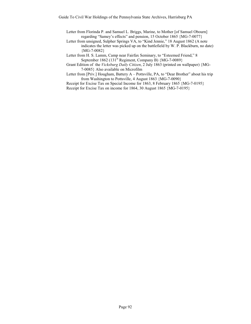Letter from Florinda P. and Samuel L. Briggs, Marine, to Mother [of Samuel Obourn] regarding "Samey's effects" and pension, 15 October 1865 {MG-7-0077}

Letter from unsigned, Sulpher Springs VA, to "Kind Jennie," 18 August 1862 (A note indicates the letter was picked up on the battlefield by W. P. Blackburn, no date) {MG-7-0082}

Letter from H. S. Lamm, Camp near Fairfax Seminary, to "Esteemed Friend," 8 September 1862 (131<sup>st</sup> Regiment, Company B)  ${MG-7-0089}$ 

- Grant Edition of the *Vicksburg Daily Citizen*, 2 July 1863 (printed on wallpaper) {MG-7-0085} Also available on Microfilm
- Letter from [Priv.] Hougham, Battery A Pottsville, PA, to "Dear Brother" about his trip from Washington to Pottsville, 4 August 1863 {MG-7-0090}

Receipt for Excise Tax on Special Income for 1863, 8 February 1865 {MG-7-0195} Receipt for Excise Tax on income for 1864, 30 August 1865 {MG-7-0195}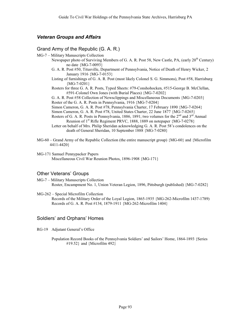# *Veteran Groups and Affairs*

# Grand Army of the Republic (G. A. R.)

- MG-7 Military Manuscripts Collection
	- Newspaper photo of Surviving Members of G. A. R. Post 58, New Castle, PA, (early  $20^{th}$  Century) no date {MG-7-0093}
	- G. A. R. Post #50, Titusville, Department of Pennsylvania, Notice of Death of Henry Wicker, 2 January 1916 {MG-7-0153}
	- Listing of furnishings of G. A. R. Post (most likely Colonel S. G. Simmons), Post #58, Harrisburg  ${MG-7-0201}$
	- Rosters for three G. A. R. Posts, Typed Sheets: #79-Conshohocken, #515-George B. McClellan, #591-Colonel Own Jones (with Burial Places) {MG-7-0202}

G. A. R. Post #58 Collection of Newsclippings and Miscellaneous Documents {MG-7-0203} Roster of the G. A. R. Posts in Pennsylvania, 1916 {MG-7-0204}

Simon Cameron, G. A. R. Post #78, Pennsylvania Charter, 17 February 1890 {MG-7-0264}

Simon Cameron, G. A. R. Post #78, United States Charter, 22 June 1877 {MG-7-0265}

Rosters of G. A. R. Posts in Pennsylvania, 1886, 1891; two volumes for the  $2<sup>nd</sup>$  and  $3<sup>rd</sup>$  Annual Reunion of 1<sup>st</sup> Rifle Regiment PRVC, 1888, 1889 on notepaper {MG-7-0278}

- Letter on behalf of Mrs. Philip Sheridan acknowledging G. A. R. Post 58's condolences on the death of General Sheridan, 10 September 1888 {MG-7-0280}
- MG-60 Grand Army of the Republic Collection (the entire manuscript group) {MG-60} and {Microfilm 4411-4420}
- MG-171 Samuel Pennypacker Papers Miscellaneous Civil War Reunion Photos, 1896-1908 {MG-171}

# Other Veterans' Groups

- MG-7 Military Manuscripts Collection Roster, Encampment No. 1, Union Veteran Legion, 1896, Pittsburgh (published) {MG-7-0282}
- MG-262 Special Microfilm Collection Records of the Military Order of the Loyal Legion, 1865-1935 {MG-262-Microfilm 1437-1789) Records of G. A. R. Post #134, 1879-1911 {MG-262-Microfilm 1404}

# Soldiers' and Orphans' Homes

- RG-19 Adjutant General's Office
	- Population Record Books of the Pennsylvania Soldiers' and Sailors' Home, 1864-1893 {Series #19.52} and {Microfilm 492}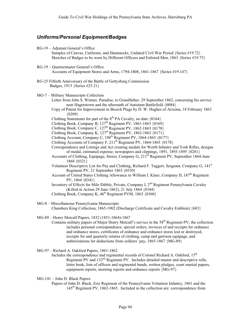# *Uniforms/Personal Equipment/Badges*

RG-19 – Adjutant General's Office

Samples of Canvas, Uniforms, and Hammocks, Undated Civil War Period {Series #19.72} Sketches of Badges to be worn by Different Officers and Enlisted Men, 1863 {Series #19.75}

- RG-19 Quartermaster General's Office Accounts of Equipment Stores and Arms, 1794-1808, 1861-1867 {Series #19.147}
- RG-25 Fiftieth Anniversary of the Battle of Gettysburg Commission Badges, 1913 {Series #25.21}
- MG-7 Military Manuscripts Collection
	- Letter from John S. Witmer, Paradise, to Grandfather, 29 September 1862, concerning his service near Hagerstown and the aftermath of Antietam Battlefield {0084}
	- Copy of Patent for Improvement in Breech Plugs by D. W. Hughes of Arizona, 18 February 1863 {0209}
	- Clothing Statements for part of the  $8<sup>th</sup>$  PA Cavalry, no date {0164}

Clothing Book, Company B, 127<sup>th</sup> Regiment PV, 1861-1863 {0169}

Clothing Book, Company C,  $127<sup>th</sup>$  Regiment PV,  $1862-1863$   $\{0170\}$ 

Clothing Book, Company K,  $127<sup>th</sup>$  Regiment PV,  $1862-1863$   $\{0171\}$ 

Clothing Account, Company C, 198th Regiment PV, 1864-1865 {0177}

Clothing Accounts of Company F,  $211^{th}$  Regiment PV, 1864-1865  $\{0178\}$ 

- Correspondence and Listings and Act creating medals for Worth Infantry and York Rifles, designs of medal, estimated expense, newspapers and clippings, 1891, 1893-1895 {0281}
- Accounts of Clothing, Equipage, Stores, Company G,  $211<sup>th</sup>$  Regiment PV, September 1864-June 1868 {0321}
- Volunteer Descriptive List for Pay and Clothing, Richard F. Taggert, Sergeant, Company G, 141st Regiment PV, 21 September 1863 {0330}
- Account of United States Clothing Allowance to William I. Kiner, Company D, 187<sup>th</sup> Regiment PV, 1864 {0341}
- Inventory of Effects for Milo Dibble, Private, Company I, 2<sup>nd</sup> Regiment Pennsylvania Cavalry (Killed in Action 29 June 1862), 21 July 1864 {0344}

Clothing Book, Company K,  $46<sup>th</sup>$  Regiment PVM, 1863  $\{0360\}$ 

- MG-8 Miscellaneous Pennsylvania Manuscripts Chambers King Collection, 1865-1902 (Discharge Certificate and Cavalry Emblem) {683}
- MG-89 Henry Metcalf Papers, 1832 (1851-1864)-1867
	- Contains military papers of Major Henry Metcalf's service in the 58<sup>th</sup> Regiment PV; the collection includes personal correspondence, special orders, invoices of and receipts for ordnance and ordnance stores, certificates of ordnance and ordnance stores lost or destroyed, receipts for and quarterly returns of clothing, camp and garrison equipage, and authorizations for deductions from soldiers' pay, 1865-1867 {MG-89}

MG-97 – Richard A. Oakford Papers, 1861-1862

Includes the correspondence and regimental records of Colonel Richard A. Oakford,  $15<sup>th</sup>$ Regiment PV and 132<sup>nd</sup> Regiment PV. Includes detailed muster and descriptive rolls, letter book, lists of officers and regimental bands, written pledges, court martial papers, equipment reports, morning reports and ordnance reports {MG-97}

- MG-141 John D. Black Papers
	- Papers of John D. Black, Erie Regiment of the Pennsylvania Volunteer Infantry, 1861 and the 145th Regiment PV, 1862-1865. Included in the collection are: correspondence from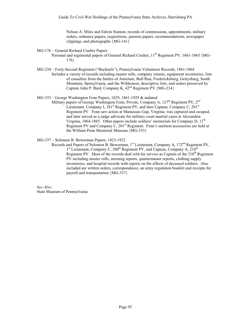Nelson A. Miles and Edwin Stanton, records of commissions, appointments, military orders, ordnance papers, requisitions, pension papers, recommendations, newspaper clippings, and photographs {MG-141}

- MG-176 General Richard Coulter Papers
	- Personal and regimental papers of General Richard Coulter,  $11<sup>th</sup>$  Regiment PV, 1861-1865 {MG-176}
- MG-234 Forty-Second Regiment ("Bucktails"), Pennsylvania Volunteers Records, 1861-1864 Includes a variety of records including muster rolls, company returns, equipment inventories, lists of casualties from the battles of Antietam, Bull Run, Fredericksburg, Gettysburg, South Mountain, Spotsylvania, and the Wilderness, descriptive lists, and orders preserved by Captain John P. Bard, Company K,  $42<sup>nd</sup>$  Regiment PV {MG-234}
- MG-333 George Washington Fenn Papers, 1829, 1861-1929 & undated
	- Military papers of George Washington Fenn, Private, Company A,  $127<sup>th</sup>$  Regiment PV,  $2<sup>nd</sup>$ Lieutenant, Company I,  $181<sup>st</sup>$  Regiment PV, and later Captain, Company C,  $201<sup>st</sup>$ Regiment PV. Fenn saw action at Manassass Gap, Virginia, was captured and escaped, and later served as a judge advocate for military court-martial cases at Alexandria Virginia, 1864-1865. Other papers include soldiers' memorials for Company D, 11<sup>th</sup> Regiment PV and Company C, 201<sup>st</sup> Regiment. Fenn's uniform accessories are held at the William Penn Memorial Museum {MG-333}
- MG-337 Solomon B. Bowerman Papers, 1823-1922
	- Records and Papers of Solomon B. Bowerman,  $1^{st}$  Lieutenant, Company A,  $172^{nd}$  Regiment PV, 1st Lieutenant, Company C,  $200<sup>th</sup>$  Regiment PV, and Captain, Company A,  $210<sup>th</sup>$ Regiment PV. Most of the records deal with his service as Captain of the  $210<sup>th</sup>$  Regiment PV including muster rolls, morning reports, quartermaster reports, clothing supply inventories, and hospital records with reports on the effects of deceased soldiers. Also included are written orders, correspondence, an army regulation booklet and receipts for payroll and transportation {MG-337}

*See Also:* State Museum of Pennsylvania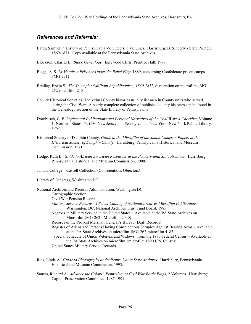# *References and Referrals:*

- Bates, Samuel P. History of Pennsylvania Volunteers, 5 Volumes. Harrisburg: B. Singerly State Printer, 1869-1871. Copy available at the Pennsylvania State Archives.
- Blockson, Charles L. *Black Genealogy*. Eglewood Cliffs, Prentice Hall, 1977.
- Boggs, S. S. *18 Months a Prisoner Under the Rebel Flag*, 1889, concerning Confederate prison camps {MG-271}
- Bradley, Erwin S. *The Triumph of Militant Republicanism, 1860-1872*, dissertation on microfilm {MG-262-microfilm-2151}
- County Historical Societies. Individual County histories usually list men in County units who served during the Civil War. A nearly complete collection of published county histories can be found in the Genealogy section of the State Library of Pennsylvania.
- Dornbusch, C. E. *Regimental Publications and Personal Narratives of the Civil War: A Checklist*, Volume 1: Northern States, Part IV: New Jersey and Pennsylvania. New York: New York Public Library, 1962.
- Historical Society of Dauphin County. *Guide to the Microfilm of the Simon Cameron Papers at the Historical Society of Dauphin County.* Harrisburg: Pennsylvania Historical and Museum Commission, 1971.
- Hodge, Ruth E. *Guide to African American Resources at the Pennsylvania State Archives*. Harrisburg, Pennsylvania Historical and Museum Commission, 2000.

Juniata College – Cassell Collection (Conscientious Objectors)

Library of Congress, Washington DC

National Archives and Records Administration, Washington DC Cartographic Section Civil War Pension Records *Military Service Records: A Select Catalog of National Archives Microfilm Publications*. Washington, DC, National Archives Trust Fund Board, 1985. Negroes in Military Service in the United States – Available at the PA State Archives on Microfilm {MG-262 - Microfilm 2040} Records of the Provost Marshall General's Bureau (Draft Records) Register of Aliens and Persons Having Conscientious Scruples Against Bearing Arms – Available at the PA State Archives on microfilm {MG-262-microfilm 4187} "Special Schedule of Union Veterans and Widows" from the 1890 Federal Census – Available at the PA State Archives on microfilm {microfilm 1890 U.S. Census} United States Military Service Records

- Ries, Linda A. *Guide to Photographs at the Pennsylvania State Archives*. Harrisburg, Pennsylvania Historical and Museum Commission, 1993.
- Sauers, Richard A. *Advance the Colors! Pennsylvania Civil War Battle Flags*, 2 Volumes. Harrisburg: Capitol Preservation Committee, 1987-1991.